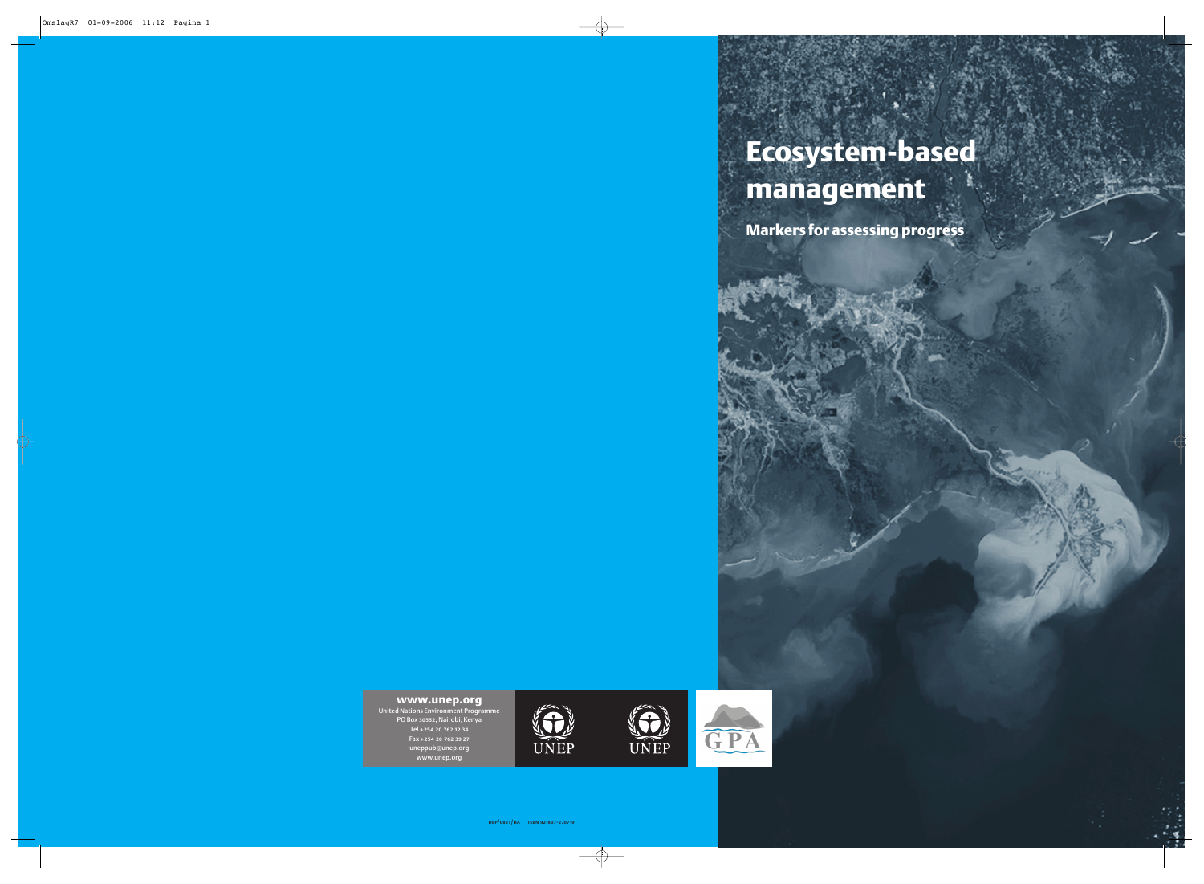# Ecosystem-based management

Markers for assessing progress



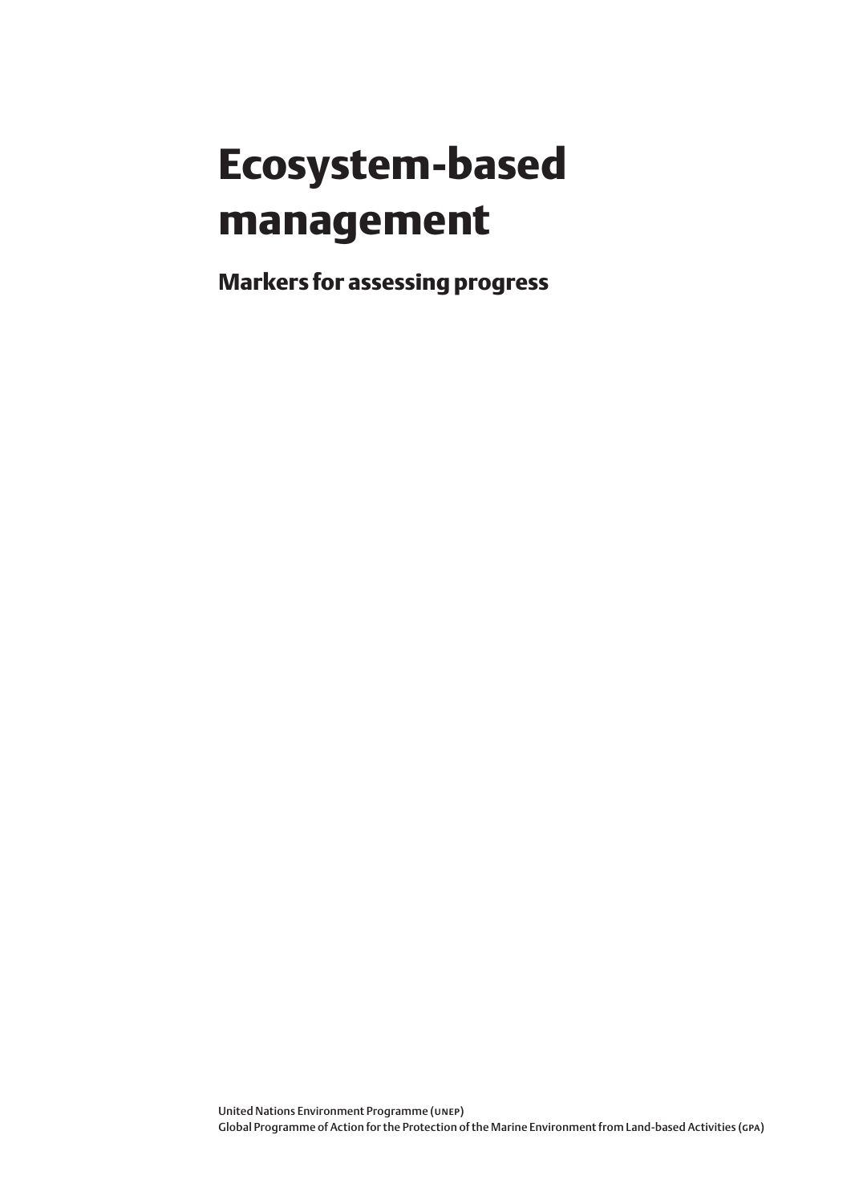# Ecosystem-based management

Markers for assessing progress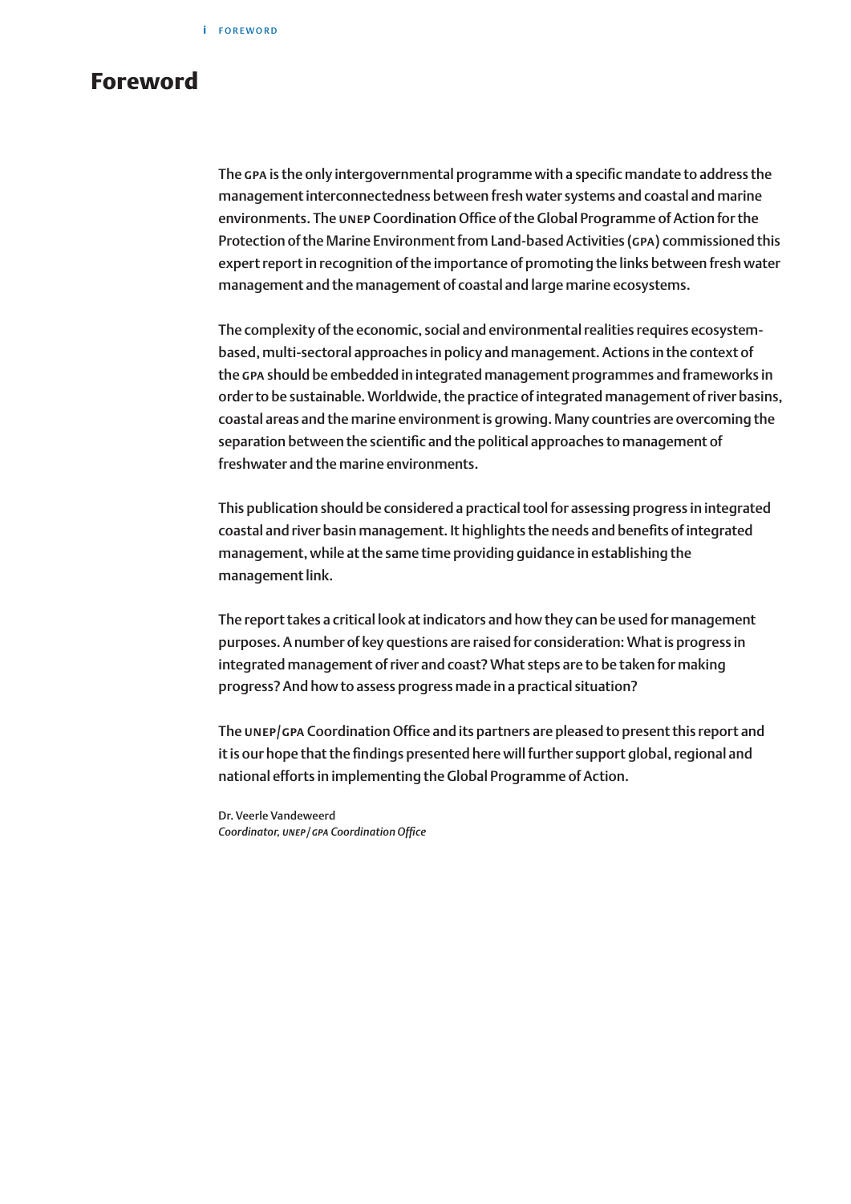### Foreword

The gpa is the only intergovernmental programme with a specific mandate to address the management interconnectedness between fresh water systems and coastal and marine environments. The unep Coordination Office of the Global Programme of Action for the Protection of the Marine Environment from Land-based Activities (gpa) commissioned this expert report in recognition of the importance of promoting the links between fresh water management and the management of coastal and large marine ecosystems.

The complexity of the economic, social and environmental realities requires ecosystembased, multi-sectoral approaches in policy and management. Actions in the context of the gpa should be embedded in integrated management programmes and frameworks in order to be sustainable. Worldwide, the practice of integrated management of river basins, coastal areas and the marine environment is growing. Many countries are overcoming the separation between the scientific and the political approaches to management of freshwater and the marine environments.

This publication should be considered a practical tool for assessing progress in integrated coastal and river basin management. It highlights the needs and benefits of integrated management, while at the same time providing guidance in establishing the management link.

The report takes a critical look at indicators and how they can be used for management purposes. A number of key questions are raised for consideration: What is progress in integrated management of river and coast? What steps are to be taken for making progress? And how to assess progress made in a practical situation?

The UNEP/GPA Coordination Office and its partners are pleased to present this report and it is our hope that the findings presented here will further support global, regional and national efforts in implementing the Global Programme of Action.

Dr. Veerle Vandeweerd *Coordinator, unep / gpa Coordination Office*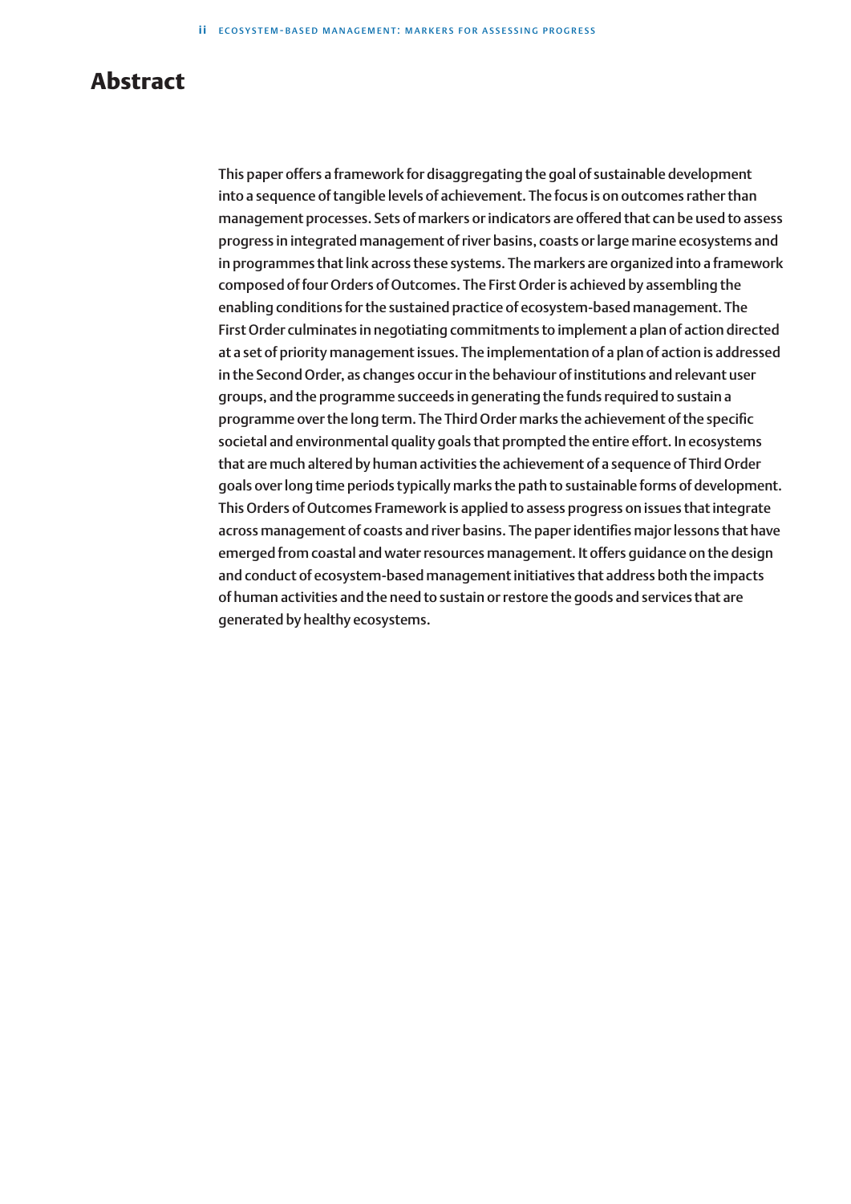### Abstract

This paper offers a framework for disaggregating the goal of sustainable development into a sequence of tangible levels of achievement. The focus is on outcomes rather than management processes. Sets of markers or indicators are offered that can be used to assess progress in integrated management of river basins, coasts or large marine ecosystems and in programmes that link across these systems. The markers are organized into a framework composed of four Orders of Outcomes. The First Order is achieved by assembling the enabling conditions for the sustained practice of ecosystem-based management. The First Order culminates in negotiating commitments to implement a plan of action directed at a set of priority management issues. The implementation of a plan of action is addressed in the Second Order, as changes occur in the behaviour of institutions and relevant user groups, and the programme succeeds in generating the funds required to sustain a programme over the long term. The Third Order marks the achievement of the specific societal and environmental quality goals that prompted the entire effort. In ecosystems that are much altered by human activities the achievement of a sequence of Third Order goals over long time periods typically marks the path to sustainable forms of development. This Orders of Outcomes Framework is applied to assess progress on issues that integrate across management of coasts and river basins. The paper identifies major lessons that have emerged from coastal and water resources management. It offers guidance on the design and conduct of ecosystem-based management initiatives that address both the impacts of human activities and the need to sustain or restore the goods and services that are generated by healthy ecosystems.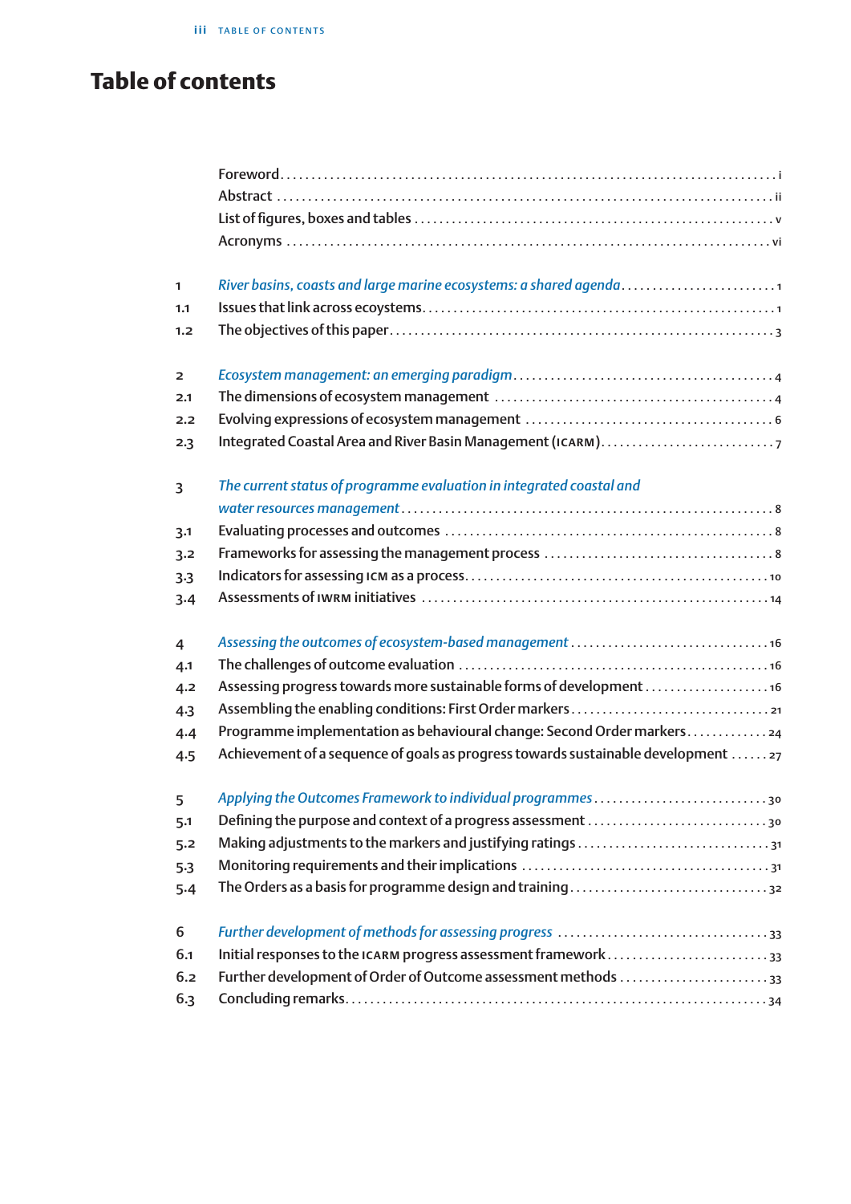# Table of contents

| 1                       | River basins, coasts and large marine ecosystems: a shared agenda                 |
|-------------------------|-----------------------------------------------------------------------------------|
| 1.1                     |                                                                                   |
| 1.2                     |                                                                                   |
| $\overline{2}$          |                                                                                   |
| 2.1                     |                                                                                   |
| 2.2                     |                                                                                   |
| 2.3                     |                                                                                   |
| $\overline{\mathbf{3}}$ | The current status of programme evaluation in integrated coastal and              |
|                         |                                                                                   |
| 3.1                     |                                                                                   |
| 3.2                     |                                                                                   |
| 3.3                     |                                                                                   |
| 3.4                     |                                                                                   |
| $\overline{4}$          |                                                                                   |
| 4.1                     |                                                                                   |
| 4.2                     | Assessing progress towards more sustainable forms of development                  |
| 4.3                     |                                                                                   |
| 4.4                     | Programme implementation as behavioural change: Second Order markers24            |
| 4.5                     | Achievement of a sequence of goals as progress towards sustainable development 27 |
| 5                       | Applying the Outcomes Framework to individual programmes30                        |
| 5.1                     | Defining the purpose and context of a progress assessment 30                      |
| 5.2                     | Making adjustments to the markers and justifying ratings31                        |
| 5.3                     |                                                                                   |
| 5.4                     |                                                                                   |
| 6                       |                                                                                   |
| 6.1                     | Initial responses to the ICARM progress assessment framework33                    |
| 6.2                     | Further development of Order of Outcome assessment methods 33                     |
| 6.3                     |                                                                                   |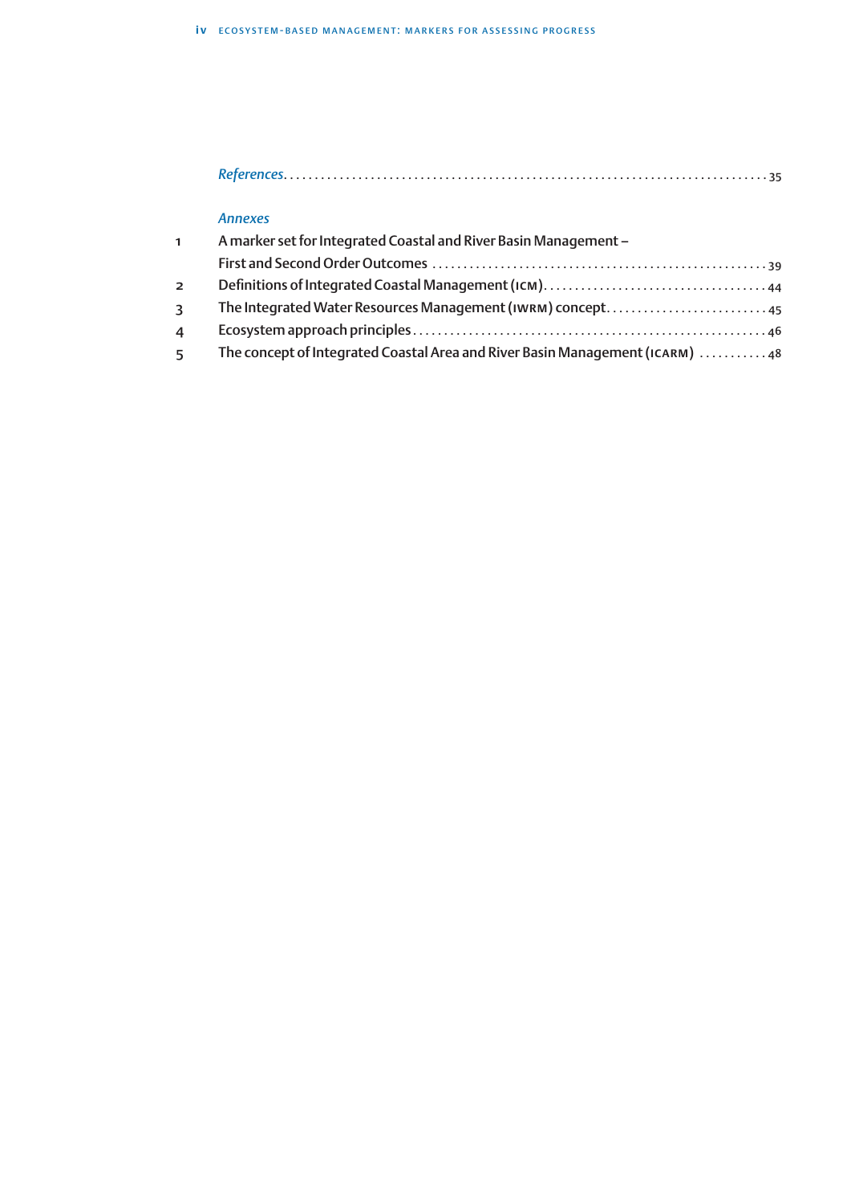|--|--|

### *Annexes*

| 1.             | A marker set for Integrated Coastal and River Basin Management -             |
|----------------|------------------------------------------------------------------------------|
|                |                                                                              |
| $\mathsf{2}^-$ |                                                                              |
| $\mathbf{3}$   |                                                                              |
| 4              |                                                                              |
| 5              | The concept of Integrated Coastal Area and River Basin Management (ICARM) 48 |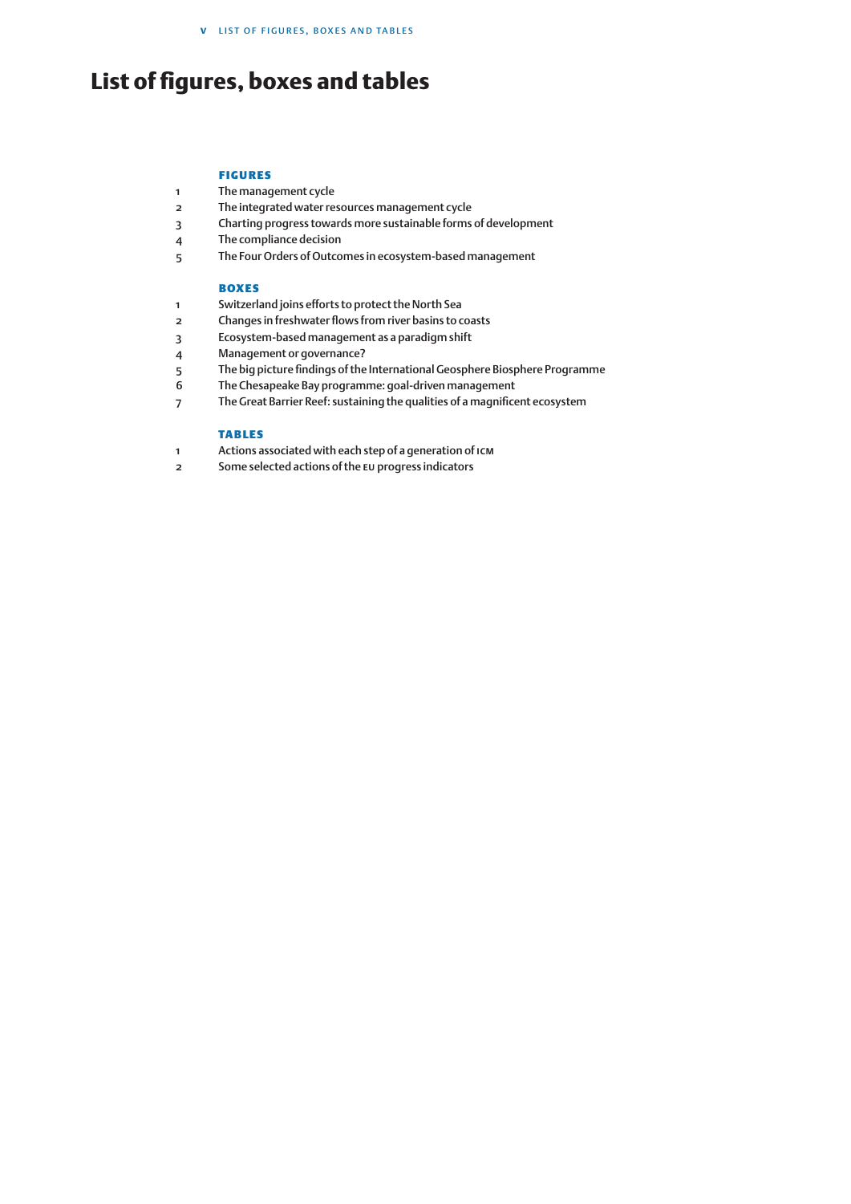### List of figures, boxes and tables

#### figures

- 1 The management cycle
- 2 The integrated water resources management cycle
- 3 Charting progress towards more sustainable forms of development
- 4 The compliance decision
- 5 The Four Orders of Outcomes in ecosystem-based management

#### boxes

- 1 Switzerland joins efforts to protect the North Sea
- 2 Changes in freshwater flows from river basins to coasts
- 3 Ecosystem-based management as a paradigm shift
- 4 Management or governance?
- 5 The big picture findings of the International Geosphere Biosphere Programme
- 6 The Chesapeake Bay programme: goal-driven management
- 7 The Great Barrier Reef: sustaining the qualities of a magnificent ecosystem

#### **TABLES**

- 1 Actions associated with each step of a generation of icm
- 2 Some selected actions of the eu progress indicators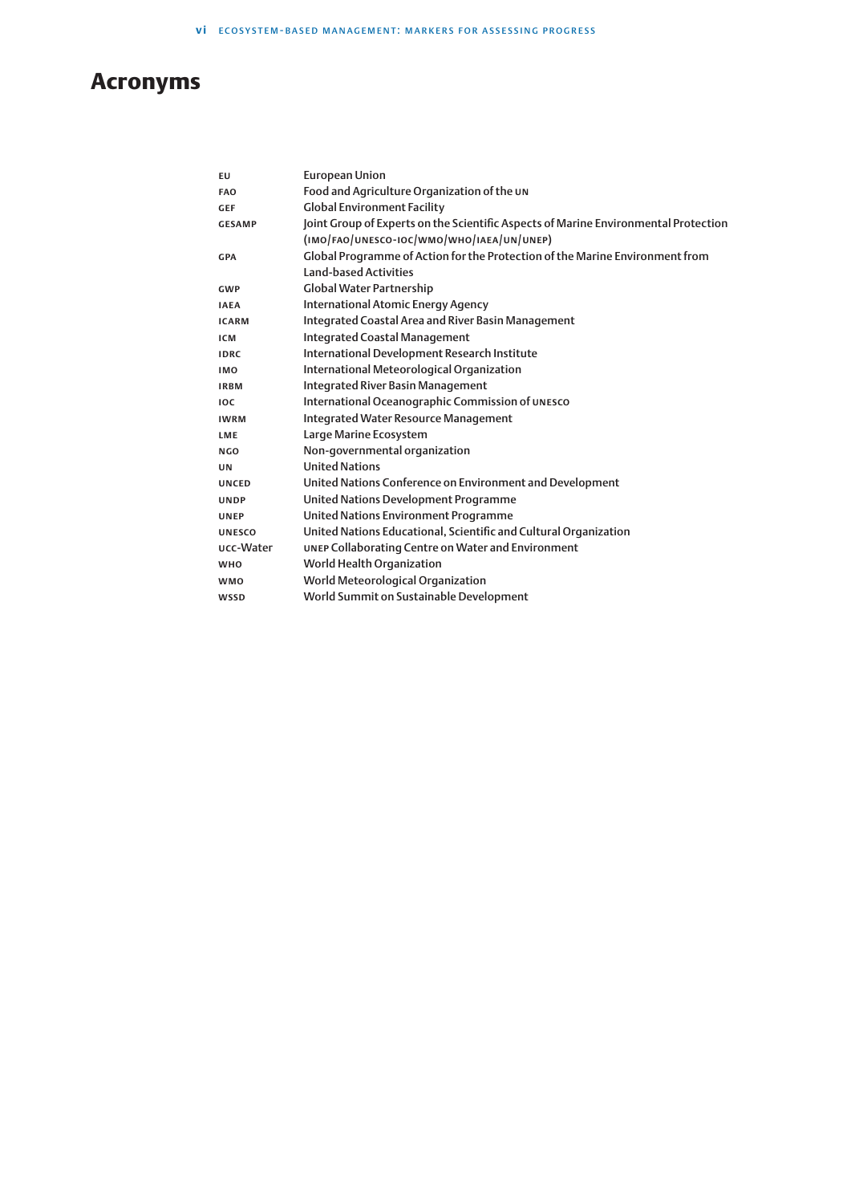# Acronyms

| EU            | <b>European Union</b>                                                               |
|---------------|-------------------------------------------------------------------------------------|
| <b>FAO</b>    | Food and Agriculture Organization of the UN                                         |
| <b>GEF</b>    | <b>Global Environment Facility</b>                                                  |
| <b>GESAMP</b> | Joint Group of Experts on the Scientific Aspects of Marine Environmental Protection |
|               | (IMO/FAO/UNESCO-IOC/WMO/WHO/IAEA/UN/UNEP)                                           |
| <b>GPA</b>    | Global Programme of Action for the Protection of the Marine Environment from        |
|               | <b>Land-based Activities</b>                                                        |
| <b>GWP</b>    | <b>Global Water Partnership</b>                                                     |
| <b>IAEA</b>   | <b>International Atomic Energy Agency</b>                                           |
| <b>ICARM</b>  | Integrated Coastal Area and River Basin Management                                  |
| <b>ICM</b>    | <b>Integrated Coastal Management</b>                                                |
| <b>IDRC</b>   | International Development Research Institute                                        |
| <b>IMO</b>    | International Meteorological Organization                                           |
| <b>IRBM</b>   | Integrated River Basin Management                                                   |
| <b>IOC</b>    | International Oceanographic Commission of UNESCO                                    |
| <b>IWRM</b>   | Integrated Water Resource Management                                                |
| <b>LME</b>    | Large Marine Ecosystem                                                              |
| <b>NGO</b>    | Non-governmental organization                                                       |
| UN            | <b>United Nations</b>                                                               |
| <b>UNCED</b>  | United Nations Conference on Environment and Development                            |
| <b>UNDP</b>   | United Nations Development Programme                                                |
| <b>UNEP</b>   | United Nations Environment Programme                                                |
| <b>UNESCO</b> | United Nations Educational, Scientific and Cultural Organization                    |
| ucc-Water     | UNEP Collaborating Centre on Water and Environment                                  |
| <b>WHO</b>    | World Health Organization                                                           |
| <b>WMO</b>    | World Meteorological Organization                                                   |
| <b>WSSD</b>   | World Summit on Sustainable Development                                             |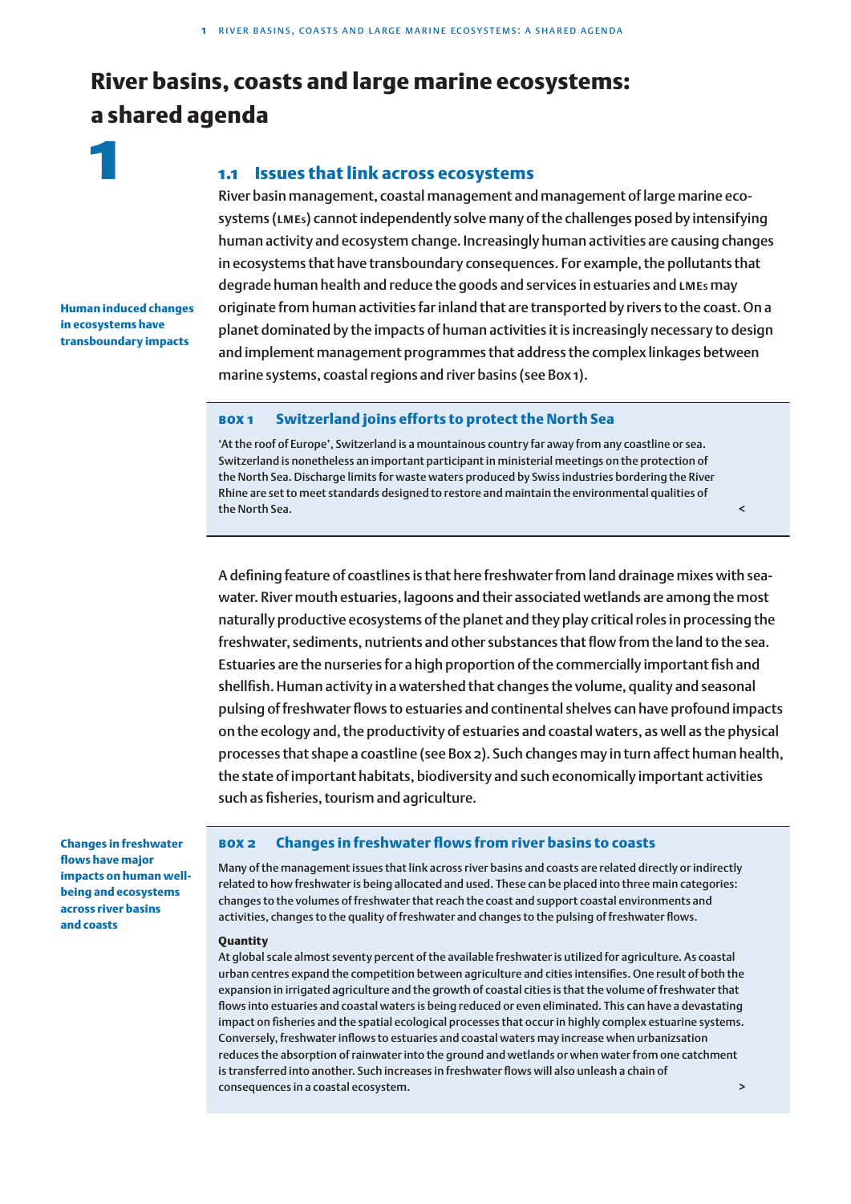# River basins, coasts and large marine ecosystems: a shared agenda

#### 1.1 Issues that link across ecosystems

River basin management, coastal management and management of large marine ecosystems (lmes) cannot independently solve many of the challenges posed by intensifying human activity and ecosystem change. Increasingly human activities are causing changes in ecosystems that have transboundary consequences. For example, the pollutants that degrade human health and reduce the goods and services in estuaries and lme<sup>s</sup> may originate from human activities far inland that are transported by rivers to the coast. On a planet dominated by the impacts of human activities it is increasingly necessary to design and implement management programmes that address the complex linkages between marine systems, coastal regions and river basins (see Box 1).

#### **BOX1** Switzerland joins efforts to protect the North Sea

'At the roof of Europe', Switzerland is a mountainous country far away from any coastline or sea. Switzerland is nonetheless an important participant in ministerial meetings on the protection of the North Sea. Discharge limits for waste waters produced by Swiss industries bordering the River Rhine are set to meet standards designed to restore and maintain the environmental qualities of the North Sea. <

A defining feature of coastlines is that here freshwater from land drainage mixes with seawater. River mouth estuaries, lagoons and their associated wetlands are among the most naturally productive ecosystems of the planet and they play critical roles in processing the freshwater, sediments, nutrients and other substances that flow from the land to the sea. Estuaries are the nurseries for a high proportion of the commercially important fish and shellfish. Human activity in a watershed that changes the volume, quality and seasonal pulsing of freshwater flows to estuaries and continental shelves can have profound impacts on the ecology and, the productivity of estuaries and coastal waters, as well as the physical processes that shape a coastline (see Box 2). Such changes may in turn affect human health, the state of important habitats, biodiversity and such economically important activities such as fisheries, tourism and agriculture.

Changes in freshwater flows have major impacts on human wellbeing and ecosystems across river basins and coasts

Human induced changes in ecosystems have transboundary impacts

#### BOX<sub>2</sub> 2 Changes in freshwater flows from river basins to coasts

Many of the management issues that link across river basins and coasts are related directly or indirectly related to how freshwater is being allocated and used. These can be placed into three main categories: changes to the volumes of freshwater that reach the coast and support coastal environments and activities, changes to the quality of freshwater and changes to the pulsing of freshwater flows.

#### Quantity

At global scale almost seventy percent of the available freshwater is utilized for agriculture. As coastal urban centres expand the competition between agriculture and cities intensifies. One result of both the expansion in irrigated agriculture and the growth of coastal cities is that the volume of freshwater that flows into estuaries and coastal waters is being reduced or even eliminated. This can have a devastating impact on fisheries and the spatial ecological processes that occur in highly complex estuarine systems. Conversely, freshwater inflows to estuaries and coastal waters may increase when urbanizsation reduces the absorption of rainwater into the ground and wetlands or when water from one catchment is transferred into another. Such increases in freshwater flows will also unleash a chain of consequences in a coastal ecosystem.  $\blacktriangleright$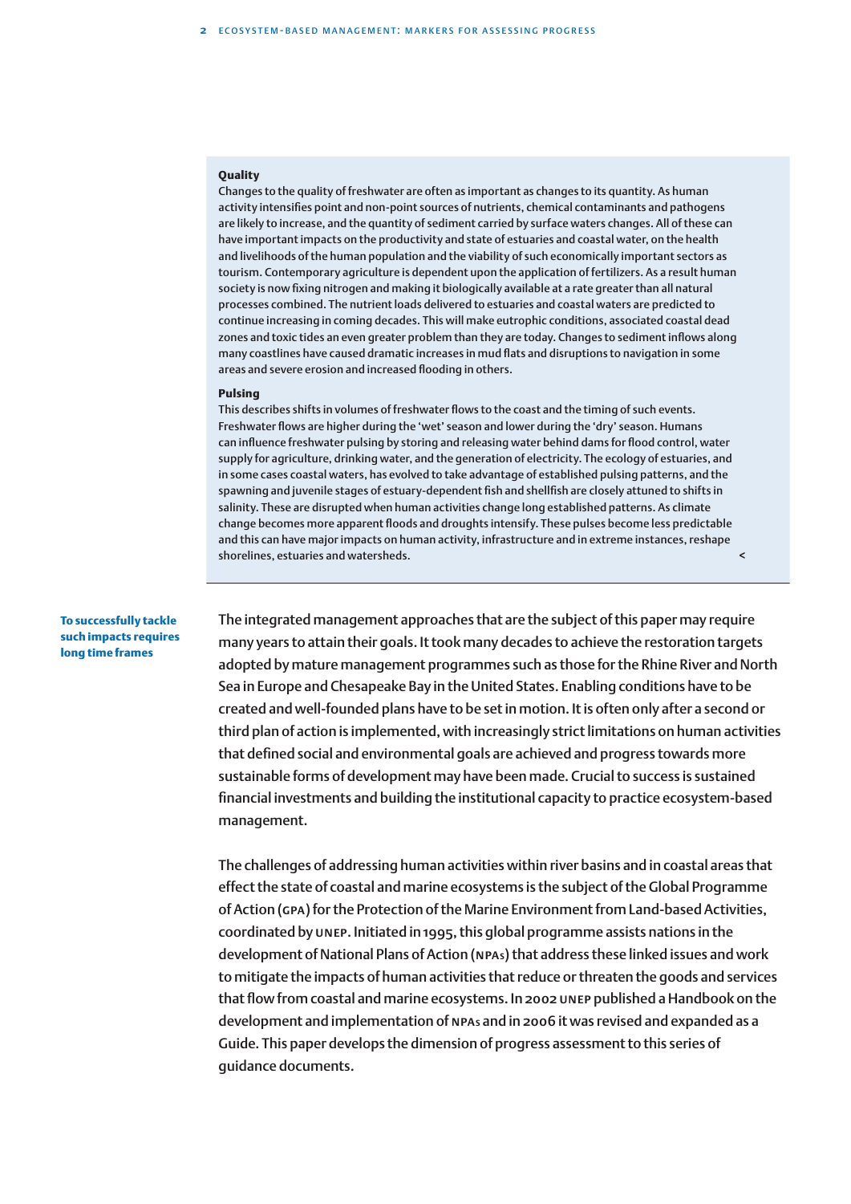#### **Quality**

Changes to the quality of freshwater are often as important as changes to its quantity. As human activity intensifies point and non-point sources of nutrients, chemical contaminants and pathogens are likely to increase, and the quantity of sediment carried by surface waters changes. All of these can have important impacts on the productivity and state of estuaries and coastal water, on the health and livelihoods of the human population and the viability of such economically important sectors as tourism. Contemporary agriculture is dependent upon the application of fertilizers. As a result human society is now fixing nitrogen and making it biologically available at a rate greater than all natural processes combined. The nutrient loads delivered to estuaries and coastal waters are predicted to continue increasing in coming decades. This will make eutrophic conditions, associated coastal dead zones and toxic tides an even greater problem than they are today. Changes to sediment inflows along many coastlines have caused dramatic increases in mud flats and disruptions to navigation in some areas and severe erosion and increased flooding in others.

#### Pulsing

This describes shifts in volumes of freshwater flows to the coast and the timing of such events. Freshwater flows are higher during the 'wet' season and lower during the 'dry' season. Humans can influence freshwater pulsing by storing and releasing water behind dams for flood control, water supply for agriculture, drinking water, and the generation of electricity. The ecology of estuaries, and in some cases coastal waters, has evolved to take advantage of established pulsing patterns, and the spawning and juvenile stages of estuary-dependent fish and shellfish are closely attuned to shifts in salinity. These are disrupted when human activities change long established patterns. As climate change becomes more apparent floods and droughts intensify. These pulses become less predictable and this can have major impacts on human activity, infrastructure and in extreme instances, reshape shorelines, estuaries and watersheds. <

#### To successfully tackle such impacts requires long time frames

The integrated management approaches that are the subject of this paper may require many years to attain their goals. It took many decades to achieve the restoration targets adopted by mature management programmes such as those for the Rhine River and North Sea in Europe and Chesapeake Bay in the United States. Enabling conditions have to be created and well-founded plans have to be set in motion. It is often only after a second or third plan of action is implemented, with increasingly strict limitations on human activities that defined social and environmental goals are achieved and progress towards more sustainable forms of development may have been made. Crucial to success is sustained financial investments and building the institutional capacity to practice ecosystem-based management.

The challenges of addressing human activities within river basins and in coastal areas that effect the state of coastal and marine ecosystems is the subject of the Global Programme of Action (gpa) for the Protection of the Marine Environment from Land-based Activities, coordinated by unep. Initiated in 1995, this global programme assists nations in the development of National Plans of Action (npas) that address these linked issues and work to mitigate the impacts of human activities that reduce or threaten the goods and services that flow from coastal and marine ecosystems. In 2002 unep published a Handbook on the development and implementation of npa<sup>s</sup> and in 2006 it was revised and expanded as a Guide. This paper develops the dimension of progress assessment to this series of guidance documents.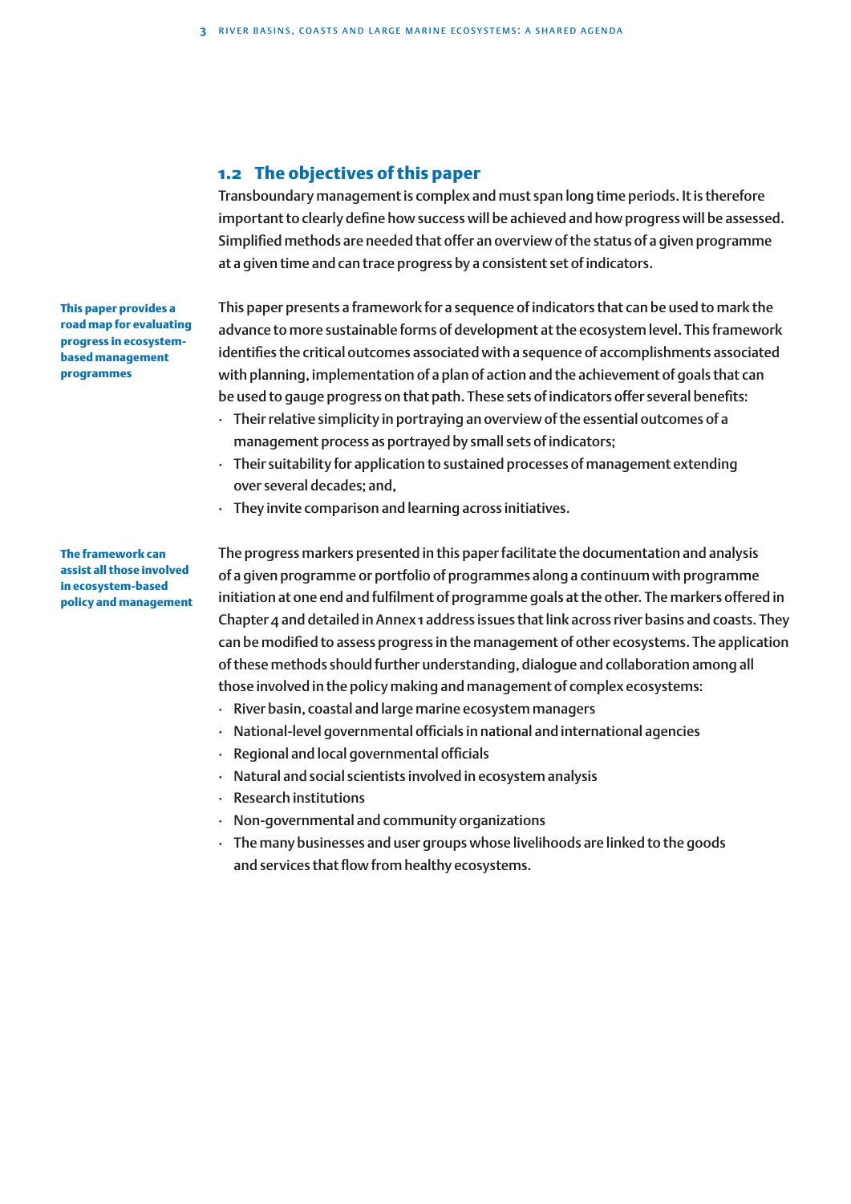#### 1.2 The objectives of this paper

Transboundary management is complex and must span long time periods. It is therefore important to clearly define how success will be achieved and how progress will be assessed. Simplified methods are needed that offer an overview of the status of a given programme at a given time and can trace progress by a consistent set of indicators.

#### This paper provides a road map for evaluating progress in ecosystembased management programmes

This paper presents a framework for a sequence of indicators that can be used to mark the advance to more sustainable forms of development at the ecosystem level. This framework identifies the critical outcomes associated with a sequence of accomplishments associated with planning, implementation of a plan of action and the achievement of goals that can be used to gauge progress on that path. These sets of indicators offer several benefits:

- · Their relative simplicity in portraying an overview of the essential outcomes of a management process as portrayed by small sets of indicators;
- · Their suitability for application to sustained processes of management extending over several decades; and,
- · They invite comparison and learning across initiatives.

#### The framework can assist all those involved in ecosystem-based policy and management

The progress markers presented in this paper facilitate the documentation and analysis of a given programme or portfolio of programmes along a continuum with programme initiation at one end and fulfilment of programme goals at the other. The markers offered in Chapter  $\mu$  and detailed in Annex 1 address issues that link across river basins and coasts. They can be modified to assess progress in the management of other ecosystems. The application of these methods should further understanding, dialogue and collaboration among all those involved in the policy making and management of complex ecosystems:

- · River basin, coastal and large marine ecosystem managers
- · National-level governmental officials in national and international agencies
- · Regional and local governmental officials
- · Natural and social scientists involved in ecosystem analysis
- · Research institutions
- · Non-governmental and community organizations
- · The many businesses and user groups whose livelihoods are linked to the goods and services that flow from healthy ecosystems.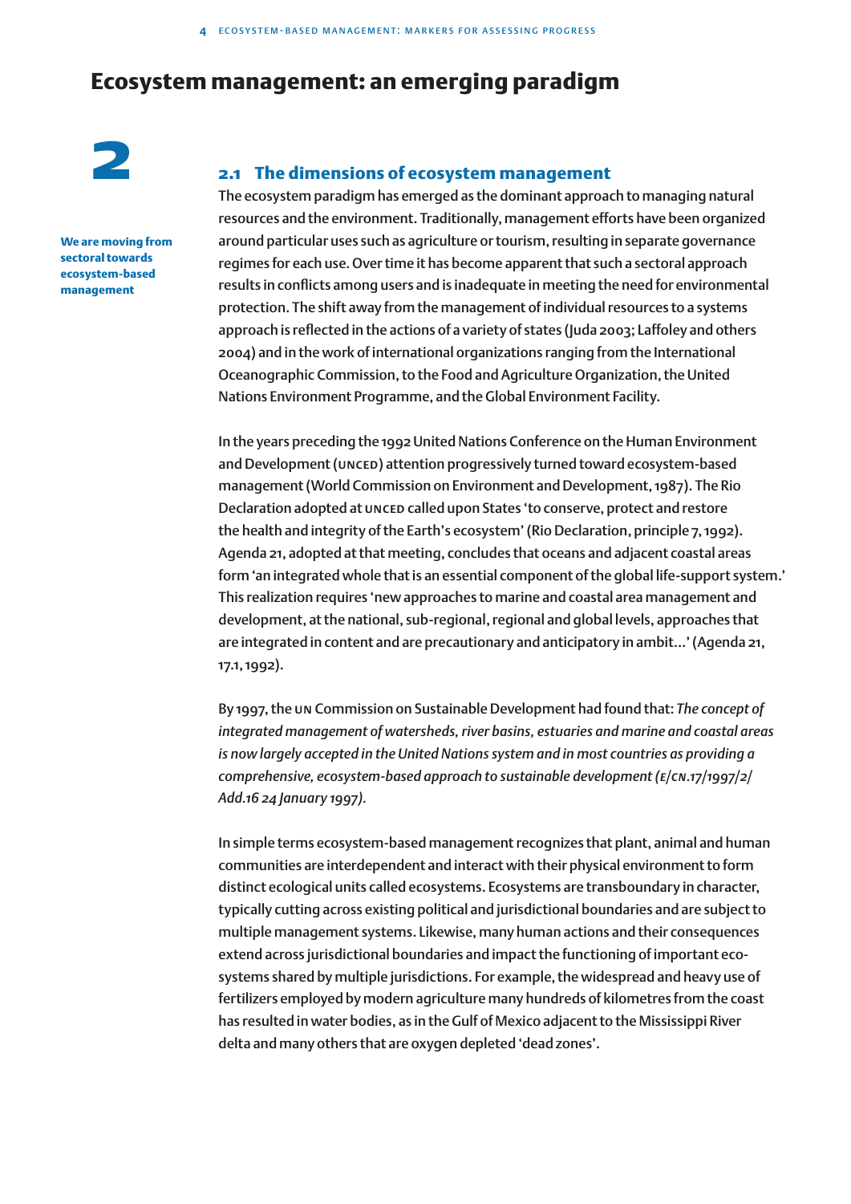### Ecosystem management: an emerging paradigm



We are moving from sectoral towards ecosystem-based management

# 2 2.1 The dimensions of ecosystem management

The ecosystem paradigm has emerged as the dominant approach to managing natural resources and the environment. Traditionally, management efforts have been organized around particular uses such as agriculture or tourism, resulting in separate governance regimes for each use. Over time it has become apparent that such a sectoral approach results in conflicts among users and is inadequate in meeting the need for environmental protection. The shift away from the management of individual resources to a systems approach is reflected in the actions of a variety of states (Juda 2003; Laffoley and others 2004) and in the work of international organizations ranging from the International Oceanographic Commission, to the Food and Agriculture Organization, the United Nations Environment Programme, and the Global Environment Facility.

In the years preceding the 1992 United Nations Conference on the Human Environment and Development (UNCED) attention progressively turned toward ecosystem-based management (World Commission on Environment and Development, 1987). The Rio Declaration adopted at uncep called upon States 'to conserve, protect and restore the health and integrity of the Earth's ecosystem' (Rio Declaration, principle 7, 1992). Agenda 21, adopted at that meeting, concludes that oceans and adjacent coastal areas form 'an integrated whole that is an essential component of the global life-support system.' This realization requires 'new approaches to marine and coastal area management and development, at the national, sub-regional, regional and global levels, approaches that are integrated in content and are precautionary and anticipatory in ambit…' (Agenda 21, 17.1, 1992).

By 1997, the un Commission on Sustainable Development had found that: *The concept of integrated management of watersheds, river basins, estuaries and marine and coastal areas is now largely accepted in the United Nations system and in most countries as providing a comprehensive, ecosystem-based approach to sustainable development (e/cn.17/1997/2/ Add.16 24 January 1997).*

In simple terms ecosystem-based management recognizes that plant, animal and human communities are interdependent and interact with their physical environment to form distinct ecological units called ecosystems. Ecosystems are transboundary in character, typically cutting across existing political and jurisdictional boundaries and are subject to multiple management systems. Likewise, many human actions and their consequences extend across jurisdictional boundaries and impact the functioning of important ecosystems shared by multiple jurisdictions. For example, the widespread and heavy use of fertilizers employed by modern agriculture many hundreds of kilometres from the coast has resulted in water bodies, as in the Gulf of Mexico adjacent to the Mississippi River delta and many others that are oxygen depleted 'dead zones'.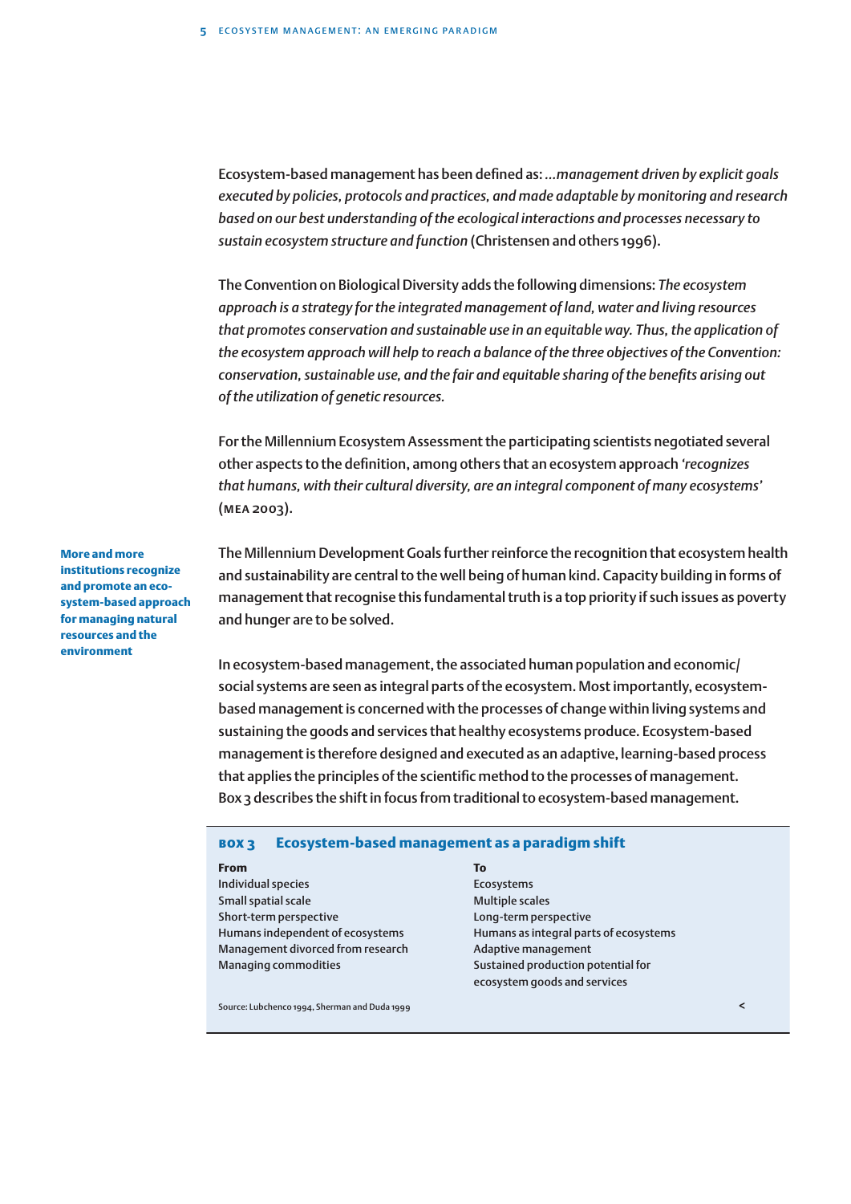Ecosystem-based management has been defined as: *…management driven by explicit goals executed by policies, protocols and practices, and made adaptable by monitoring and research based on our best understanding of the ecological interactions and processes necessary to sustain ecosystem structure and function* (Christensen and others 1996).

The Convention on Biological Diversity adds the following dimensions: *The ecosystem approach is a strategy for the integrated management of land, water and living resources that promotes conservation and sustainable use in an equitable way. Thus, the application of the ecosystem approach will help to reach a balance of the three objectives of the Convention: conservation, sustainable use, and the fair and equitable sharing of the benefits arising out of the utilization of genetic resources.*

For the Millennium Ecosystem Assessment the participating scientists negotiated several other aspects to the definition, among others that an ecosystem approach *'recognizes that humans, with their cultural diversity, are an integral component of many ecosystems'* (mea 2003).

The Millennium Development Goals further reinforce the recognition that ecosystem health and sustainability are central to the well being of human kind. Capacity building in forms of management that recognise this fundamental truth is a top priority if such issues as poverty and hunger are to be solved.

In ecosystem-based management, the associated human population and economic/ social systems are seen as integral parts of the ecosystem. Most importantly, ecosystembased management is concerned with the processes of change within living systems and sustaining the goods and services that healthy ecosystems produce. Ecosystem-based management is therefore designed and executed as an adaptive, learning-based process that applies the principles of the scientific method to the processes of management. Box 3 describes the shift in focus from traditional to ecosystem-based management.

#### **BOX 3** 3 Ecosystem-based management as a paradigm shift

#### From To

Individual species **Ecosystems** Small spatial scale Multiple scales Short-term perspective Long-term perspective Management divorced from research and Adaptive management Managing commodities Sustained production potential for

Humans independent of ecosystems **Humans as integral parts of ecosystems** ecosystem goods and services

Source: Lubchenco 1994, Sherman and Duda 1999 <

More and more institutions recognize and promote an ecosystem-based approach for managing natural resources and the environment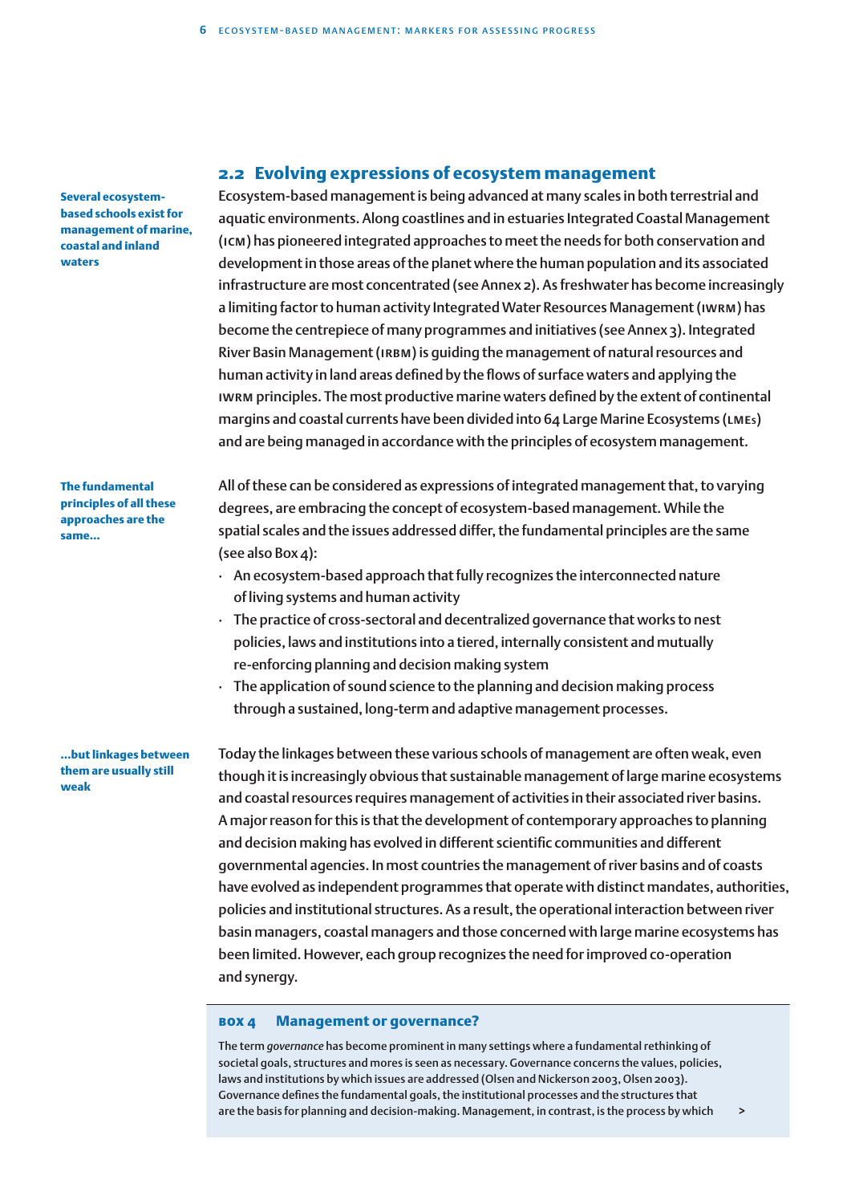Several ecosystembased schools exist for management of marine, coastal and inland waters

The fundamental principles of all these approaches are the same…

#### …but linkages between them are usually still weak

### 2.2 Evolving expressions of ecosystem management

Ecosystem-based management is being advanced at many scales in both terrestrial and aquatic environments. Along coastlines and in estuaries Integrated Coastal Management (icm) has pioneered integrated approaches to meet the needs for both conservation and development in those areas of the planet where the human population and its associated infrastructure are most concentrated (see Annex 2). As freshwater has become increasingly a limiting factor to human activity Integrated Water Resources Management (iwrm) has become the centrepiece of many programmes and initiatives (see Annex 3). Integrated River Basin Management (IRBM) is quiding the management of natural resources and human activity in land areas defined by the flows of surface waters and applying the iwrm principles. The most productive marine waters defined by the extent of continental margins and coastal currents have been divided into 64 Large Marine Ecosystems (lmes) and are being managed in accordance with the principles of ecosystem management.

All of these can be considered as expressions of integrated management that, to varying degrees, are embracing the concept of ecosystem-based management. While the spatial scales and the issues addressed differ, the fundamental principles are the same (see also Box 4):

- · An ecosystem-based approach that fully recognizes the interconnected nature of living systems and human activity
- · The practice of cross-sectoral and decentralized governance that works to nest policies, laws and institutions into a tiered, internally consistent and mutually re-enforcing planning and decision making system
- · The application of sound science to the planning and decision making process through a sustained, long-term and adaptive management processes.

Today the linkages between these various schools of management are often weak, even though it is increasingly obvious that sustainable management of large marine ecosystems and coastal resources requires management of activities in their associated river basins. A major reason for this is that the development of contemporary approaches to planning and decision making has evolved in different scientific communities and different governmental agencies. In most countries the management of river basins and of coasts have evolved as independent programmes that operate with distinct mandates, authorities, policies and institutional structures. As a result, the operational interaction between river basin managers, coastal managers and those concerned with large marine ecosystems has been limited. However, each group recognizes the need for improved co-operation and synergy.

#### **BOX 4** 4 Management or governance?

The term *governance* has become prominent in many settings where a fundamental rethinking of societal goals, structures and mores is seen as necessary. Governance concerns the values, policies, laws and institutions by which issues are addressed (Olsen and Nickerson 2003, Olsen 2003). Governance defines the fundamental goals, the institutional processes and the structures that are the basis for planning and decision-making. Management, in contrast, is the process by which  $\rightarrow$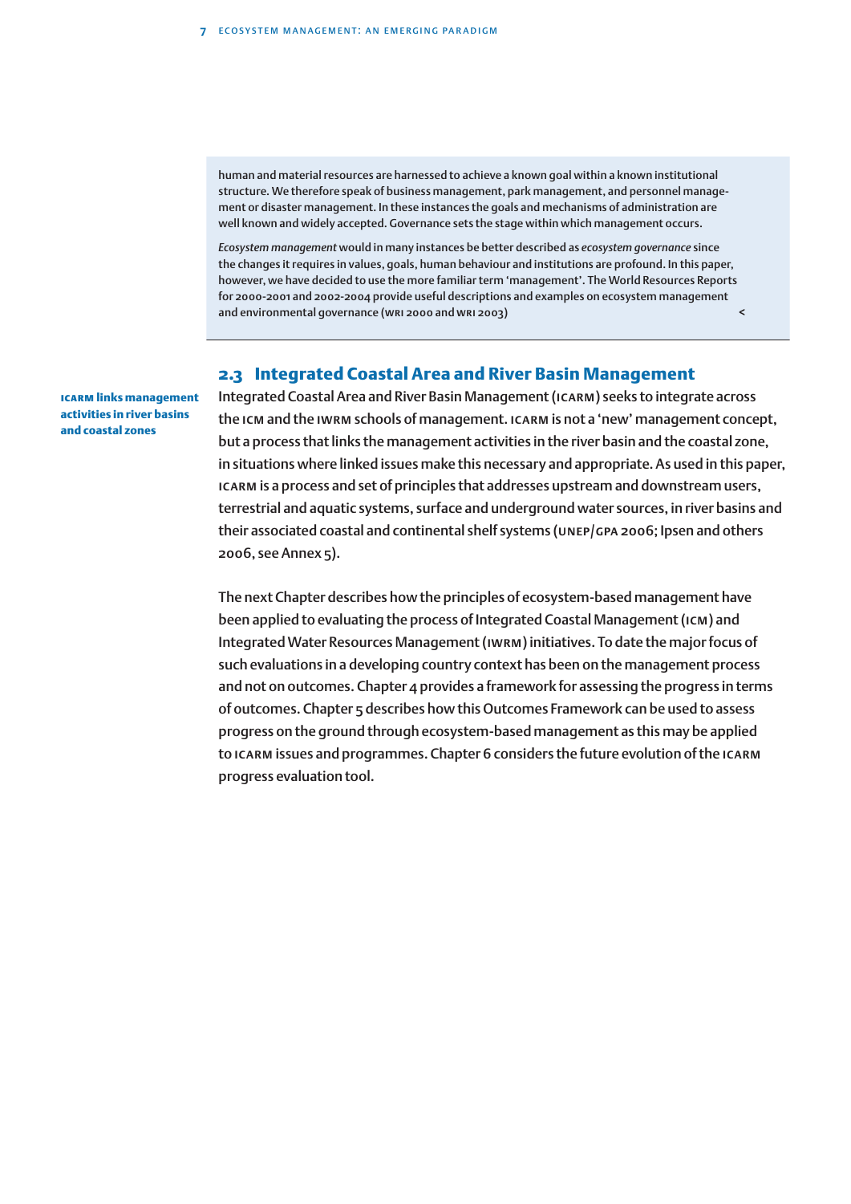human and material resources are harnessed to achieve a known goal within a known institutional structure. We therefore speak of business management, park management, and personnel management or disaster management. In these instances the goals and mechanisms of administration are well known and widely accepted. Governance sets the stage within which management occurs.

*Ecosystem management* would in many instances be better described as *ecosystem governance* since the changes it requires in values, goals, human behaviour and institutions are profound. In this paper, however, we have decided to use the more familiar term 'management'. The World Resources Reports for 2000-2001 and 2002-2004 provide useful descriptions and examples on ecosystem management and environmental governance (wri 2000 and wri 2003) <

#### 2.3 Integrated Coastal Area and River Basin Management

icarm links management activities in river basins and coastal zones

Integrated Coastal Area and River Basin Management (icarm) seeks to integrate across the icm and the iwrm schools of management. icarm is not a 'new' management concept, but a process that links the management activities in the river basin and the coastal zone, in situations where linked issues make this necessary and appropriate. As used in this paper, icarm is a process and set of principles that addresses upstream and downstream users, terrestrial and aquatic systems, surface and underground water sources, in river basins and their associated coastal and continental shelf systems (unep/gpa 2006; Ipsen and others 2006, see Annex 5).

The next Chapter describes how the principles of ecosystem-based management have been applied to evaluating the process of Integrated Coastal Management (icm) and Integrated Water Resources Management (iwrm) initiatives. To date the major focus of such evaluations in a developing country context has been on the management process and not on outcomes. Chapter 4 provides a framework for assessing the progress in terms of outcomes. Chapter 5 describes how this Outcomes Framework can be used to assess progress on the ground through ecosystem-based management as this may be applied to icarm issues and programmes. Chapter 6 considers the future evolution of the icarm progress evaluation tool.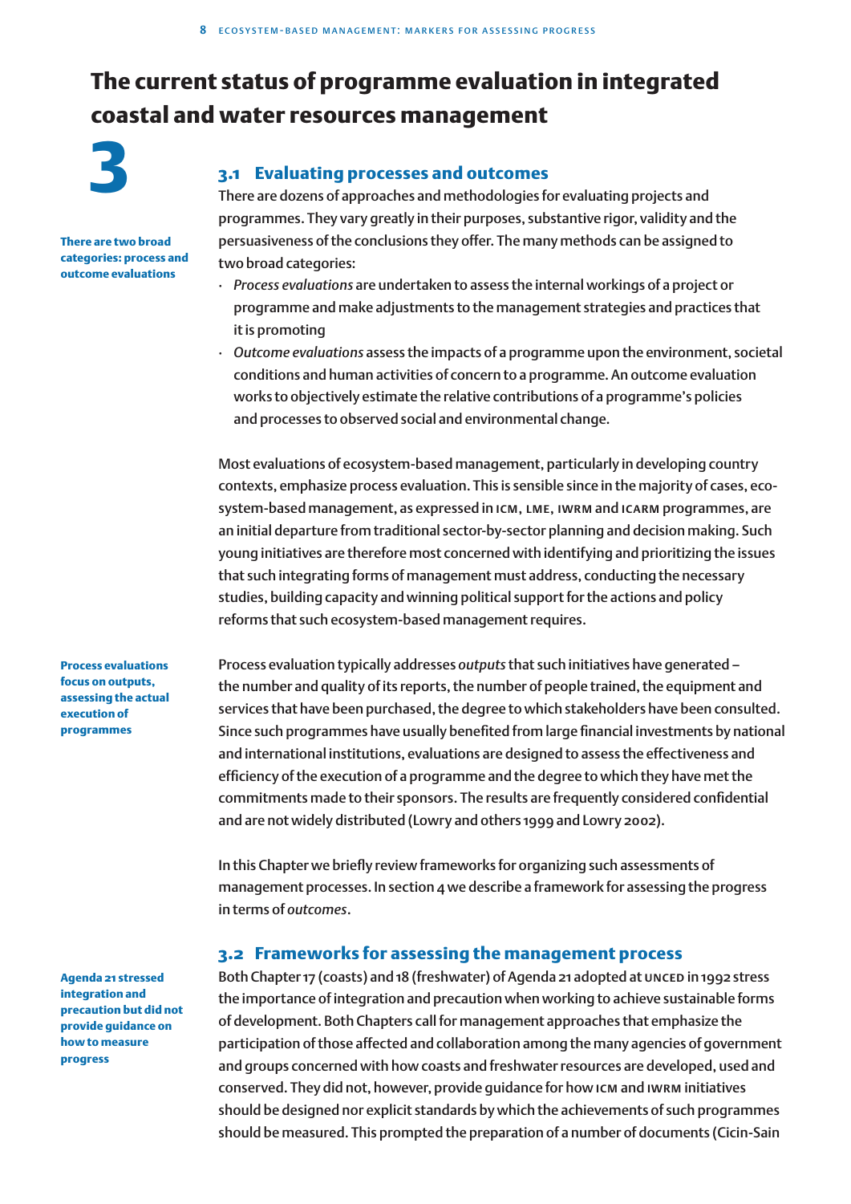# The current status of programme evaluation in integrated coastal and water resources management



There are two broad categories: process and outcome evaluations

### **3.1 Evaluating processes and outcomes**

There are dozens of approaches and methodologies for evaluating projects and programmes. They vary greatly in their purposes, substantive rigor, validity and the persuasiveness of the conclusions they offer. The many methods can be assigned to two broad categories:

- · *Process evaluations* are undertaken to assess the internal workings of a project or programme and make adjustments to the management strategies and practices that it is promoting
- · *Outcome evaluations* assess the impacts of a programme upon the environment, societal conditions and human activities of concern to a programme. An outcome evaluation works to objectively estimate the relative contributions of a programme's policies and processes to observed social and environmental change.

Most evaluations of ecosystem-based management, particularly in developing country contexts, emphasize process evaluation. This is sensible since in the majority of cases, ecosystem-based management, as expressed in icm, lme, iwrm and icarm programmes, are an initial departure from traditional sector-by-sector planning and decision making. Such young initiatives are therefore most concerned with identifying and prioritizing the issues that such integrating forms of management must address, conducting the necessary studies, building capacity and winning political support for the actions and policy reforms that such ecosystem-based management requires.

Process evaluations focus on outputs, assessing the actual execution of programmes

Process evaluation typically addresses *outputs* that such initiatives have generated – the number and quality of its reports, the number of people trained, the equipment and services that have been purchased, the degree to which stakeholders have been consulted. Since such programmes have usually benefited from large financial investments by national and international institutions, evaluations are designed to assess the effectiveness and efficiency of the execution of a programme and the degree to which they have met the commitments made to their sponsors. The results are frequently considered confidential and are not widely distributed (Lowry and others 1999 and Lowry 2002).

In this Chapter we briefly review frameworks for organizing such assessments of management processes. In section 4 we describe a framework for assessing the progress in terms of *outcomes*.

### 3.2 Frameworks for assessing the management process

Both Chapter 17 (coasts) and 18 (freshwater) of Agenda 21 adopted at uncep in 1992 stress the importance of integration and precaution when working to achieve sustainable forms of development. Both Chapters call for management approaches that emphasize the participation of those affected and collaboration among the many agencies of government and groups concerned with how coasts and freshwater resources are developed, used and conserved. They did not, however, provide guidance for how icm and iwrm initiatives should be designed nor explicit standards by which the achievements of such programmes should be measured. This prompted the preparation of a number of documents (Cicin-Sain

Agenda 21 stressed integration and precaution but did not provide guidance on how to measure progress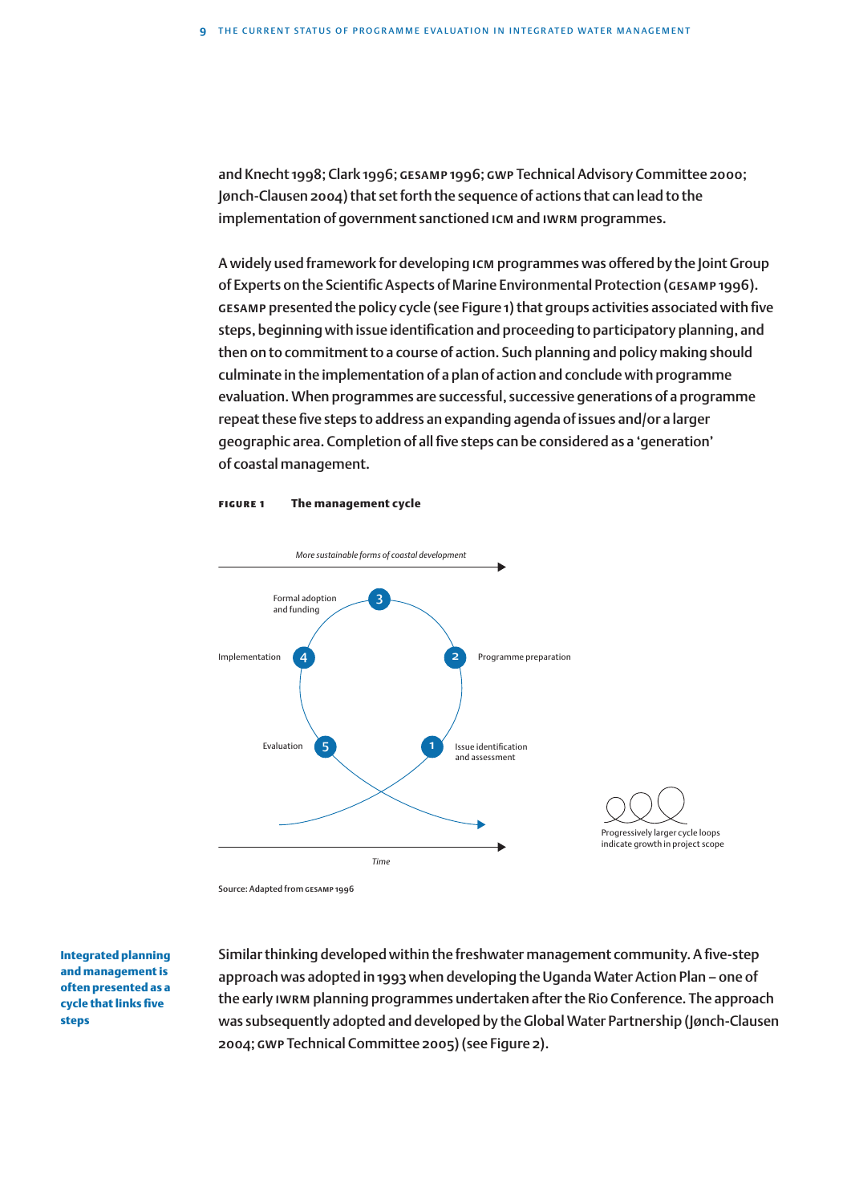and Knecht 1998; Clark 1996; gesamp 1996; gwp Technical Advisory Committee 2000; Jønch-Clausen 2004) that set forth the sequence of actions that can lead to the implementation of government sanctioned icm and iwrm programmes.

A widely used framework for developing icm programmes was offered by the Joint Group of Experts on the Scientific Aspects of Marine Environmental Protection (gesamp 1996). gesamp presented the policy cycle (see Figure 1) that groups activities associated with five steps, beginning with issue identification and proceeding to participatory planning, and then on to commitment to a course of action. Such planning and policy making should culminate in the implementation of a plan of action and conclude with programme evaluation. When programmes are successful, successive generations of a programme repeat these five steps to address an expanding agenda of issues and/or a larger geographic area. Completion of all five steps can be considered as a 'generation' of coastal management.

#### figure 1The management cycle



Source: Adapted from GESAMP 1996

Integrated planning and management is often presented as a cycle that links five steps

Similar thinking developed within the freshwater management community. A five-step approach was adopted in 1993 when developing the Uganda Water Action Plan – one of the early iwrm planning programmes undertaken after the Rio Conference. The approach was subsequently adopted and developed by the Global Water Partnership (Jønch-Clausen 2004; gwp Technical Committee 2005) (see Figure 2).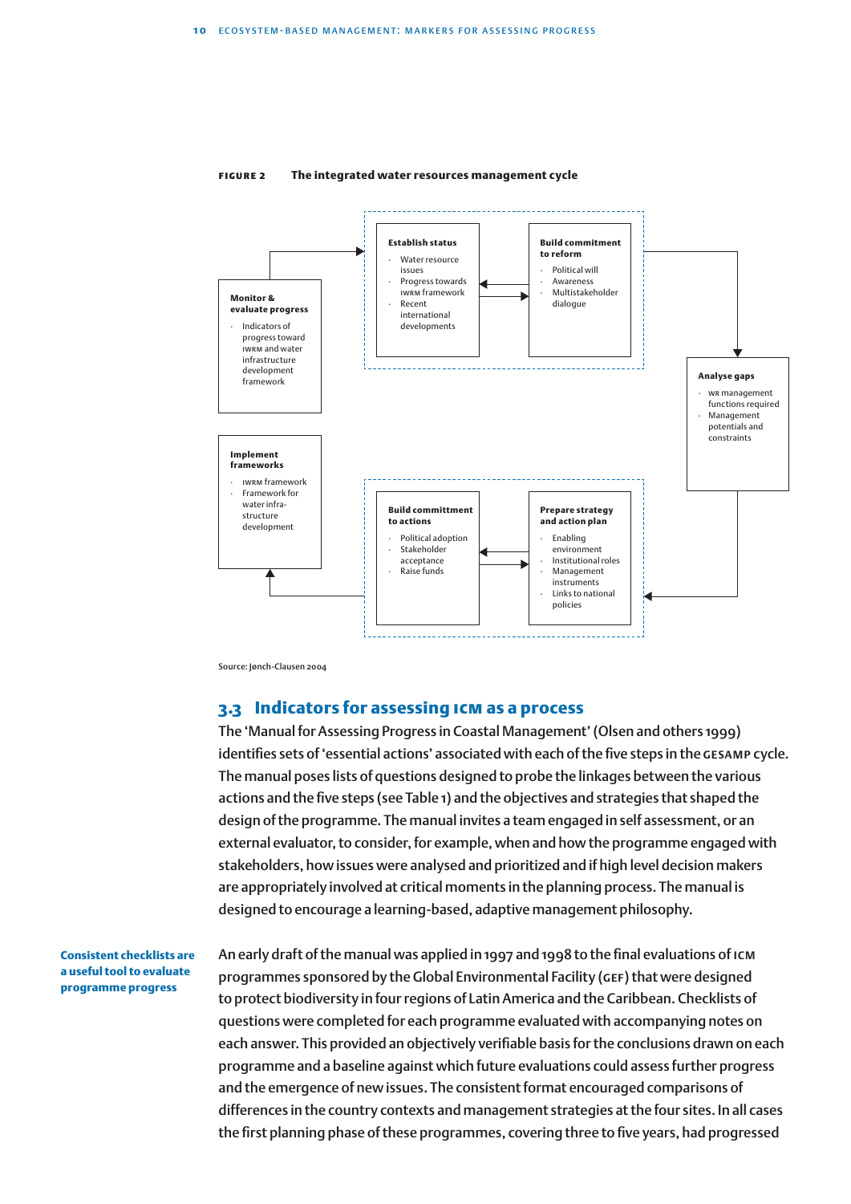

#### figure 2The integrated water resources management cycle

Source: Jønch-Clausen 2004

#### 3.3 Indicators for assessing icm as a process

The 'Manual for Assessing Progress in Coastal Management' (Olsen and others 1999) identifies sets of 'essential actions' associated with each of the five steps in the gesamp cycle. The manual poses lists of questions designed to probe the linkages between the various actions and the five steps (see Table 1) and the objectives and strategies that shaped the design of the programme. The manual invites a team engaged in self assessment, or an external evaluator, to consider, for example, when and how the programme engaged with stakeholders, how issues were analysed and prioritized and if high level decision makers are appropriately involved at critical moments in the planning process. The manual is designed to encourage a learning-based, adaptive management philosophy.

Consistent checklists are a useful tool to evaluate programme progress

An early draft of the manual was applied in 1997 and 1998 to the final evaluations of icm programmes sponsored by the Global Environmental Facility (GEF) that were designed to protect biodiversity in four regions of Latin America and the Caribbean. Checklists of questions were completed for each programme evaluated with accompanying notes on each answer. This provided an objectively verifiable basis for the conclusions drawn on each programme and a baseline against which future evaluations could assess further progress and the emergence of new issues. The consistent format encouraged comparisons of differences in the country contexts and management strategies at the four sites. In all cases the first planning phase of these programmes, covering three to five years, had progressed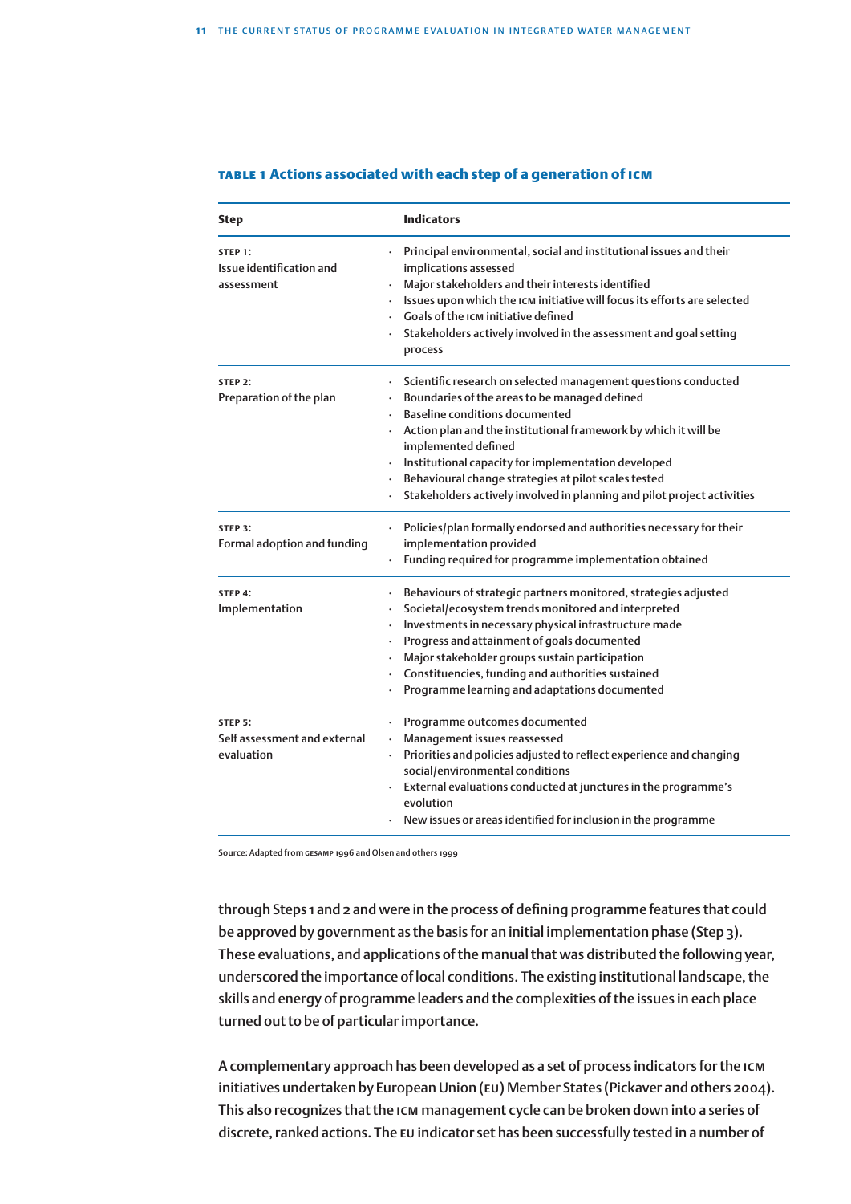| TABLE 1 Actions associated with each step of a generation of ICM |  |  |  |
|------------------------------------------------------------------|--|--|--|
|                                                                  |  |  |  |

| <b>Step</b>                                                  | <b>Indicators</b>                                                                                                                                                                                                                                                                                                                                                                                                                                |
|--------------------------------------------------------------|--------------------------------------------------------------------------------------------------------------------------------------------------------------------------------------------------------------------------------------------------------------------------------------------------------------------------------------------------------------------------------------------------------------------------------------------------|
| <b>STEP 1:</b><br>Issue identification and<br>assessment     | Principal environmental, social and institutional issues and their<br>implications assessed<br>Major stakeholders and their interests identified<br>Issues upon which the ICM initiative will focus its efforts are selected<br>Goals of the ICM initiative defined<br>Stakeholders actively involved in the assessment and goal setting<br>process                                                                                              |
| <b>STEP 2:</b><br>Preparation of the plan                    | Scientific research on selected management questions conducted<br>Boundaries of the areas to be managed defined<br><b>Baseline conditions documented</b><br>Action plan and the institutional framework by which it will be<br>implemented defined<br>· Institutional capacity for implementation developed<br>· Behavioural change strategies at pilot scales tested<br>Stakeholders actively involved in planning and pilot project activities |
| STEP 3:<br>Formal adoption and funding                       | Policies/plan formally endorsed and authorities necessary for their<br>implementation provided<br>Funding required for programme implementation obtained                                                                                                                                                                                                                                                                                         |
| STEP 4:<br>Implementation                                    | Behaviours of strategic partners monitored, strategies adjusted<br>Societal/ecosystem trends monitored and interpreted<br>Investments in necessary physical infrastructure made<br>Progress and attainment of goals documented<br>Major stakeholder groups sustain participation<br>Constituencies, funding and authorities sustained<br>Programme learning and adaptations documented                                                           |
| <b>STEP 5:</b><br>Self assessment and external<br>evaluation | Programme outcomes documented<br>Management issues reassessed<br>Priorities and policies adjusted to reflect experience and changing<br>social/environmental conditions<br>External evaluations conducted at junctures in the programme's<br>evolution<br>New issues or areas identified for inclusion in the programme                                                                                                                          |

Source: Adapted from gesamp 1996 and Olsen and others 1999

through Steps 1 and 2 and were in the process of defining programme features that could be approved by government as the basis for an initial implementation phase (Step 3). These evaluations, and applications of the manual that was distributed the following year, underscored the importance of local conditions. The existing institutional landscape, the skills and energy of programme leaders and the complexities of the issues in each place turned out to be of particular importance.

A complementary approach has been developed as a set of process indicators for the icm initiatives undertaken by European Union (eu) Member States (Pickaver and others 2004). This also recognizes that the icm management cycle can be broken down into a series of discrete, ranked actions. The eu indicator set has been successfully tested in a number of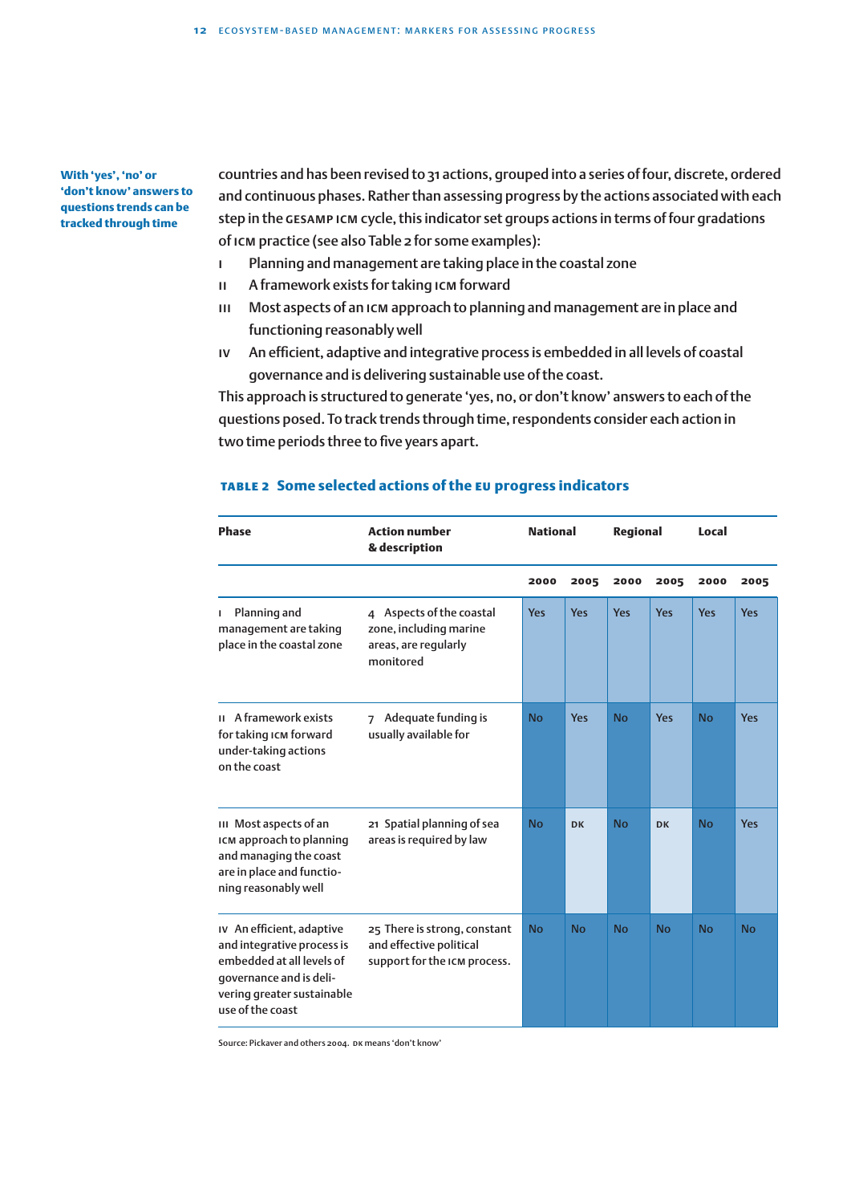#### With 'yes', 'no' or 'don't know' answers to questions trends can be tracked through time

countries and has been revised to 31 actions, grouped into a series of four, discrete, ordered and continuous phases. Rather than assessing progress by the actions associated with each step in the GESAMP ICM cycle, this indicator set groups actions in terms of four gradations of icm practice (see also Table 2 for some examples):

- i Planning and management are taking place in the coastal zone
- ii A framework exists for taking icm forward
- iii Most aspects of an icm approach to planning and management are in place and functioning reasonably well
- iv An efficient, adaptive and integrative process is embedded in all levels of coastal governance and is delivering sustainable use of the coast.

This approach is structured to generate 'yes, no, or don't know' answers to each of the questions posed. To track trends through time, respondents consider each action in two time periods three to five years apart.

| <b>Phase</b>                                                                                                                                                      | <b>Action number</b><br>& description                                                   | <b>National</b> |            | <b>Regional</b> |           | <b>Local</b> |            |
|-------------------------------------------------------------------------------------------------------------------------------------------------------------------|-----------------------------------------------------------------------------------------|-----------------|------------|-----------------|-----------|--------------|------------|
|                                                                                                                                                                   |                                                                                         | 2000            | 2005       | 2000            | 2005      | 2000         | 2005       |
| Planning and<br>г<br>management are taking<br>place in the coastal zone                                                                                           | 4 Aspects of the coastal<br>zone, including marine<br>areas, are regularly<br>monitored | <b>Yes</b>      | Yes        | <b>Yes</b>      | Yes       | <b>Yes</b>   | <b>Yes</b> |
| <b>II</b> A framework exists<br>for taking ICM forward<br>under-taking actions<br>on the coast                                                                    | Adequate funding is<br>$\overline{7}$<br>usually available for                          | <b>No</b>       | <b>Yes</b> | <b>No</b>       | Yes       | <b>No</b>    | <b>Yes</b> |
| III Most aspects of an<br>ICM approach to planning<br>and managing the coast<br>are in place and functio-<br>ning reasonably well                                 | 21 Spatial planning of sea<br>areas is required by law                                  | <b>No</b>       | <b>DK</b>  | <b>No</b>       | <b>DK</b> | <b>No</b>    | <b>Yes</b> |
| IV An efficient, adaptive<br>and integrative process is<br>embedded at all levels of<br>qovernance and is deli-<br>vering greater sustainable<br>use of the coast | 25 There is strong, constant<br>and effective political<br>support for the ICM process. | <b>No</b>       | <b>No</b>  | <b>No</b>       | <b>No</b> | <b>No</b>    | <b>No</b>  |

#### table 2 Some selected actions of the eu progress indicators

Source: Pickaver and others 2004. DK means 'don't know'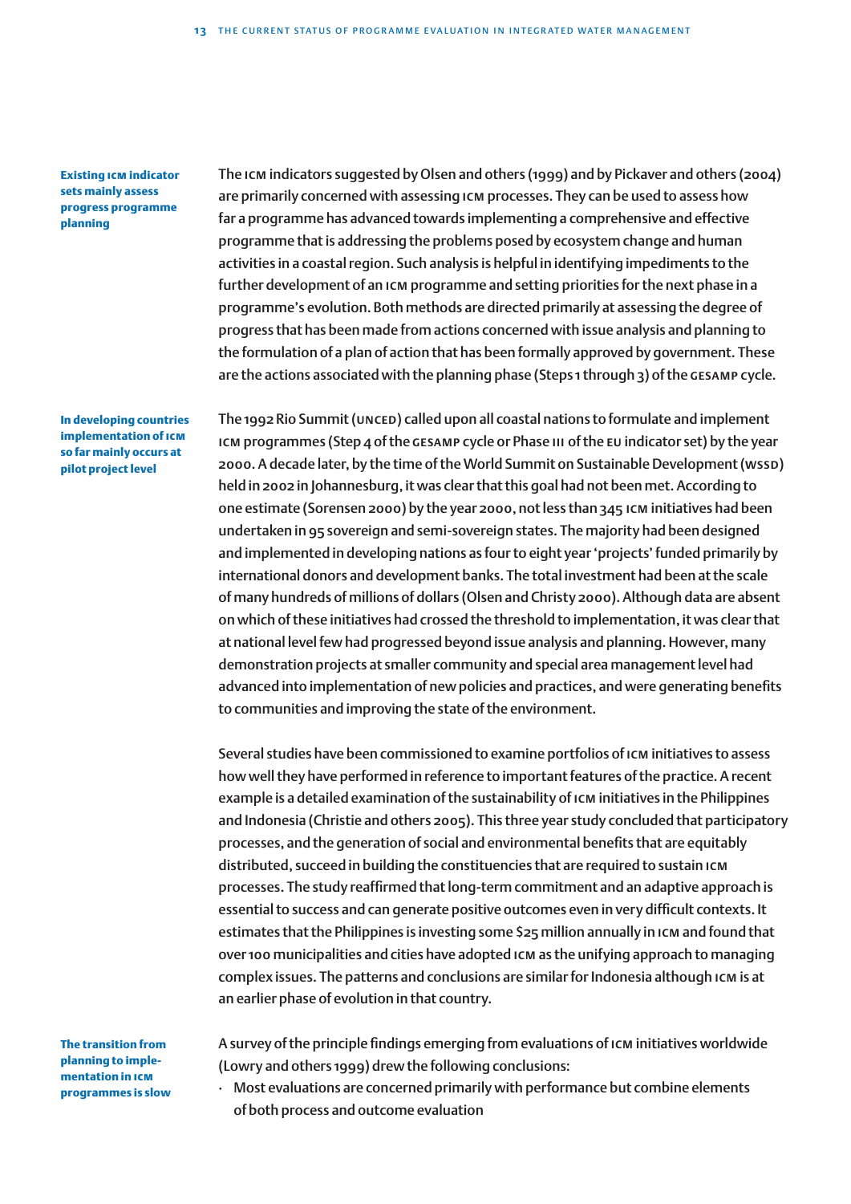Existing icm indicator sets mainly assess progress programme planning

In developing countries implementation of icm so far mainly occurs at pilot project level

The icm indicators suggested by Olsen and others (1999) and by Pickaver and others (2004) are primarily concerned with assessing icm processes. They can be used to assess how far a programme has advanced towards implementing a comprehensive and effective programme that is addressing the problems posed by ecosystem change and human activities in a coastal region. Such analysis is helpful in identifying impediments to the further development of an icm programme and setting priorities for the next phase in a programme's evolution. Both methods are directed primarily at assessing the degree of progress that has been made from actions concerned with issue analysis and planning to the formulation of a plan of action that has been formally approved by government. These are the actions associated with the planning phase (Steps 1 through 3) of the gesamp cycle.

The 1992 Rio Summit (UNCED) called upon all coastal nations to formulate and implement icm programmes (Step 4 of the gesamp cycle or Phase iii of the eu indicator set) by the year 2000. A decade later, by the time of the World Summit on Sustainable Development (wssp) held in 2002 in Johannesburg, it was clear that this goal had not been met. According to one estimate (Sorensen 2000) by the year 2000, not less than 345 icm initiatives had been undertaken in 95 sovereign and semi-sovereign states. The majority had been designed and implemented in developing nations as four to eight year 'projects' funded primarily by international donors and development banks. The total investment had been at the scale of many hundreds of millions of dollars (Olsen and Christy 2000). Although data are absent on which of these initiatives had crossed the threshold to implementation, it was clear that at national level few had progressed beyond issue analysis and planning. However, many demonstration projects at smaller community and special area management level had advanced into implementation of new policies and practices, and were generating benefits to communities and improving the state of the environment.

Several studies have been commissioned to examine portfolios of icm initiatives to assess how well they have performed in reference to important features of the practice. A recent example is a detailed examination of the sustainability of icm initiatives in the Philippines and Indonesia (Christie and others 2005). This three year study concluded that participatory processes, and the generation of social and environmental benefits that are equitably distributed, succeed in building the constituencies that are required to sustain icm processes. The study reaffirmed that long-term commitment and an adaptive approach is essential to success and can generate positive outcomes even in very difficult contexts. It estimates that the Philippines is investing some \$25 million annually in icm and found that over 100 municipalities and cities have adopted icm as the unifying approach to managing complex issues. The patterns and conclusions are similar for Indonesia although icm is at an earlier phase of evolution in that country.

The transition from planning to implementation in icm programmes is slow A survey of the principle findings emerging from evaluations of icm initiatives worldwide (Lowry and others 1999) drew the following conclusions:

· Most evaluations are concerned primarily with performance but combine elements of both process and outcome evaluation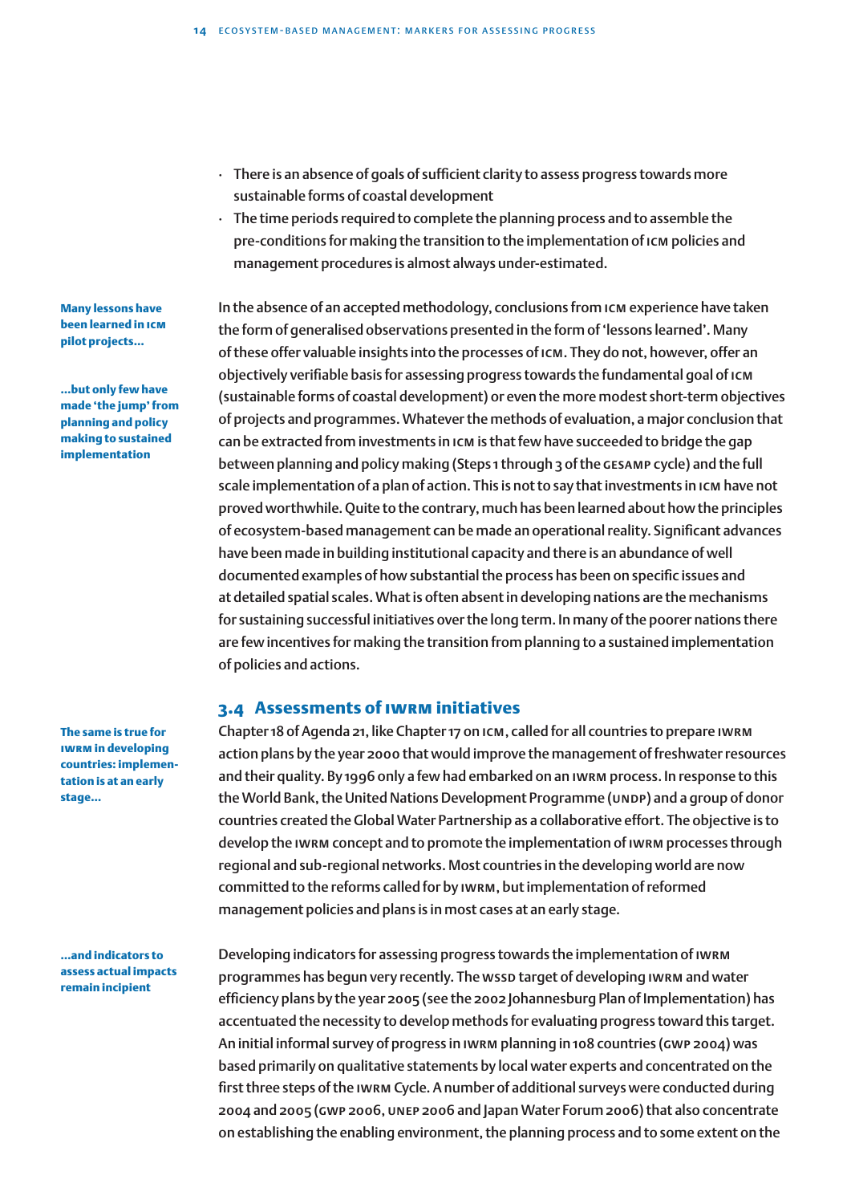- · There is an absence of goals of sufficient clarity to assess progress towards more sustainable forms of coastal development
- · The time periods required to complete the planning process and to assemble the pre-conditions for making the transition to the implementation of icm policies and management procedures is almost always under-estimated.

#### Many lessons have been learned in icm pilot projects…

…but only few have made 'the jump' from planning and policy making to sustained implementation

The same is true for iwrm in developing countries: implementation is at an early stage…

#### …and indicators to assess actual impacts remain incipient

In the absence of an accepted methodology, conclusions from icm experience have taken the form of generalised observations presented in the form of 'lessons learned'. Many of these offer valuable insights into the processes of icm. They do not, however, offer an objectively verifiable basis for assessing progress towards the fundamental goal of icm (sustainable forms of coastal development) or even the more modest short-term objectives of projects and programmes. Whatever the methods of evaluation, a major conclusion that can be extracted from investments in icm is that few have succeeded to bridge the gap between planning and policy making (Steps 1 through 3 of the GESAMP cycle) and the full scale implementation of a plan of action. This is not to say that investments in icm have not proved worthwhile. Quite to the contrary, much has been learned about how the principles of ecosystem-based management can be made an operational reality. Significant advances have been made in building institutional capacity and there is an abundance of well documented examples of how substantial the process has been on specific issues and at detailed spatial scales. What is often absent in developing nations are the mechanisms for sustaining successful initiatives over the long term. In many of the poorer nations there are few incentives for making the transition from planning to a sustained implementation of policies and actions.

#### 3.4 Assessments of iwrm initiatives

Chapter 18 of Agenda 21, like Chapter 17 on icm, called for all countries to prepare iwrm action plans by the year 2000 that would improve the management of freshwater resources and their quality. By 1996 only a few had embarked on an iwrm process. In response to this the World Bank, the United Nations Development Programme (UNDP) and a group of donor countries created the Global Water Partnership as a collaborative effort. The objective is to develop the iwrm concept and to promote the implementation of iwrm processes through regional and sub-regional networks. Most countries in the developing world are now committed to the reforms called for by iwrm, but implementation of reformed management policies and plans is in most cases at an early stage.

Developing indicators for assessing progress towards the implementation of iwrm programmes has begun very recently. The wssp target of developing IWRM and water efficiency plans by the year 2005 (see the 2002 Johannesburg Plan of Implementation) has accentuated the necessity to develop methods for evaluating progress toward this target. An initial informal survey of progress in iwrm planning in 108 countries (gwp 2004) was based primarily on qualitative statements by local water experts and concentrated on the first three steps of the IWRM Cycle. A number of additional surveys were conducted during 2004 and 2005 (gwp 2006, unep 2006 and Japan Water Forum 2006) that also concentrate on establishing the enabling environment, the planning process and to some extent on the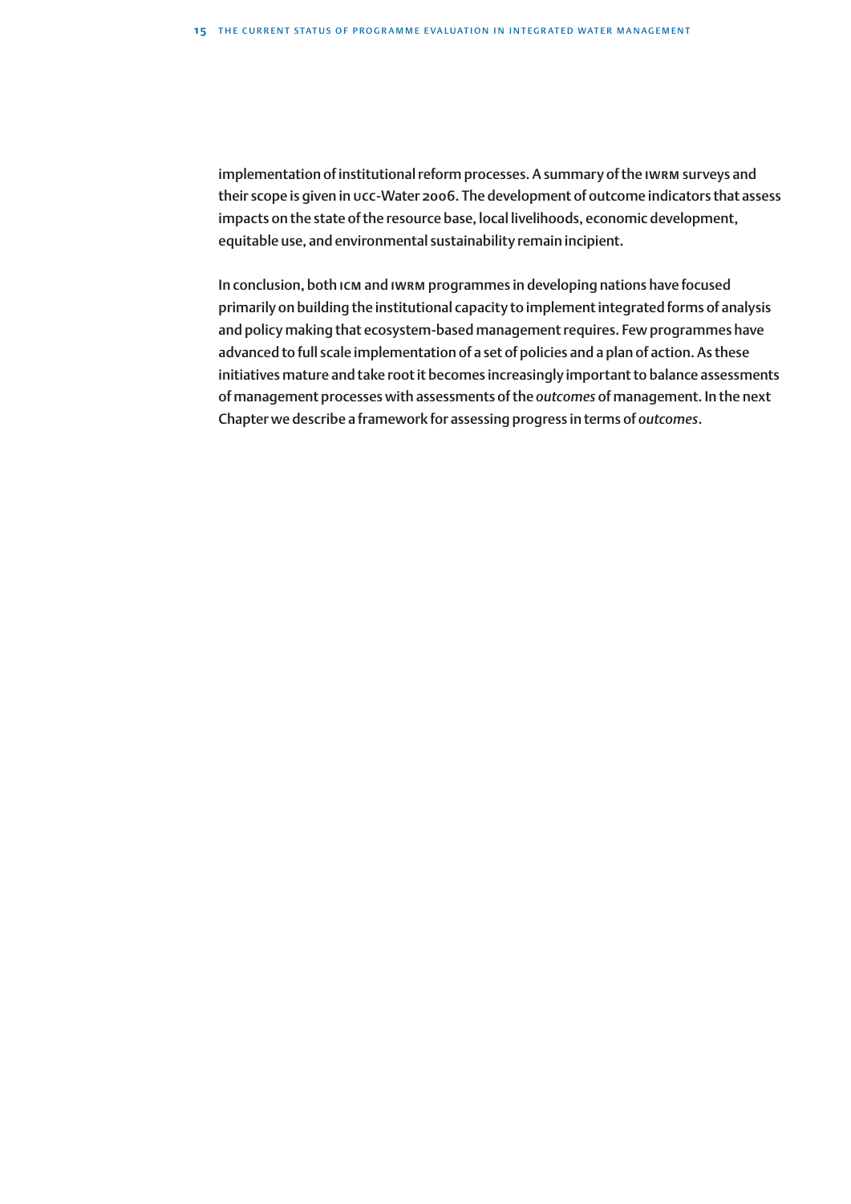implementation of institutional reform processes. A summary of the IWRM surveys and their scope is given in ucc-Water 2006. The development of outcome indicators that assess impacts on the state of the resource base, local livelihoods, economic development, equitable use, and environmental sustainability remain incipient.

In conclusion, both icm and iwrm programmes in developing nations have focused primarily on building the institutional capacity to implement integrated forms of analysis and policy making that ecosystem-based management requires. Few programmes have advanced to full scale implementation of a set of policies and a plan of action. As these initiatives mature and take root it becomes increasingly important to balance assessments of management processes with assessments of the *outcomes* of management. In the next Chapter we describe a framework for assessing progress in terms of *outcomes*.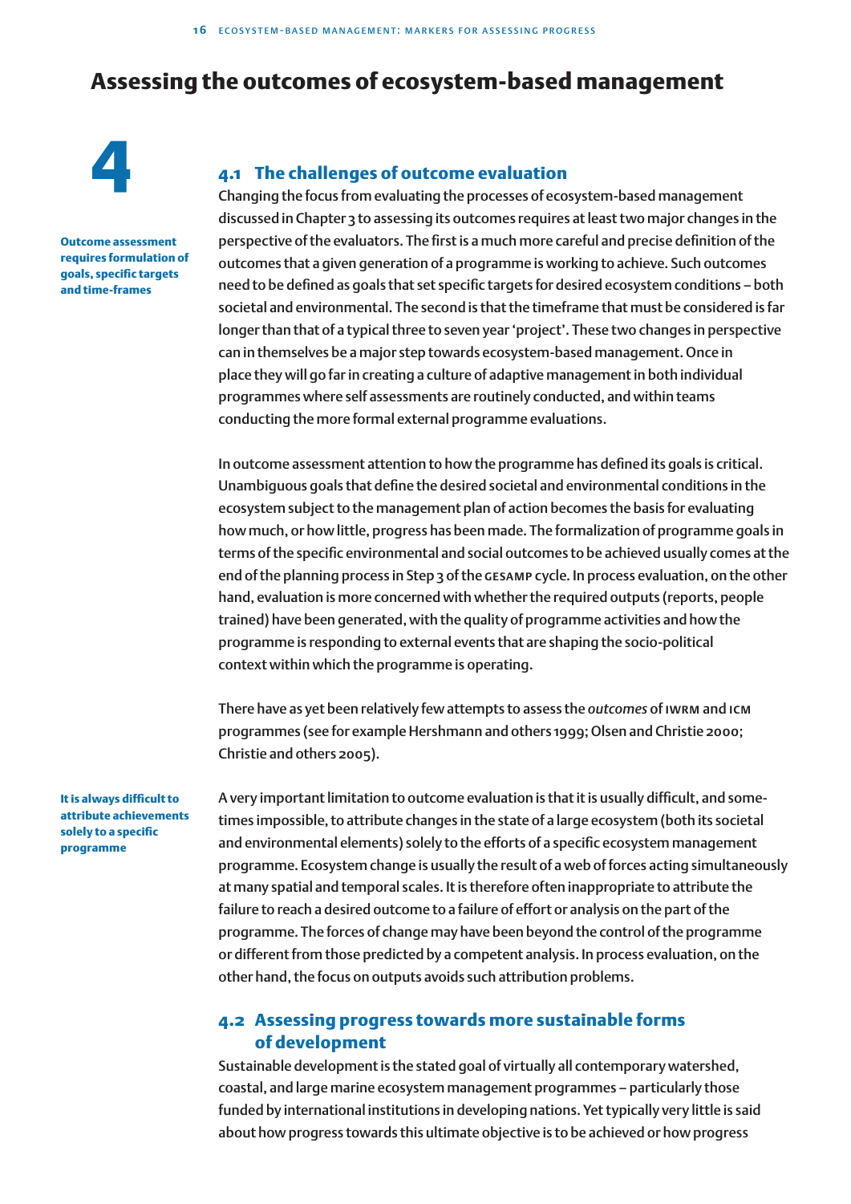### Assessing the outcomes of ecosystem-based management



Outcome assessment requires formulation of goals, specific targets and time-frames

#### 4 4.1 The challenges of outcome evaluation

Changing the focus from evaluating the processes of ecosystem-based management discussed in Chapter 3 to assessing its outcomes requires at least two major changes in the perspective of the evaluators. The first is a much more careful and precise definition of the outcomes that a given generation of a programme is working to achieve. Such outcomes need to be defined as goals that set specific targets for desired ecosystem conditions – both societal and environmental. The second is that the timeframe that must be considered is far longer than that of a typical three to seven year 'project'. These two changes in perspective can in themselves be a major step towards ecosystem-based management. Once in place they will go far in creating a culture of adaptive management in both individual programmes where self assessments are routinely conducted, and within teams conducting the more formal external programme evaluations.

In outcome assessment attention to how the programme has defined its goals is critical. Unambiguous goals that define the desired societal and environmental conditions in the ecosystem subject to the management plan of action becomes the basis for evaluating how much, or how little, progress has been made. The formalization of programme goals in terms of the specific environmental and social outcomes to be achieved usually comes at the end of the planning process in Step 3 of the gesamp cycle. In process evaluation, on the other hand, evaluation is more concerned with whether the required outputs (reports, people trained) have been generated, with the quality of programme activities and how the programme is responding to external events that are shaping the socio-political context within which the programme is operating.

There have as yet been relatively few attempts to assess the *outcomes* of iwrm and icm programmes (see for example Hershmann and others 1999; Olsen and Christie 2000; Christie and others 2005).

It is always difficult to attribute achievements solely to a specific programme

A very important limitation to outcome evaluation is that it is usually difficult, and sometimes impossible, to attribute changes in the state of a large ecosystem (both its societal and environmental elements) solely to the efforts of a specific ecosystem management programme. Ecosystem change is usually the result of a web of forces acting simultaneously at many spatial and temporal scales. It is therefore often inappropriate to attribute the failure to reach a desired outcome to a failure of effort or analysis on the part of the programme. The forces of change may have been beyond the control of the programme or different from those predicted by a competent analysis. In process evaluation, on the other hand, the focus on outputs avoids such attribution problems.

### 4.2 Assessing progress towards more sustainable forms of development

Sustainable development is the stated goal of virtually all contemporary watershed, coastal, and large marine ecosystem management programmes – particularly those funded by international institutions in developing nations. Yet typically very little is said about how progress towards this ultimate objective is to be achieved or how progress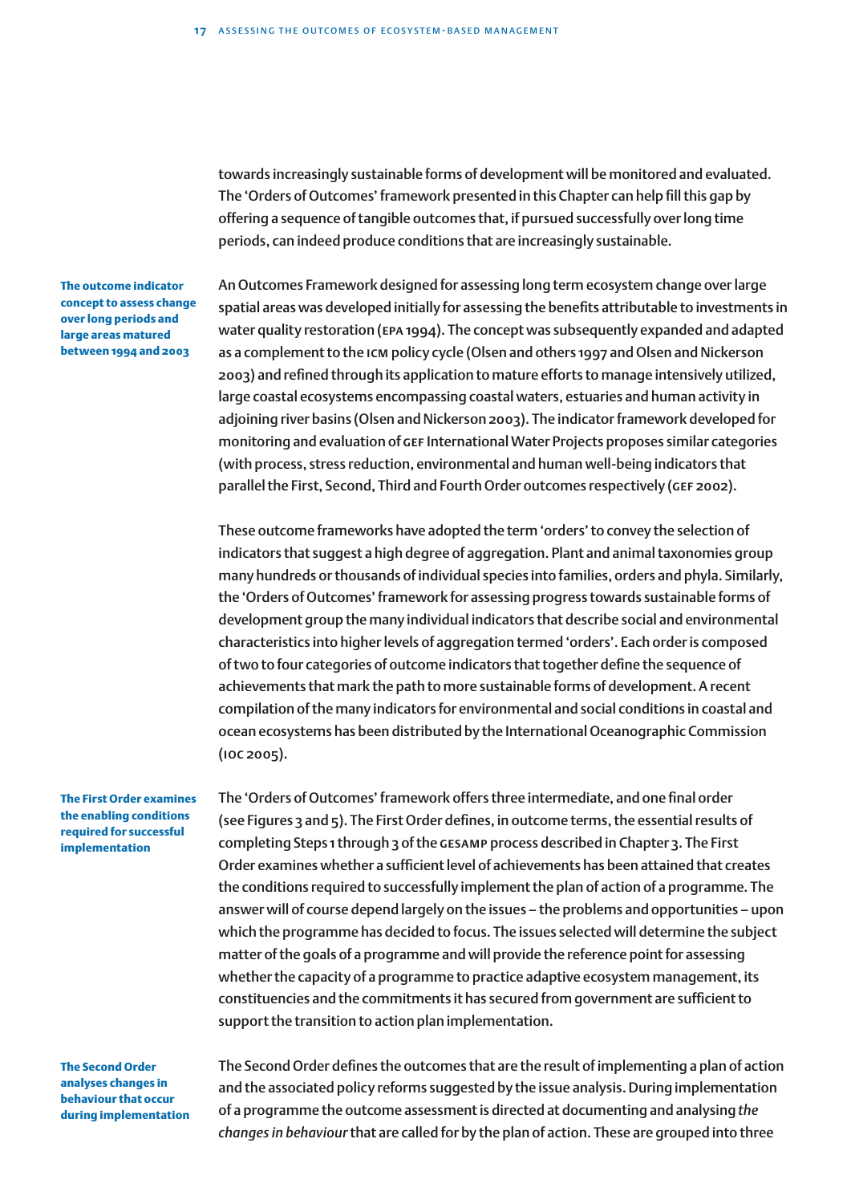towards increasingly sustainable forms of development will be monitored and evaluated. The 'Orders of Outcomes' framework presented in this Chapter can help fill this gap by offering a sequence of tangible outcomes that, if pursued successfully over long time periods, can indeed produce conditions that are increasingly sustainable.

The outcome indicator concept to assess change over long periods and large areas matured between 1994 and 2003

An Outcomes Framework designed for assessing long term ecosystem change over large spatial areas was developed initially for assessing the benefits attributable to investments in water quality restoration (epa 1994). The concept was subsequently expanded and adapted as a complement to the icm policy cycle (Olsen and others 1997 and Olsen and Nickerson 2003) and refined through its application to mature efforts to manage intensively utilized, large coastal ecosystems encompassing coastal waters, estuaries and human activity in adjoining river basins (Olsen and Nickerson 2003). The indicator framework developed for monitoring and evaluation of gef International Water Projects proposes similar categories (with process, stress reduction, environmental and human well-being indicators that parallel the First, Second, Third and Fourth Order outcomes respectively (gef 2002).

These outcome frameworks have adopted the term 'orders' to convey the selection of indicators that suggest a high degree of aggregation. Plant and animal taxonomies group many hundreds or thousands of individual species into families, orders and phyla. Similarly, the 'Orders of Outcomes' framework for assessing progress towards sustainable forms of development group the many individual indicators that describe social and environmental characteristics into higher levels of aggregation termed 'orders'. Each order is composed of two to four categories of outcome indicators that together define the sequence of achievements that mark the path to more sustainable forms of development. A recent compilation of the many indicators for environmental and social conditions in coastal and ocean ecosystems has been distributed by the International Oceanographic Commission (ioc 2005).

The First Order examines the enabling conditions required for successful implementation

The Second Order analyses changes in behaviour that occur during implementation The 'Orders of Outcomes' framework offers three intermediate, and one final order (see Figures 3 and 5). The First Order defines, in outcome terms, the essential results of completing Steps 1 through 3 of the gesamp process described in Chapter 3. The First Order examines whether a sufficient level of achievements has been attained that creates the conditions required to successfully implement the plan of action of a programme. The answer will of course depend largely on the issues – the problems and opportunities – upon which the programme has decided to focus. The issues selected will determine the subject matter of the goals of a programme and will provide the reference point for assessing whether the capacity of a programme to practice adaptive ecosystem management, its constituencies and the commitments it has secured from government are sufficient to support the transition to action plan implementation.

The Second Order defines the outcomes that are the result of implementing a plan of action and the associated policy reforms suggested by the issue analysis. During implementation of a programme the outcome assessment is directed at documenting and analysing *the changes in behaviour*that are called for by the plan of action. These are grouped into three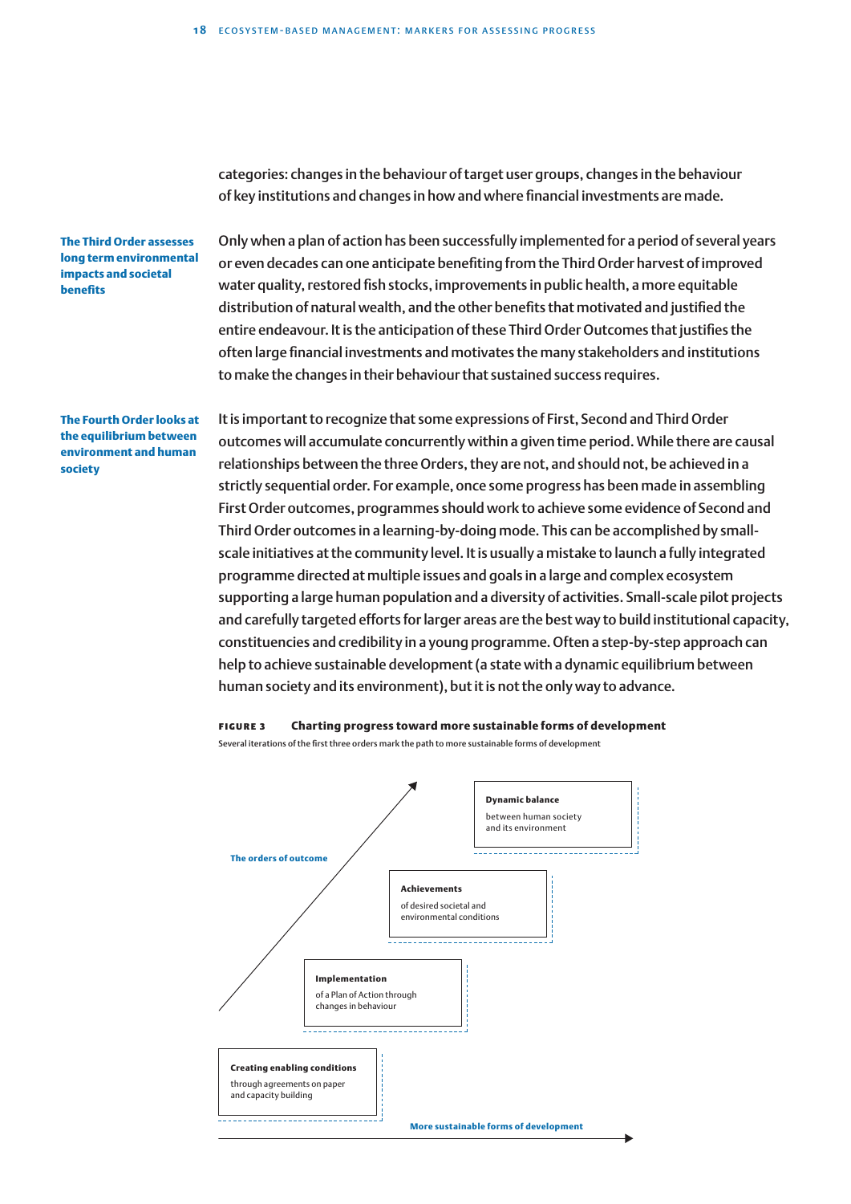categories: changes in the behaviour of target user groups, changes in the behaviour of key institutions and changes in how and where financial investments are made.

#### The Third Order assesses long term environmental impacts and societal benefits

Only when a plan of action has been successfully implemented for a period of several years or even decades can one anticipate benefiting from the Third Order harvest of improved water quality, restored fish stocks, improvements in public health, a more equitable distribution of natural wealth, and the other benefits that motivated and justified the entire endeavour. It is the anticipation of these Third Order Outcomes that justifies the often large financial investments and motivates the many stakeholders and institutions to make the changes in their behaviour that sustained success requires.

#### The Fourth Order looks at the equilibrium between environment and human society

It is important to recognize that some expressions of First, Second and Third Order outcomes will accumulate concurrently within a given time period. While there are causal relationships between the three Orders, they are not, and should not, be achieved in a strictly sequential order. For example, once some progress has been made in assembling First Order outcomes, programmes should work to achieve some evidence of Second and Third Order outcomes in a learning-by-doing mode. This can be accomplished by smallscale initiatives at the community level. It is usually a mistake to launch a fully integrated programme directed at multiple issues and goals in a large and complex ecosystem supporting a large human population and a diversity of activities. Small-scale pilot projects and carefully targeted efforts for larger areas are the best way to build institutional capacity, constituencies and credibility in a young programme. Often a step-by-step approach can help to achieve sustainable development (a state with a dynamic equilibrium between human society and its environment), but it is not the only way to advance.

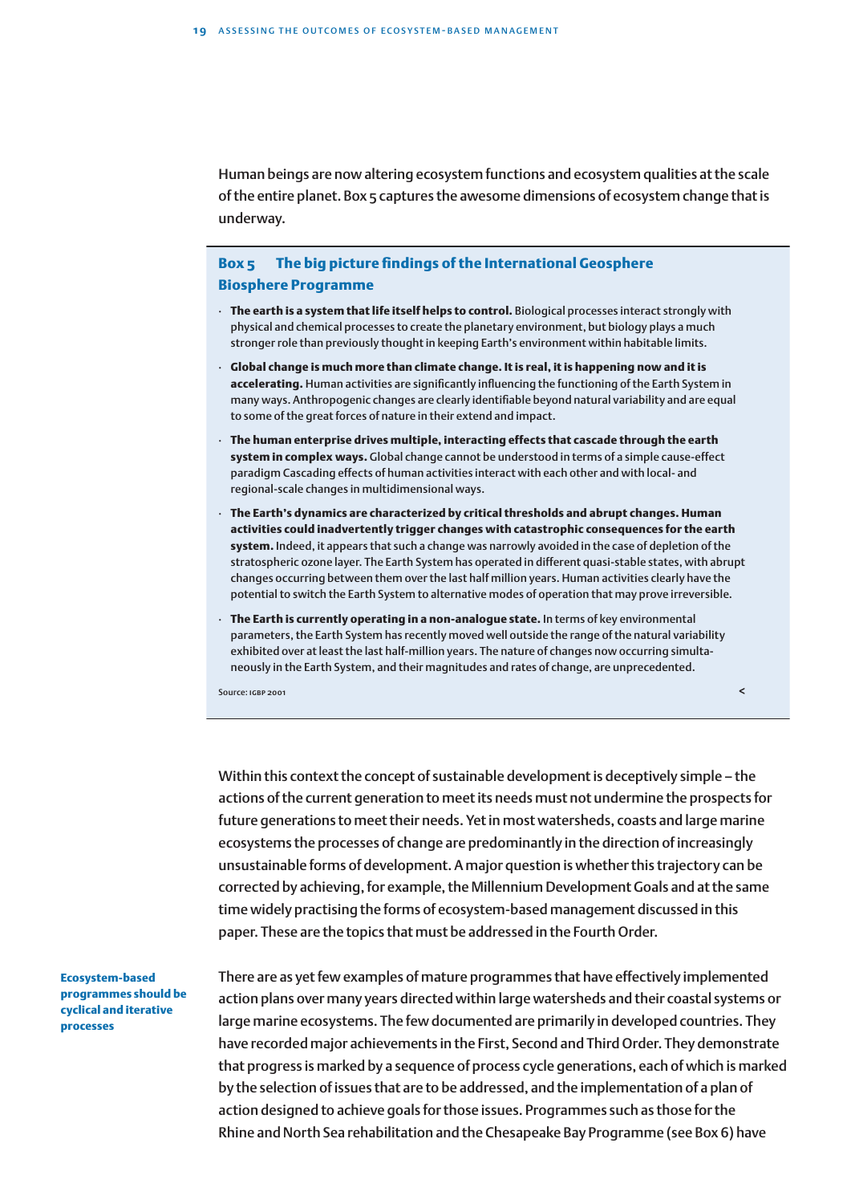Human beings are now altering ecosystem functions and ecosystem qualities at the scale of the entire planet. Box 5 captures the awesome dimensions of ecosystem change that is underway.

### Box 5 The big picture findings of the International Geosphere Biosphere Programme

- · The earth is a system that life itself helps to control. Biological processes interact strongly with physical and chemical processes to create the planetary environment, but biology plays a much stronger role than previously thought in keeping Earth's environment within habitable limits.
- · Global change is much more than climate change. It is real, it is happening now and it is accelerating. Human activities are significantly influencing the functioning of the Earth System in many ways. Anthropogenic changes are clearly identifiable beyond natural variability and are equal to some of the great forces of nature in their extend and impact.
- · The human enterprise drives multiple, interacting effects that cascade through the earth system in complex ways. Global change cannot be understood in terms of a simple cause-effect paradigm Cascading effects of human activities interact with each other and with local- and regional-scale changes in multidimensional ways.
- · The Earth's dynamics are characterized by critical thresholds and abrupt changes. Human activities could inadvertently trigger changes with catastrophic consequences for the earth system. Indeed, it appears that such a change was narrowly avoided in the case of depletion of the stratospheric ozone layer. The Earth System has operated in different quasi-stable states, with abrupt changes occurring between them over the last half million years. Human activities clearly have the potential to switch the Earth System to alternative modes of operation that may prove irreversible.
- · The Earth is currently operating in a non-analogue state. In terms of key environmental parameters, the Earth System has recently moved well outside the range of the natural variability exhibited over at least the last half-million years. The nature of changes now occurring simultaneously in the Earth System, and their magnitudes and rates of change, are unprecedented.

Source: igbp 2001 <

Within this context the concept of sustainable development is deceptively simple – the actions of the current generation to meet its needs must not undermine the prospects for future generations to meet their needs. Yet in most watersheds, coasts and large marine ecosystems the processes of change are predominantly in the direction of increasingly unsustainable forms of development. A major question is whether this trajectory can be corrected by achieving, for example, the Millennium Development Goals and at the same time widely practising the forms of ecosystem-based management discussed in this paper. These are the topics that must be addressed in the Fourth Order.

Ecosystem-based programmes should be cyclical and iterative processes

There are as yet few examples of mature programmes that have effectively implemented action plans over many years directed within large watersheds and their coastal systems or large marine ecosystems. The few documented are primarily in developed countries. They have recorded major achievements in the First, Second and Third Order. They demonstrate that progress is marked by a sequence of process cycle generations, each of which is marked by the selection of issues that are to be addressed, and the implementation of a plan of action designed to achieve goals for those issues. Programmes such as those for the Rhine and North Sea rehabilitation and the Chesapeake Bay Programme (see Box 6) have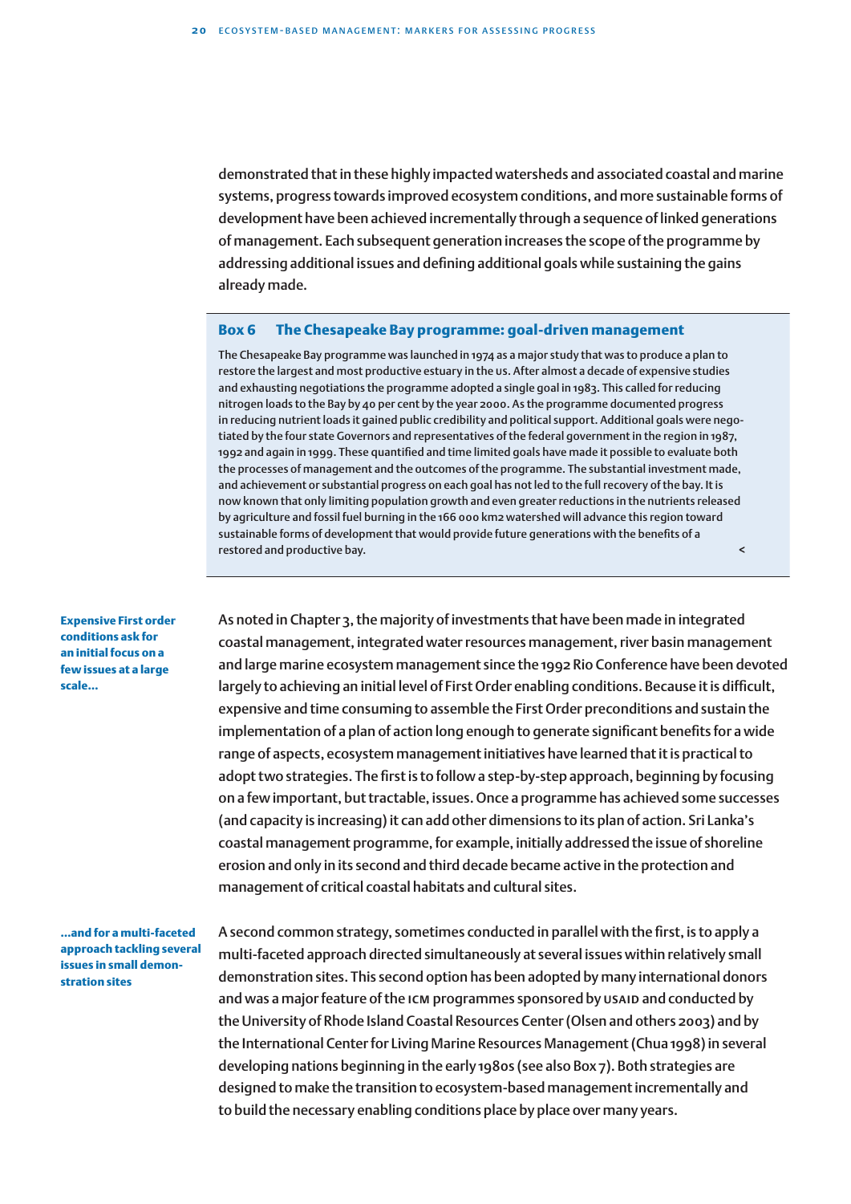demonstrated that in these highly impacted watersheds and associated coastal and marine systems, progress towards improved ecosystem conditions, and more sustainable forms of development have been achieved incrementally through a sequence of linked generations of management. Each subsequent generation increases the scope of the programme by addressing additional issues and defining additional goals while sustaining the gains already made.

#### Box 6 The Chesapeake Bay programme: goal-driven management

The Chesapeake Bay programme was launched in 1974 as a major study that was to produce a plan to restore the largest and most productive estuary in the us. After almost a decade of expensive studies and exhausting negotiations the programme adopted a single goal in 1983. This called for reducing nitrogen loads to the Bay by 40 per cent by the year 2000. As the programme documented progress in reducing nutrient loads it gained public credibility and political support. Additional goals were negotiated by the four state Governors and representatives of the federal government in the region in 1987, 1992 and again in 1999. These quantified and time limited goals have made it possible to evaluate both the processes of management and the outcomes of the programme. The substantial investment made, and achievement or substantial progress on each goal has not led to the full recovery of the bay. It is now known that only limiting population growth and even greater reductions in the nutrients released by agriculture and fossil fuel burning in the 166 000 km2 watershed will advance this region toward sustainable forms of development that would provide future generations with the benefits of a restored and productive bay. <

Expensive First order conditions ask for an initial focus on a few issues at a large scale…

…and for a multi-faceted approach tackling several issues in small demonstration sites

As noted in Chapter 3, the majority of investments that have been made in integrated coastal management, integrated water resources management, river basin management and large marine ecosystem management since the 1992 Rio Conference have been devoted largely to achieving an initial level of First Order enabling conditions. Because it is difficult, expensive and time consuming to assemble the First Order preconditions and sustain the implementation of a plan of action long enough to generate significant benefits for a wide range of aspects, ecosystem management initiatives have learned that it is practical to adopt two strategies. The first is to follow a step-by-step approach, beginning by focusing on a few important, but tractable, issues. Once a programme has achieved some successes (and capacity is increasing) it can add other dimensions to its plan of action. Sri Lanka's coastal management programme, for example, initially addressed the issue of shoreline erosion and only in its second and third decade became active in the protection and management of critical coastal habitats and cultural sites.

A second common strategy, sometimes conducted in parallel with the first, is to apply a multi-faceted approach directed simultaneously at several issues within relatively small demonstration sites. This second option has been adopted by many international donors and was a major feature of the ICM programmes sponsored by USAID and conducted by the University of Rhode Island Coastal Resources Center (Olsen and others 2003) and by the International Center for Living Marine Resources Management (Chua 1998) in several developing nations beginning in the early 1980s (see also Box 7). Both strategies are designed to make the transition to ecosystem-based management incrementally and to build the necessary enabling conditions place by place over many years.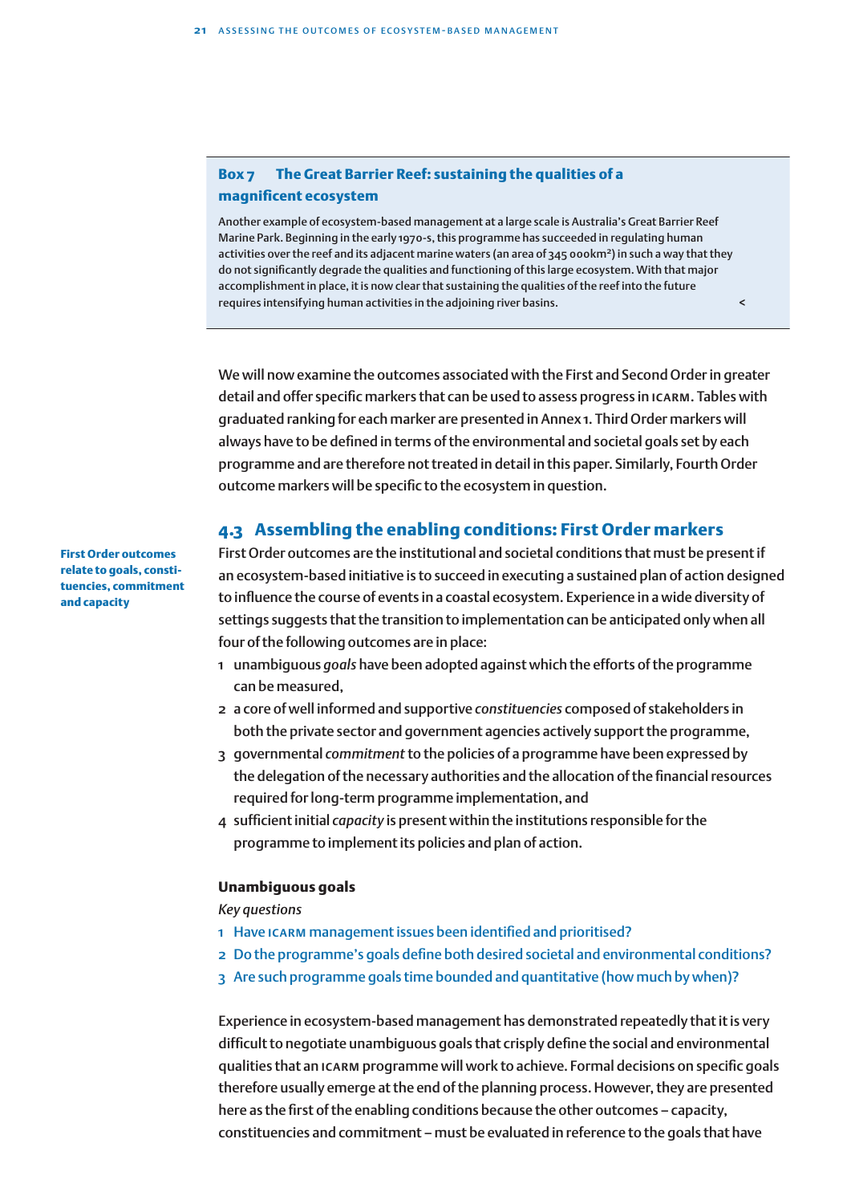#### Box 7 The Great Barrier Reef: sustaining the qualities of a magnificent ecosystem

Another example of ecosystem-based management at a large scale is Australia's Great Barrier Reef Marine Park. Beginning in the early 1970-s, this programme has succeeded in regulating human activities over the reef and its adjacent marine waters (an area of 345 000km2) in such a way that they do not significantly degrade the qualities and functioning of this large ecosystem. With that major accomplishment in place, it is now clear that sustaining the qualities of the reef into the future requires intensifying human activities in the adjoining river basins. <

We will now examine the outcomes associated with the First and Second Order in greater detail and offer specific markers that can be used to assess progress in icarm. Tables with graduated ranking for each marker are presented in Annex 1. Third Order markers will always have to be defined in terms of the environmental and societal goals set by each programme and are therefore not treated in detail in this paper. Similarly, Fourth Order outcome markers will be specific to the ecosystem in question.

#### 4.3 Assembling the enabling conditions: First Order markers

First Order outcomes relate to goals, constituencies, commitment and capacity

First Order outcomes are the institutional and societal conditions that must be present if an ecosystem-based initiative is to succeed in executing a sustained plan of action designed to influence the course of events in a coastal ecosystem. Experience in a wide diversity of settings suggests that the transition to implementation can be anticipated only when all four of the following outcomes are in place:

- 1 unambiguous *goals* have been adopted against which the efforts of the programme can be measured,
- 2 a core of well informed and supportive *constituencies* composed of stakeholders in both the private sector and government agencies actively support the programme,
- 3 governmental *commitment* to the policies of a programme have been expressed by the delegation of the necessary authorities and the allocation of the financial resources required for long-term programme implementation, and
- 4 sufficient initial *capacity* is present within the institutions responsible for the programme to implement its policies and plan of action.

#### Unambiguous goals

*Key questions*

- 1 Have icarm management issues been identified and prioritised?
- 2 Do the programme's goals define both desired societal and environmental conditions?
- 3 Are such programme goals time bounded and quantitative (how much by when)?

Experience in ecosystem-based management has demonstrated repeatedly that it is very difficult to negotiate unambiguous goals that crisply define the social and environmental qualities that an icarm programme will work to achieve. Formal decisions on specific goals therefore usually emerge at the end of the planning process. However, they are presented here as the first of the enabling conditions because the other outcomes – capacity, constituencies and commitment – must be evaluated in reference to the goals that have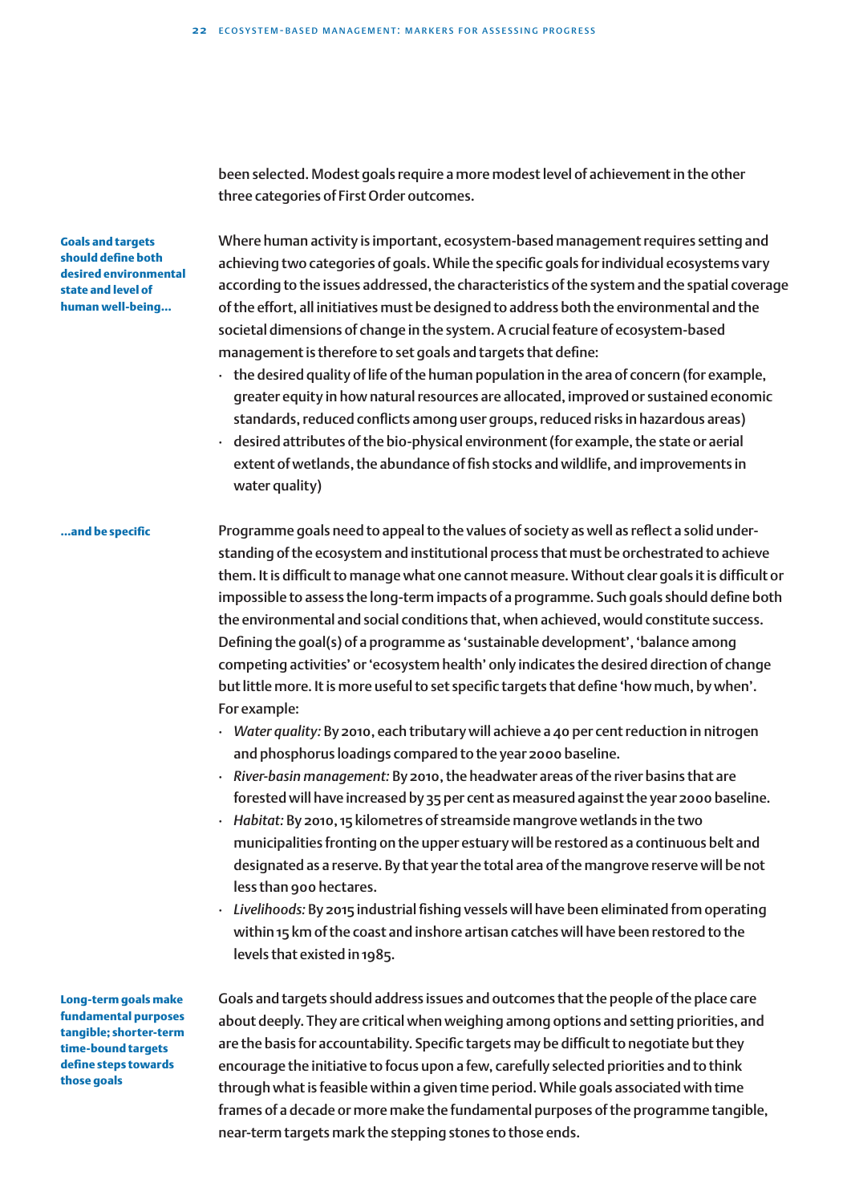been selected. Modest goals require a more modest level of achievement in the other three categories of First Order outcomes.

Where human activity is important, ecosystem-based management requires setting and achieving two categories of goals. While the specific goals for individual ecosystems vary according to the issues addressed, the characteristics of the system and the spatial coverage of the effort, all initiatives must be designed to address both the environmental and the societal dimensions of change in the system. A crucial feature of ecosystem-based management is therefore to set goals and targets that define:

- $\cdot$  the desired quality of life of the human population in the area of concern (for example, greater equity in how natural resources are allocated, improved or sustained economic standards, reduced conflicts among user groups, reduced risks in hazardous areas)
- · desired attributes of the bio-physical environment (for example, the state or aerial extent of wetlands, the abundance of fish stocks and wildlife, and improvements in water quality)

#### …and be specific

Goals and targets should define both desired environmental state and level of human well-being…

> Programme goals need to appeal to the values of society as well as reflect a solid understanding of the ecosystem and institutional process that must be orchestrated to achieve them. It is difficult to manage what one cannot measure. Without clear goals it is difficult or impossible to assess the long-term impacts of a programme. Such goals should define both the environmental and social conditions that, when achieved, would constitute success. Defining the goal(s) of a programme as 'sustainable development', 'balance among competing activities' or 'ecosystem health' only indicates the desired direction of change but little more. It is more useful to set specific targets that define 'how much, by when'. For example:

- · *Water quality:* By 2010, each tributary will achieve a 40 per cent reduction in nitrogen and phosphorus loadings compared to the year 2000 baseline.
- · *River-basin management:* By 2010, the headwater areas of the river basins that are forested will have increased by 35 per cent as measured against the year 2000 baseline.
- · *Habitat:* By 2010, 15 kilometres of streamside mangrove wetlands in the two municipalities fronting on the upper estuary will be restored as a continuous belt and designated as a reserve. By that year the total area of the mangrove reserve will be not less than 900 hectares.
- · *Livelihoods:* By 2015 industrial fishing vessels will have been eliminated from operating within 15 km of the coast and inshore artisan catches will have been restored to the levels that existed in 1985.

Long-term goals make fundamental purposes tangible; shorter-term time-bound targets define steps towards those goals

Goals and targets should address issues and outcomes that the people of the place care about deeply. They are critical when weighing among options and setting priorities, and are the basis for accountability. Specific targets may be difficult to negotiate but they encourage the initiative to focus upon a few, carefully selected priorities and to think through what is feasible within a given time period. While goals associated with time frames of a decade or more make the fundamental purposes of the programme tangible, near-term targets mark the stepping stones to those ends.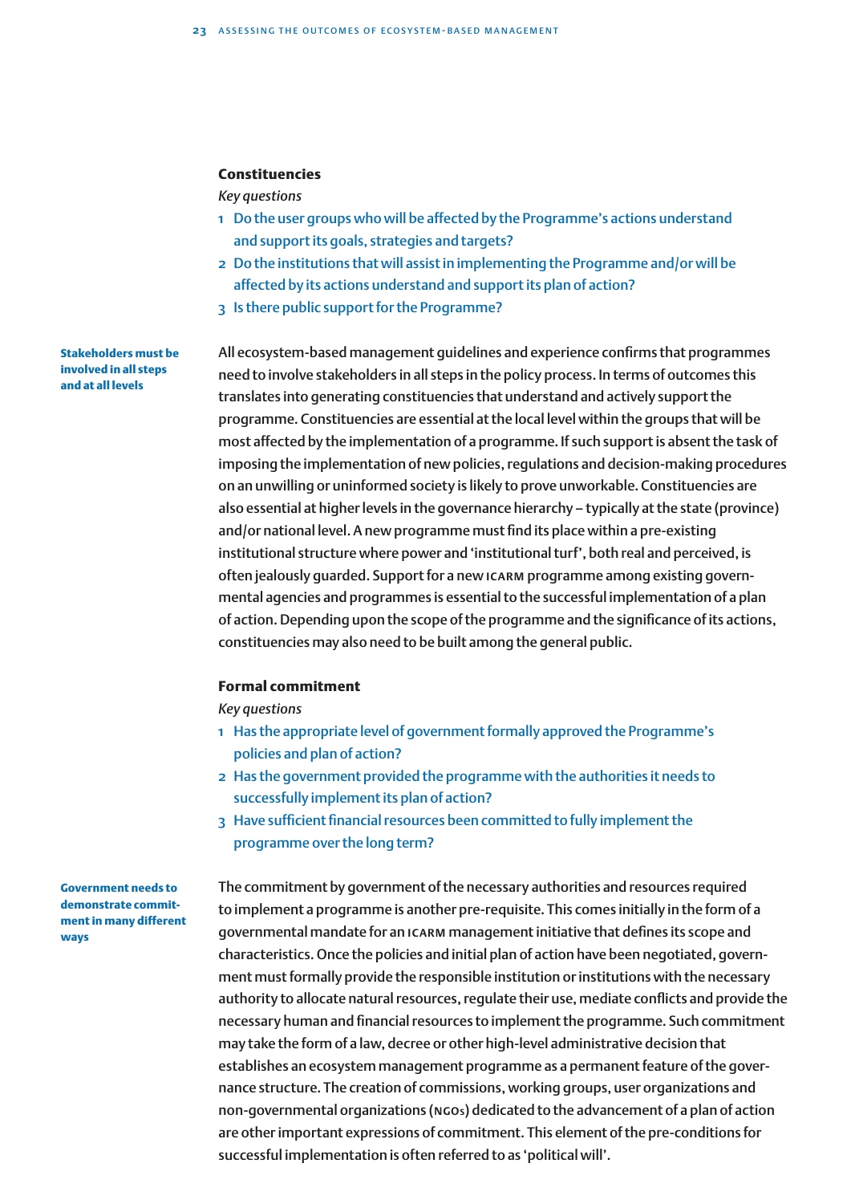#### Constituencies

*Key questions*

- 1 Do the user groups who will be affected by the Programme's actions understand and support its goals, strategies and targets?
- 2 Do the institutions that will assist in implementing the Programme and/or will be affected by its actions understand and support its plan of action?
- 3 Is there public support for the Programme?

Stakeholders must be involved in all steps and at all levels

All ecosystem-based management guidelines and experience confirms that programmes need to involve stakeholders in all steps in the policy process. In terms of outcomes this translates into generating constituencies that understand and actively support the programme. Constituencies are essential at the local level within the groups that will be most affected by the implementation of a programme. If such support is absent the task of imposing the implementation of new policies, regulations and decision-making procedures on an unwilling or uninformed society is likely to prove unworkable. Constituencies are also essential at higher levels in the governance hierarchy – typically at the state (province) and/or national level. A new programme must find its place within a pre-existing institutional structure where power and 'institutional turf', both real and perceived, is often jealously guarded. Support for a new icarm programme among existing governmental agencies and programmes is essential to the successful implementation of a plan of action. Depending upon the scope of the programme and the significance of its actions, constituencies may also need to be built among the general public.

#### Formal commitment

*Key questions*

- 1 Has the appropriate level of government formally approved the Programme's policies and plan of action?
- 2 Has the government provided the programme with the authorities it needs to successfully implement its plan of action?
- 3 Have sufficient financial resources been committed to fully implement the programme over the long term?

Government needs to demonstrate commitment in many different ways

The commitment by government of the necessary authorities and resources required to implement a programme is another pre-requisite. This comes initially in the form of a governmental mandate for an icarm management initiative that defines its scope and characteristics. Once the policies and initial plan of action have been negotiated, government must formally provide the responsible institution or institutions with the necessary authority to allocate natural resources, regulate their use, mediate conflicts and provide the necessary human and financial resources to implement the programme. Such commitment may take the form of a law, decree or other high-level administrative decision that establishes an ecosystem management programme as a permanent feature of the governance structure. The creation of commissions, working groups, user organizations and non-governmental organizations (ngos) dedicated to the advancement of a plan of action are other important expressions of commitment. This element of the pre-conditions for successful implementation is often referred to as 'political will'.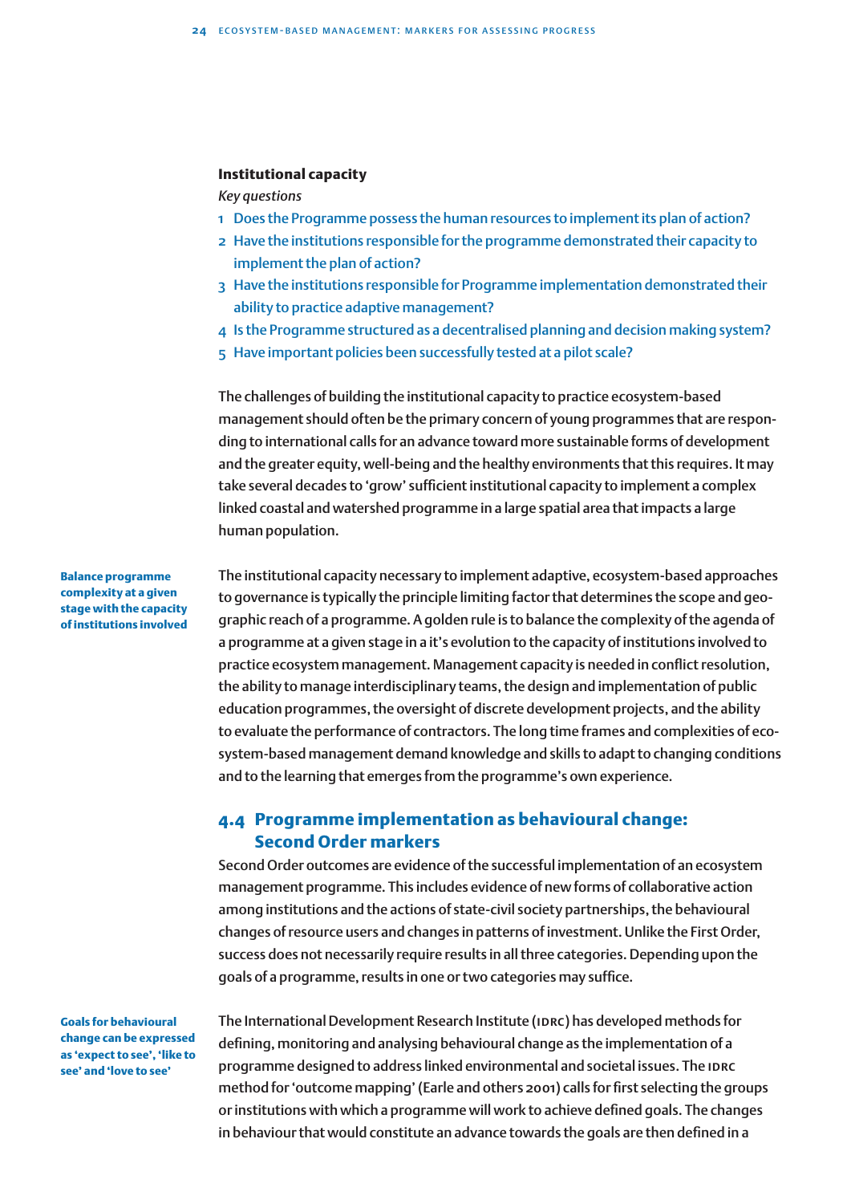#### Institutional capacity

*Key questions*

- 1 Does the Programme possess the human resources to implement its plan of action?
- 2 Have the institutions responsible for the programme demonstrated their capacity to implement the plan of action?
- 3 Have the institutions responsible for Programme implementation demonstrated their ability to practice adaptive management?
- 4 Is the Programme structured as a decentralised planning and decision making system?
- 5 Have important policies been successfully tested at a pilot scale?

The challenges of building the institutional capacity to practice ecosystem-based management should often be the primary concern of young programmes that are responding to international calls for an advance toward more sustainable forms of development and the greater equity, well-being and the healthy environments that this requires. It may take several decades to 'grow' sufficient institutional capacity to implement a complex linked coastal and watershed programme in a large spatial area that impacts a large human population.

Balance programme complexity at a given stage with the capacity of institutions involved The institutional capacity necessary to implement adaptive, ecosystem-based approaches to governance is typically the principle limiting factor that determines the scope and geographic reach of a programme. A golden rule is to balance the complexity of the agenda of a programme at a given stage in a it's evolution to the capacity of institutions involved to practice ecosystem management. Management capacity is needed in conflict resolution, the ability to manage interdisciplinary teams, the design and implementation of public education programmes, the oversight of discrete development projects, and the ability to evaluate the performance of contractors. The long time frames and complexities of ecosystem-based management demand knowledge and skills to adapt to changing conditions and to the learning that emerges from the programme's own experience.

### 4.4 Programme implementation as behavioural change: Second Order markers

Second Order outcomes are evidence of the successful implementation of an ecosystem management programme. This includes evidence of new forms of collaborative action among institutions and the actions of state-civil society partnerships, the behavioural changes of resource users and changes in patterns of investment. Unlike the First Order, success does not necessarily require results in all three categories. Depending upon the goals of a programme, results in one or two categories may suffice.

Goals for behavioural change can be expressed as 'expect to see', 'like to see' and 'love to see'

The International Development Research Institute (IDRC) has developed methods for defining, monitoring and analysing behavioural change as the implementation of a programme designed to address linked environmental and societal issues. The IDRC method for 'outcome mapping' (Earle and others 2001) calls for first selecting the groups or institutions with which a programme will work to achieve defined goals. The changes in behaviour that would constitute an advance towards the goals are then defined in a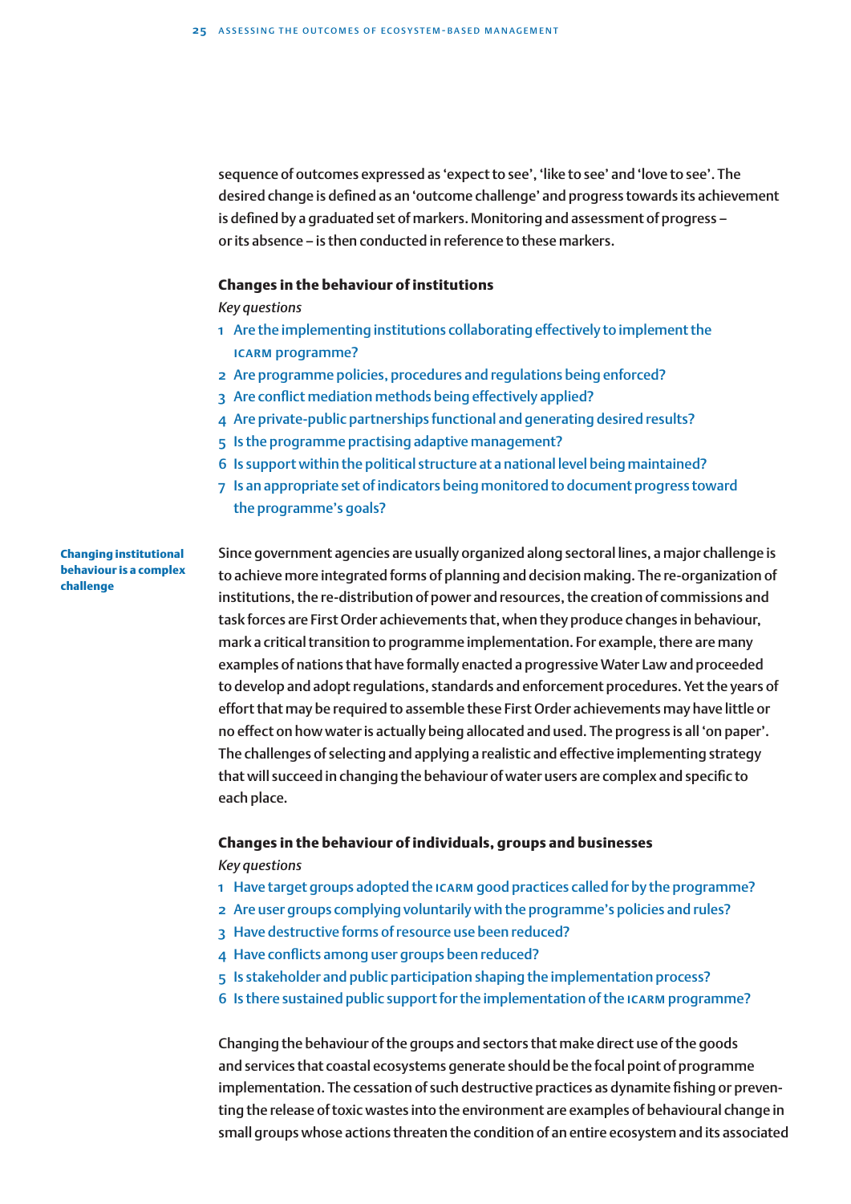sequence of outcomes expressed as 'expect to see', 'like to see' and 'love to see'. The desired change is defined as an 'outcome challenge' and progress towards its achievement is defined by a graduated set of markers. Monitoring and assessment of progress – or its absence – is then conducted in reference to these markers.

#### Changes in the behaviour of institutions

*Key questions*

- 1 Are the implementing institutions collaborating effectively to implement the icarm programme?
- 2 Are programme policies, procedures and regulations being enforced?
- 3 Are conflict mediation methods being effectively applied?
- 4 Are private-public partnerships functional and generating desired results?
- 5 Is the programme practising adaptive management?
- 6 Is support within the political structure at a national level being maintained?
- 7 Is an appropriate set of indicators being monitored to document progress toward the programme's goals?

Changing institutional behaviour is a complex challenge

Since government agencies are usually organized along sectoral lines, a major challenge is to achieve more integrated forms of planning and decision making. The re-organization of institutions, the re-distribution of power and resources, the creation of commissions and task forces are First Order achievements that, when they produce changes in behaviour, mark a critical transition to programme implementation. For example, there are many examples of nations that have formally enacted a progressive Water Law and proceeded to develop and adopt regulations, standards and enforcement procedures. Yet the years of effort that may be required to assemble these First Order achievements may have little or no effect on how water is actually being allocated and used. The progress is all 'on paper'. The challenges of selecting and applying a realistic and effective implementing strategy that will succeed in changing the behaviour of water users are complex and specific to each place.

#### Changes in the behaviour of individuals, groups and businesses

*Key questions*

- 1 Have target groups adopted the icarm good practices called for by the programme?
- 2 Are user groups complying voluntarily with the programme's policies and rules?
- 3 Have destructive forms of resource use been reduced?
- 4 Have conflicts among user groups been reduced?
- 5 Is stakeholder and public participation shaping the implementation process?
- 6 Is there sustained public support for the implementation of the icarm programme?

Changing the behaviour of the groups and sectors that make direct use of the goods and services that coastal ecosystems generate should be the focal point of programme implementation. The cessation of such destructive practices as dynamite fishing or preventing the release of toxic wastes into the environment are examples of behavioural change in small groups whose actions threaten the condition of an entire ecosystem and its associated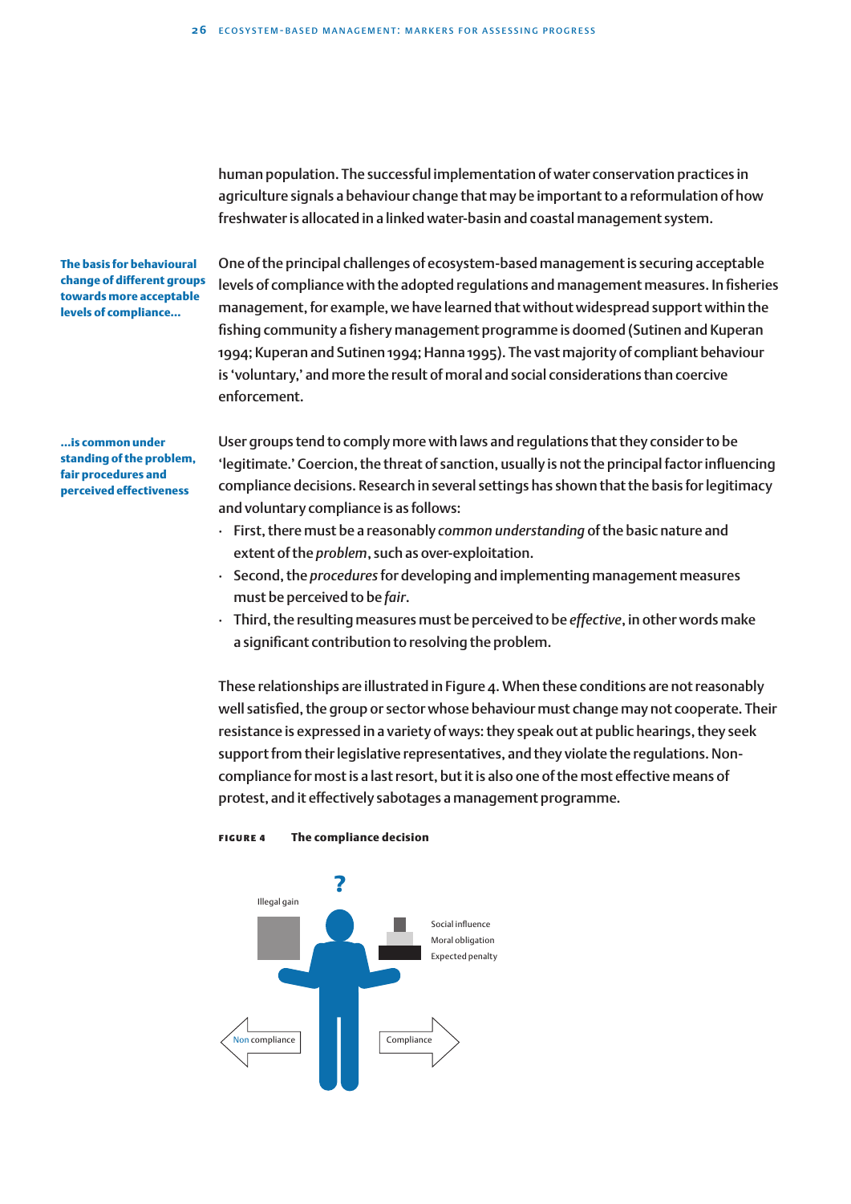human population. The successful implementation of water conservation practices in agriculture signals a behaviour change that may be important to a reformulation of how freshwater is allocated in a linked water-basin and coastal management system.

#### The basis for behavioural change of different groups towards more acceptable levels of compliance…

One of the principal challenges of ecosystem-based management is securing acceptable levels of compliance with the adopted regulations and management measures. In fisheries management, for example, we have learned that without widespread support within the fishing community a fishery management programme is doomed (Sutinen and Kuperan 1994; Kuperan and Sutinen 1994; Hanna 1995). The vast majority of compliant behaviour is 'voluntary,' and more the result of moral and social considerations than coercive enforcement.

#### …is common under standing of the problem, fair procedures and perceived effectiveness

User groups tend to comply more with laws and regulations that they consider to be 'legitimate.' Coercion, the threat of sanction, usually is not the principal factor influencing compliance decisions. Research in several settings has shown that the basis for legitimacy and voluntary compliance is as follows:

- · First, there must be a reasonably *common understanding* of the basic nature and extent of the *problem*, such as over-exploitation.
- · Second, the *procedures* for developing and implementing management measures must be perceived to be *fair*.
- · Third, the resulting measures must be perceived to be *effective*, in other words make a significant contribution to resolving the problem.

These relationships are illustrated in Figure 4. When these conditions are not reasonably well satisfied, the group or sector whose behaviour must change may not cooperate. Their resistance is expressed in a variety of ways: they speak out at public hearings, they seek support from their legislative representatives, and they violate the regulations. Noncompliance for most is a last resort, but it is also one of the most effective means of protest, and it effectively sabotages a management programme.



#### figure 4The compliance decision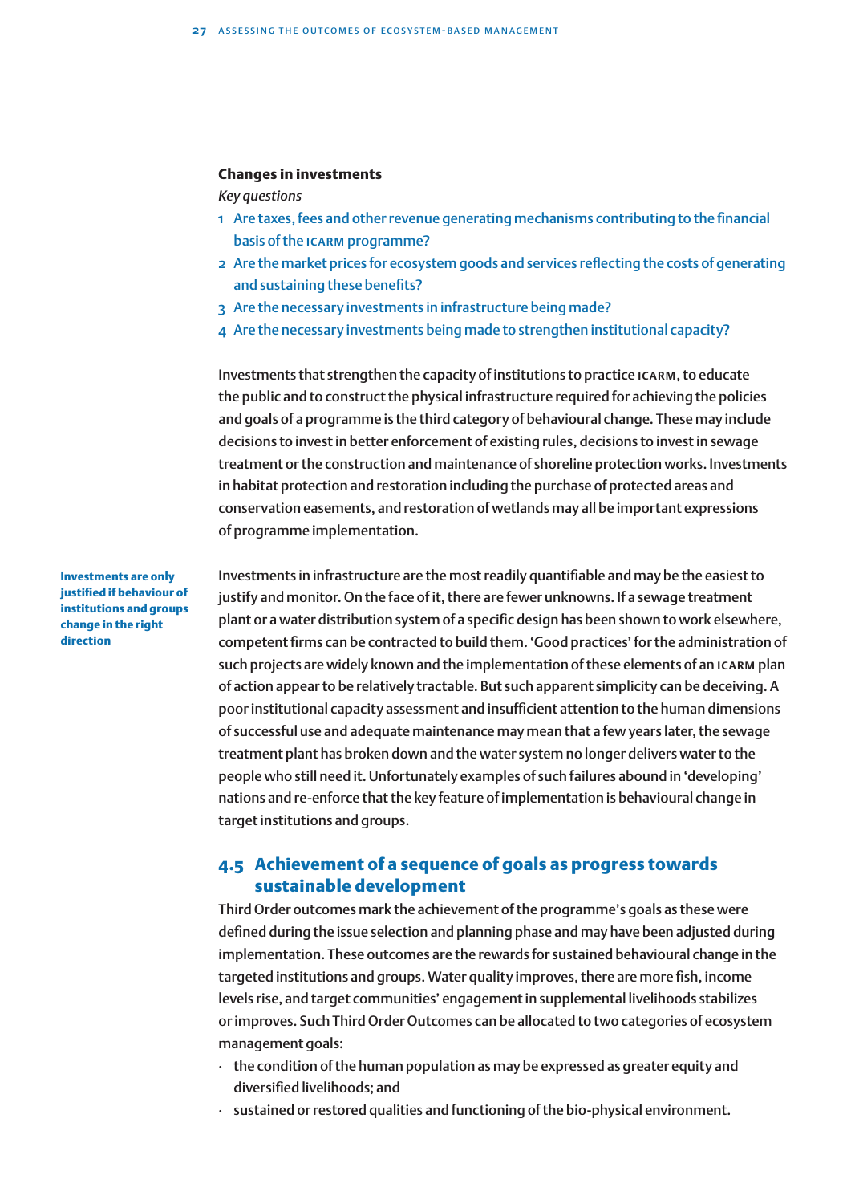#### Changes in investments

*Key questions*

- 1 Are taxes, fees and other revenue generating mechanisms contributing to the financial basis of the **ICARM** programme?
- 2 Are the market prices for ecosystem goods and services reflecting the costs of generating and sustaining these benefits?
- 3 Are the necessary investments in infrastructure being made?
- 4 Are the necessary investments being made to strengthen institutional capacity?

Investments that strengthen the capacity of institutions to practice icarm, to educate the public and to construct the physical infrastructure required for achieving the policies and goals of a programme is the third category of behavioural change. These may include decisions to invest in better enforcement of existing rules, decisions to invest in sewage treatment or the construction and maintenance of shoreline protection works. Investments in habitat protection and restoration including the purchase of protected areas and conservation easements, and restoration of wetlands may all be important expressions of programme implementation.

Investments in infrastructure are the most readily quantifiable and may be the easiest to justify and monitor. On the face of it, there are fewer unknowns. If a sewage treatment plant or a water distribution system of a specific design has been shown to work elsewhere, competent firms can be contracted to build them. 'Good practices' for the administration of such projects are widely known and the implementation of these elements of an ICARM plan of action appear to be relatively tractable. But such apparent simplicity can be deceiving. A poor institutional capacity assessment and insufficient attention to the human dimensions of successful use and adequate maintenance may mean that a few years later, the sewage treatment plant has broken down and the water system no longer delivers water to the people who still need it. Unfortunately examples of such failures abound in 'developing' nations and re-enforce that the key feature of implementation is behavioural change in target institutions and groups.

### 4.5 Achievement of a sequence of goals as progress towards sustainable development

Third Order outcomes mark the achievement of the programme's goals as these were defined during the issue selection and planning phase and may have been adjusted during implementation. These outcomes are the rewards for sustained behavioural change in the targeted institutions and groups. Water quality improves, there are more fish, income levels rise, and target communities' engagement in supplemental livelihoods stabilizes or improves. Such Third Order Outcomes can be allocated to two categories of ecosystem management goals:

- · the condition of the human population as may be expressed as greater equity and diversified livelihoods; and
- · sustained or restored qualities and functioning of the bio-physical environment.

Investments are only justified if behaviour of institutions and groups change in the right direction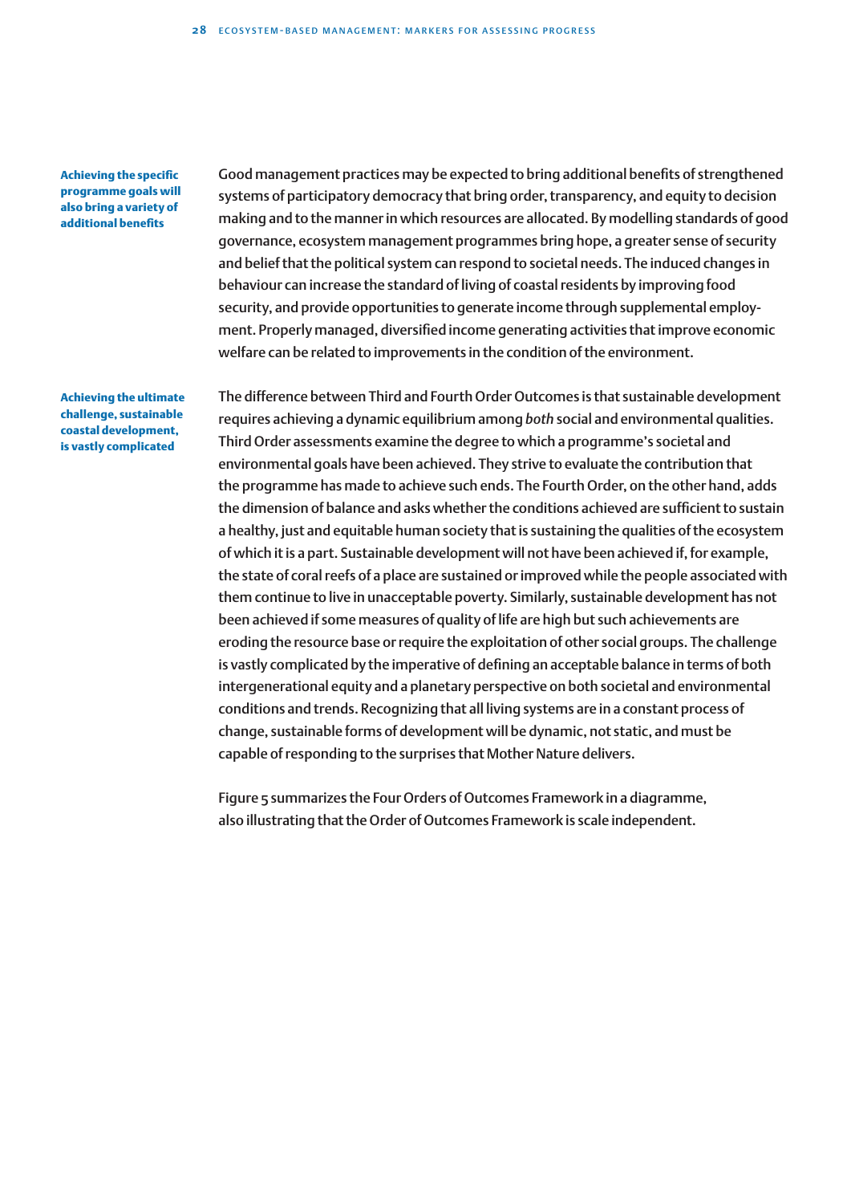Achieving the specific programme goals will also bring a variety of additional benefits

Achieving the ultimate challenge, sustainable coastal development, is vastly complicated

Good management practices may be expected to bring additional benefits of strengthened systems of participatory democracy that bring order, transparency, and equity to decision making and to the manner in which resources are allocated. By modelling standards of good governance, ecosystem management programmes bring hope, a greater sense of security and belief that the political system can respond to societal needs. The induced changes in behaviour can increase the standard of living of coastal residents by improving food security, and provide opportunities to generate income through supplemental employment. Properly managed, diversified income generating activities that improve economic welfare can be related to improvements in the condition of the environment.

The difference between Third and Fourth Order Outcomes is that sustainable development requires achieving a dynamic equilibrium among *both* social and environmental qualities. Third Order assessments examine the degree to which a programme's societal and environmental goals have been achieved. They strive to evaluate the contribution that the programme has made to achieve such ends. The Fourth Order, on the other hand, adds the dimension of balance and asks whether the conditions achieved are sufficient to sustain a healthy, just and equitable human society that is sustaining the qualities of the ecosystem of which it is a part. Sustainable development will not have been achieved if, for example, the state of coral reefs of a place are sustained or improved while the people associated with them continue to live in unacceptable poverty. Similarly, sustainable development has not been achieved if some measures of quality of life are high but such achievements are eroding the resource base or require the exploitation of other social groups. The challenge is vastly complicated by the imperative of defining an acceptable balance in terms of both intergenerational equity and a planetary perspective on both societal and environmental conditions and trends. Recognizing that all living systems are in a constant process of change, sustainable forms of development will be dynamic, not static, and must be capable of responding to the surprises that Mother Nature delivers.

Figure 5 summarizes the Four Orders of Outcomes Framework in a diagramme, also illustrating that the Order of Outcomes Framework is scale independent.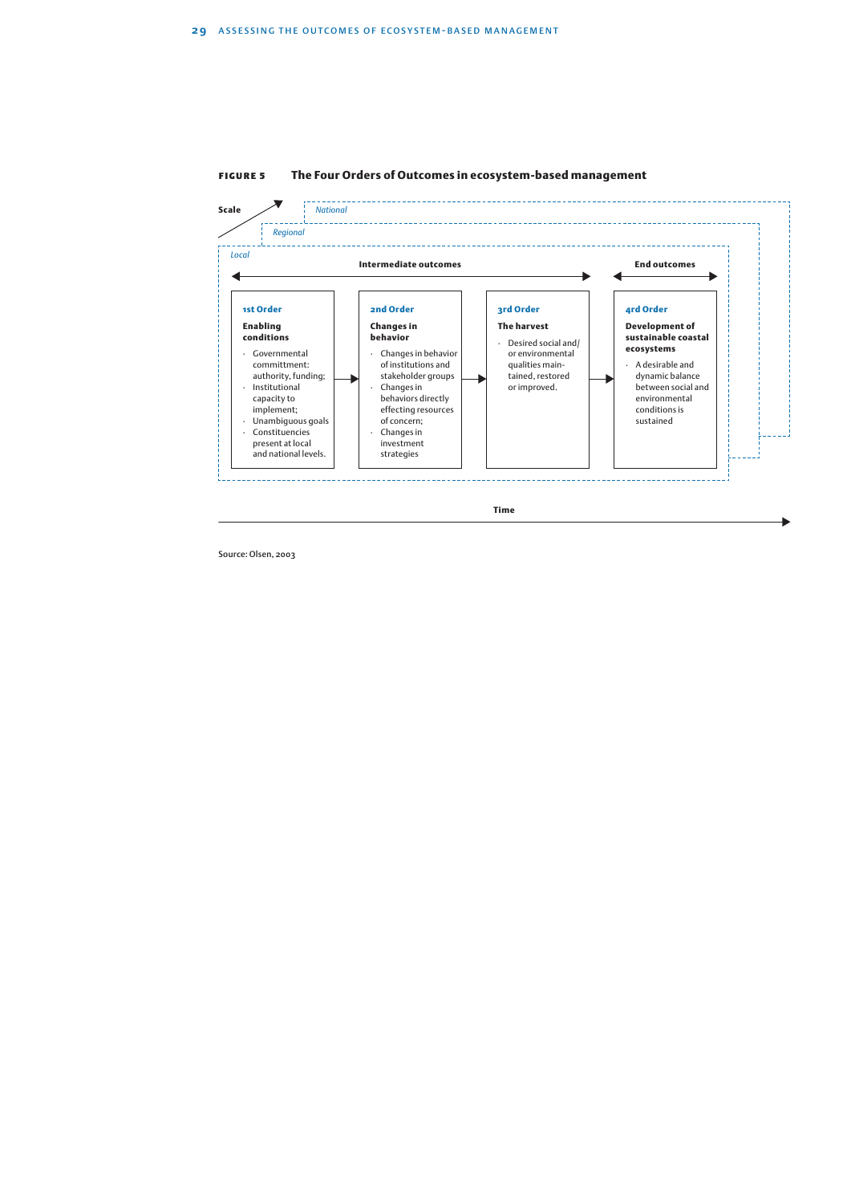

figure 5The Four Orders of Outcomes in ecosystem-based management

Source: Olsen, 2003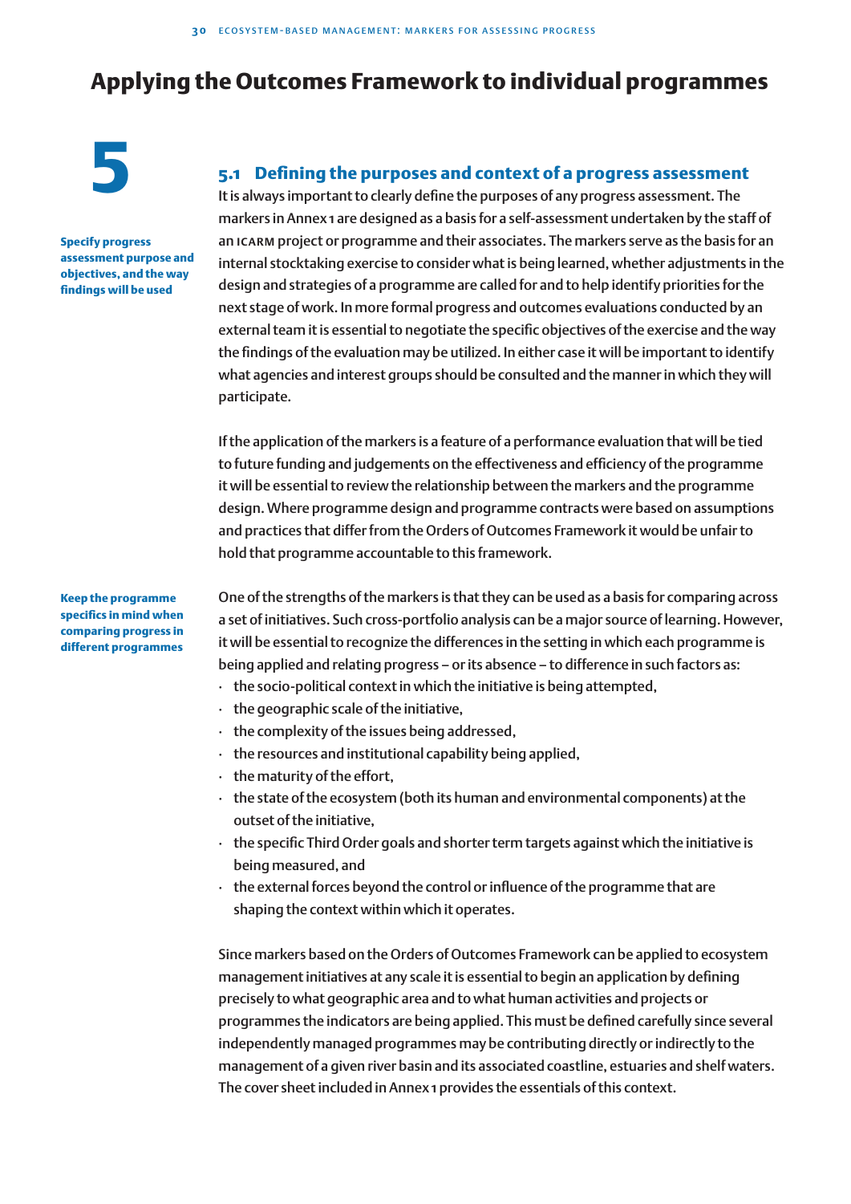### Applying the Outcomes Framework to individual programmes

Specify progress assessment purpose and objectives, and the way findings will be used

### 5 5.1 Defining the purposes and context of a progress assessment

It is always important to clearly define the purposes of any progress assessment. The markers in Annex 1 are designed as a basis for a self-assessment undertaken by the staff of an ICARM project or programme and their associates. The markers serve as the basis for an internal stocktaking exercise to consider what is being learned, whether adjustments in the design and strategies of a programme are called for and to help identify priorities for the next stage of work. In more formal progress and outcomes evaluations conducted by an external team it is essential to negotiate the specific objectives of the exercise and the way the findings of the evaluation may be utilized. In either case it will be important to identify what agencies and interest groups should be consulted and the manner in which they will participate.

If the application of the markers is a feature of a performance evaluation that will be tied to future funding and judgements on the effectiveness and efficiency of the programme it will be essential to review the relationship between the markers and the programme design. Where programme design and programme contracts were based on assumptions and practices that differ from the Orders of Outcomes Framework it would be unfair to hold that programme accountable to this framework.

Keep the programme specifics in mind when comparing progress in different programmes

One of the strengths of the markers is that they can be used as a basis for comparing across a set of initiatives. Such cross-portfolio analysis can be a major source of learning. However, it will be essential to recognize the differences in the setting in which each programme is being applied and relating progress – or its absence – to difference in such factors as:

- · the socio-political context in which the initiative is being attempted,
- · the geographic scale of the initiative,
- · the complexity of the issues being addressed,
- $\cdot$  the resources and institutional capability being applied,
- · the maturity of the effort,
- · the state of the ecosystem (both its human and environmental components) at the outset of the initiative,
- · the specific Third Order goals and shorter term targets against which the initiative is being measured, and
- · the external forces beyond the control or influence of the programme that are shaping the context within which it operates.

Since markers based on the Orders of Outcomes Framework can be applied to ecosystem management initiatives at any scale it is essential to begin an application by defining precisely to what geographic area and to what human activities and projects or programmes the indicators are being applied. This must be defined carefully since several independently managed programmes may be contributing directly or indirectly to the management of a given river basin and its associated coastline, estuaries and shelf waters. The cover sheet included in Annex 1 provides the essentials of this context.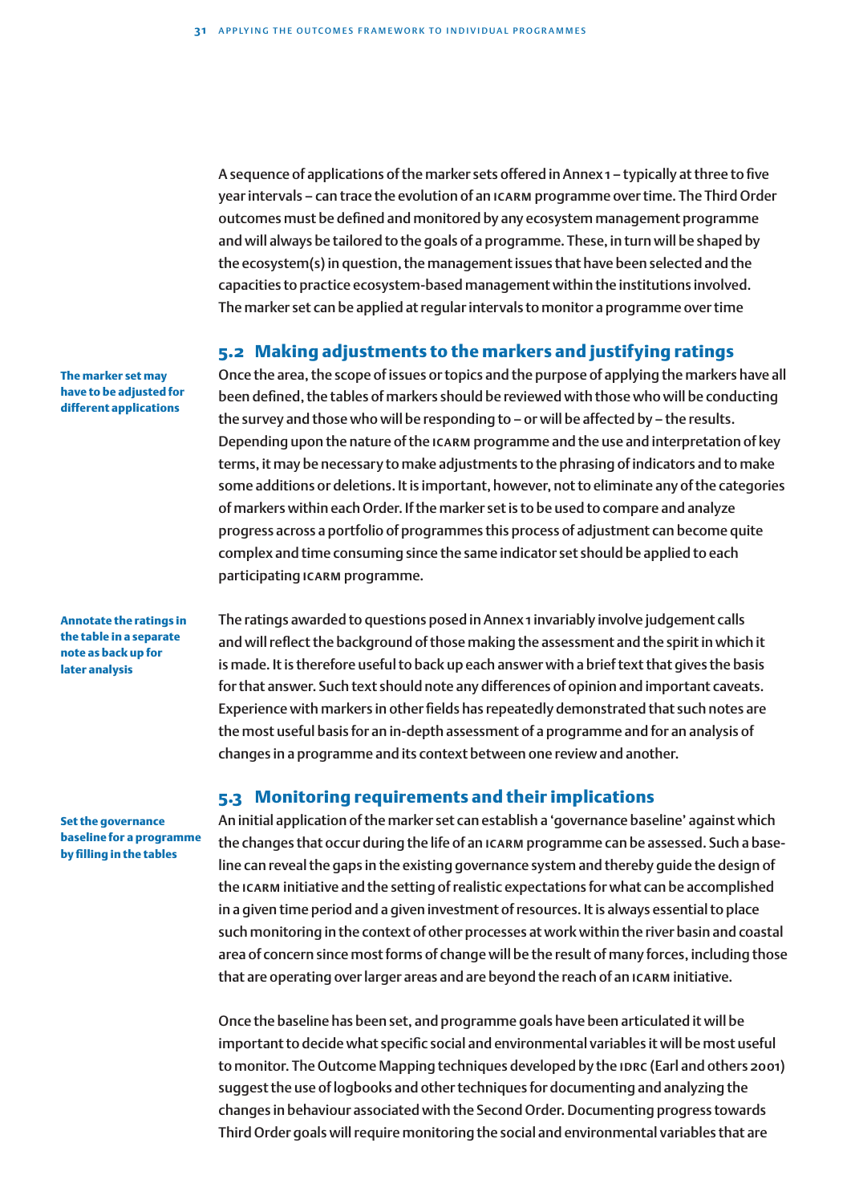A sequence of applications of the marker sets offered in Annex 1 – typically at three to five year intervals – can trace the evolution of an ICARM programme over time. The Third Order outcomes must be defined and monitored by any ecosystem management programme and will always be tailored to the goals of a programme. These, in turn will be shaped by the ecosystem(s) in question, the management issues that have been selected and the capacities to practice ecosystem-based management within the institutions involved. The marker set can be applied at regular intervals to monitor a programme over time

### 5.2 Making adjustments to the markers and justifying ratings

Once the area, the scope of issues or topics and the purpose of applying the markers have all been defined, the tables of markers should be reviewed with those who will be conducting the survey and those who will be responding to – or will be affected by – the results. Depending upon the nature of the icarm programme and the use and interpretation of key terms, it may be necessary to make adjustments to the phrasing of indicators and to make some additions or deletions. It is important, however, not to eliminate any of the categories of markers within each Order. If the marker set is to be used to compare and analyze progress across a portfolio of programmes this process of adjustment can become quite complex and time consuming since the same indicator set should be applied to each participating ICARM programme.

The ratings awarded to questions posed in Annex 1 invariably involve judgement calls and will reflect the background of those making the assessment and the spirit in which it is made. It is therefore useful to back up each answer with a brief text that gives the basis for that answer. Such text should note any differences of opinion and important caveats. Experience with markers in other fields has repeatedly demonstrated that such notes are the most useful basis for an in-depth assessment of a programme and for an analysis of changes in a programme and its context between one review and another.

#### 5.3 Monitoring requirements and their implications

An initial application of the marker set can establish a 'governance baseline' against which the changes that occur during the life of an icarm programme can be assessed. Such a baseline can reveal the gaps in the existing governance system and thereby guide the design of the icarm initiative and the setting of realistic expectations for what can be accomplished in a given time period and a given investment of resources. It is always essential to place such monitoring in the context of other processes at work within the river basin and coastal area of concern since most forms of change will be the result of many forces, including those that are operating over larger areas and are beyond the reach of an icarm initiative.

Once the baseline has been set, and programme goals have been articulated it will be important to decide what specific social and environmental variables it will be most useful to monitor. The Outcome Mapping techniques developed by the IDRC (Earl and others 2001) suggest the use of logbooks and other techniques for documenting and analyzing the changes in behaviour associated with the Second Order. Documenting progress towards Third Order goals will require monitoring the social and environmental variables that are

The marker set may have to be adjusted for different applications

Annotate the ratings in the table in a separate note as back up for later analysis

Set the governance baseline for a programme by filling in the tables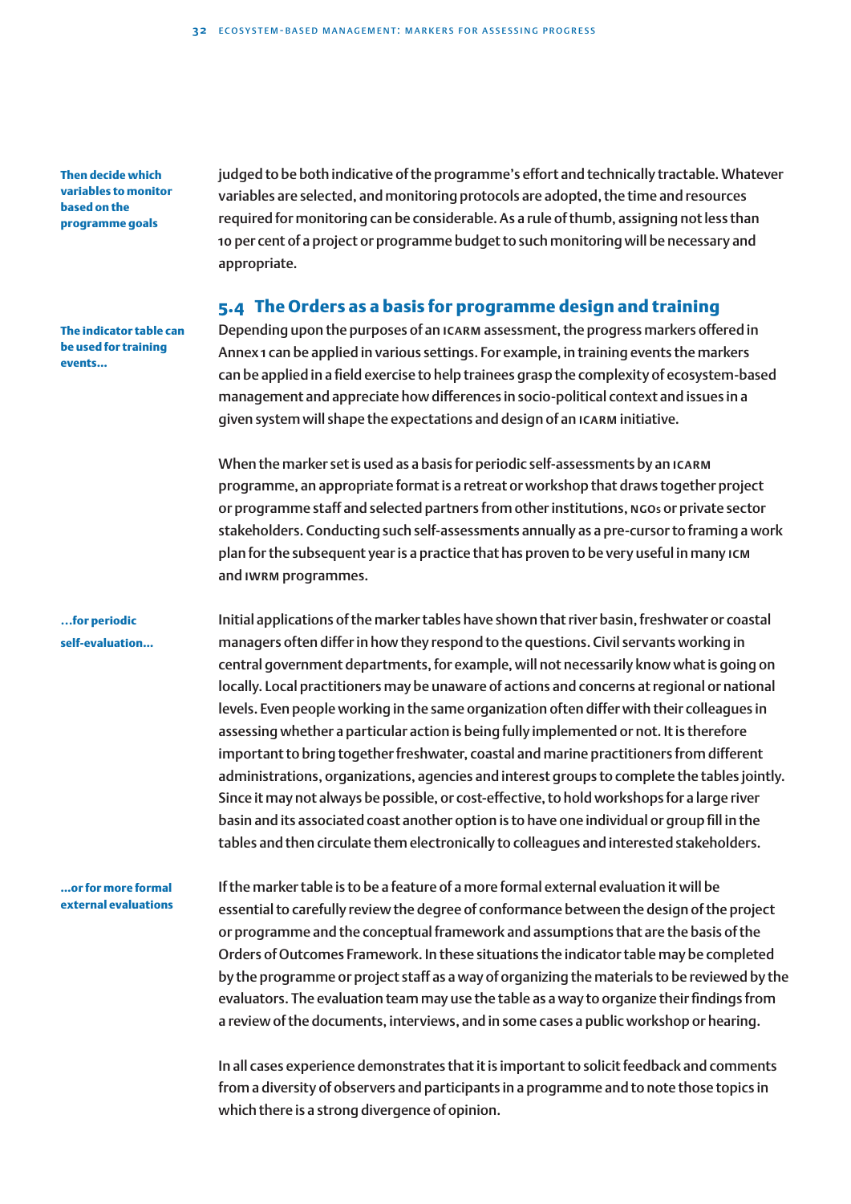Then decide which variables to monitor based on the programme goals

The indicator table can be used for training

events…

…for periodic self-evaluation… judged to be both indicative of the programme's effort and technically tractable. Whatever variables are selected, and monitoring protocols are adopted, the time and resources required for monitoring can be considerable. As a rule of thumb, assigning not less than 10 per cent of a project or programme budget to such monitoring will be necessary and appropriate.

#### 5.4 The Orders as a basis for programme design and training

Depending upon the purposes of an icarm assessment, the progress markers offered in Annex 1 can be applied in various settings. For example, in training events the markers can be applied in a field exercise to help trainees grasp the complexity of ecosystem-based management and appreciate how differences in socio-political context and issues in a given system will shape the expectations and design of an ICARM initiative.

When the marker set is used as a basis for periodic self-assessments by an ICARM programme, an appropriate format is a retreat or workshop that draws together project or programme staff and selected partners from other institutions, ngo<sup>s</sup> or private sector stakeholders. Conducting such self-assessments annually as a pre-cursor to framing a work plan for the subsequent year is a practice that has proven to be very useful in many icm and iwrm programmes.

Initial applications of the marker tables have shown that river basin, freshwater or coastal managers often differ in how they respond to the questions. Civil servants working in central government departments, for example, will not necessarily know what is going on locally. Local practitioners may be unaware of actions and concerns at regional or national levels. Even people working in the same organization often differ with their colleagues in assessing whether a particular action is being fully implemented or not. It is therefore important to bring together freshwater, coastal and marine practitioners from different administrations, organizations, agencies and interest groups to complete the tables jointly. Since it may not always be possible, or cost-effective, to hold workshops for a large river basin and its associated coast another option is to have one individual or group fill in the tables and then circulate them electronically to colleagues and interested stakeholders.

…or for more formal external evaluations If the marker table is to be a feature of a more formal external evaluation it will be essential to carefully review the degree of conformance between the design of the project or programme and the conceptual framework and assumptions that are the basis of the Orders of Outcomes Framework. In these situations the indicator table may be completed by the programme or project staff as a way of organizing the materials to be reviewed by the evaluators. The evaluation team may use the table as a way to organize their findings from a review of the documents, interviews, and in some cases a public workshop or hearing.

In all cases experience demonstrates that it is important to solicit feedback and comments from a diversity of observers and participants in a programme and to note those topics in which there is a strong divergence of opinion.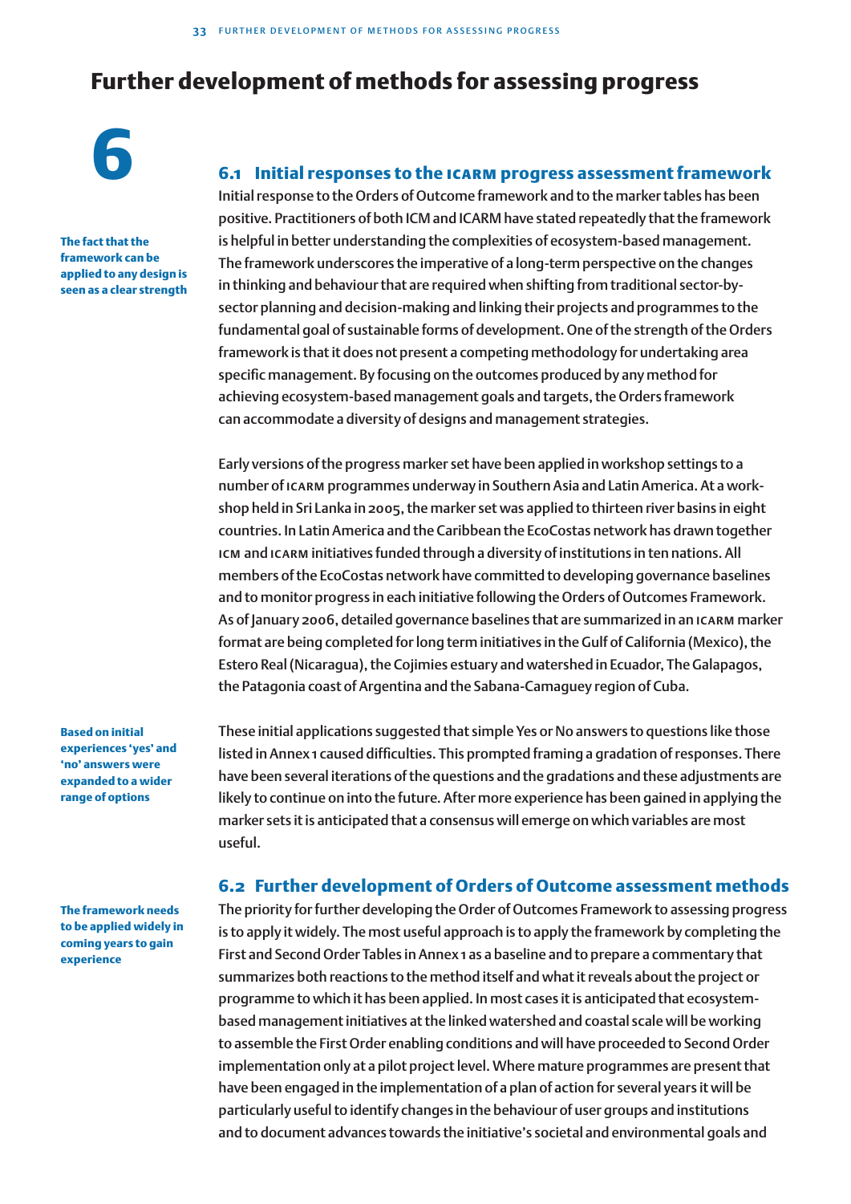### Further development of methods for assessing progress

The fact that the framework can be applied to any design is seen as a clear strength

6 6.1 Initial responses to the icarm progress assessment framework

Initial response to the Orders of Outcome framework and to the marker tables has been positive. Practitioners of both ICM and ICARM have stated repeatedly that the framework is helpful in better understanding the complexities of ecosystem-based management. The framework underscores the imperative of a long-term perspective on the changes in thinking and behaviour that are required when shifting from traditional sector-bysector planning and decision-making and linking their projects and programmes to the fundamental goal of sustainable forms of development. One of the strength of the Orders framework is that it does not present a competing methodology for undertaking area specific management. By focusing on the outcomes produced by any method for achieving ecosystem-based management goals and targets, the Orders framework can accommodate a diversity of designs and management strategies.

Early versions of the progress marker set have been applied in workshop settings to a number of icarm programmes underway in Southern Asia and Latin America. At a workshop held in Sri Lanka in 2005, the marker set was applied to thirteen river basins in eight countries. In Latin America and the Caribbean the EcoCostas network has drawn together icm and icarm initiatives funded through a diversity of institutions in ten nations. All members of the EcoCostas network have committed to developing governance baselines and to monitor progress in each initiative following the Orders of Outcomes Framework. As of January 2006, detailed governance baselines that are summarized in an icarm marker format are being completed for long term initiatives in the Gulf of California (Mexico), the Estero Real (Nicaragua), the Cojimies estuary and watershed in Ecuador, The Galapagos, the Patagonia coast of Argentina and the Sabana-Camaguey region of Cuba.

Based on initial experiences 'yes' and 'no' answers were expanded to a wider range of options

The framework needs to be applied widely in coming years to gain experience

These initial applications suggested that simple Yes or No answers to questions like those listed in Annex 1 caused difficulties. This prompted framing a gradation of responses. There have been several iterations of the questions and the gradations and these adjustments are likely to continue on into the future. After more experience has been gained in applying the marker sets it is anticipated that a consensus will emerge on which variables are most useful.

#### 6.2 Further development of Orders of Outcome assessment methods

The priority for further developing the Order of Outcomes Framework to assessing progress is to apply it widely. The most useful approach is to apply the framework by completing the First and Second Order Tables in Annex 1 as a baseline and to prepare a commentary that summarizes both reactions to the method itself and what it reveals about the project or programme to which it has been applied. In most cases it is anticipated that ecosystembased management initiatives at the linked watershed and coastal scale will be working to assemble the First Order enabling conditions and will have proceeded to Second Order implementation only at a pilot project level. Where mature programmes are present that have been engaged in the implementation of a plan of action for several years it will be particularly useful to identify changes in the behaviour of user groups and institutions and to document advances towards the initiative's societal and environmental goals and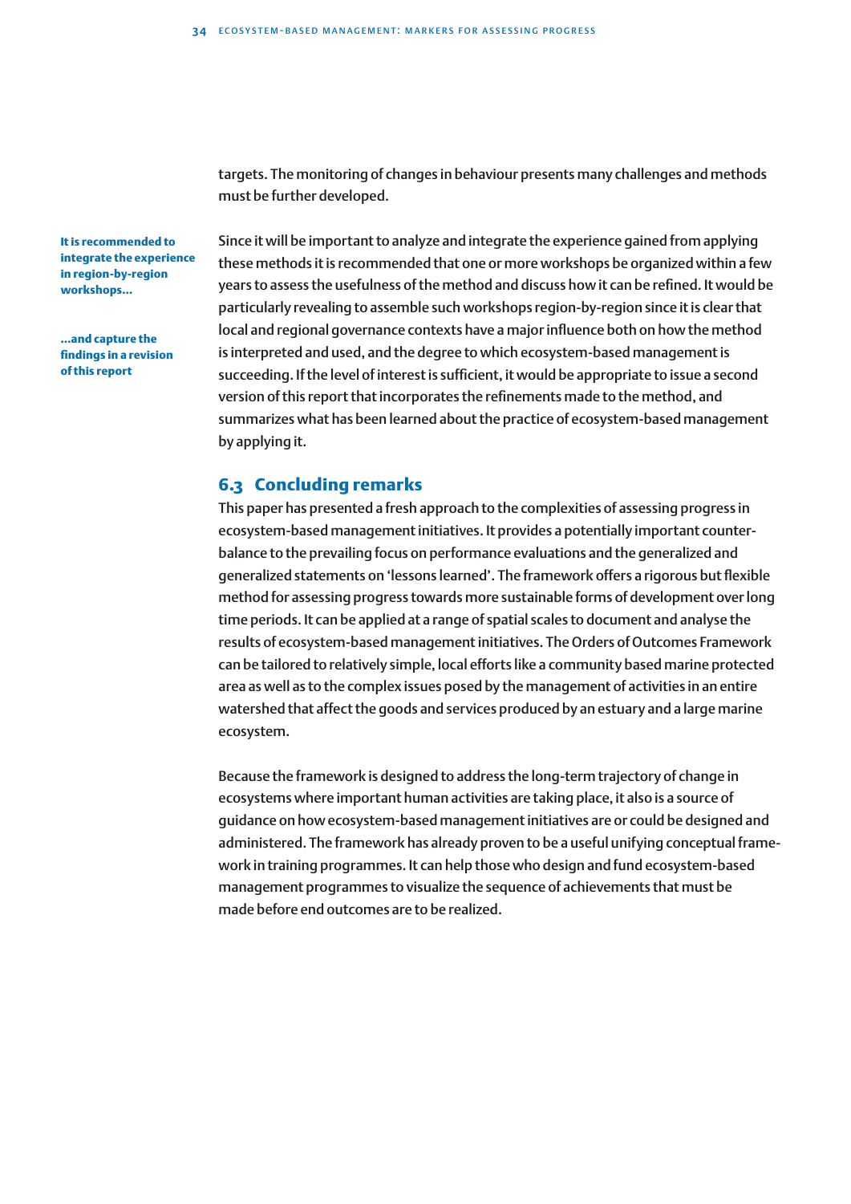targets. The monitoring of changes in behaviour presents many challenges and methods must be further developed.

It is recommended to integrate the experience in region-by-region workshops…

…and capture the findings in a revision of this report

Since it will be important to analyze and integrate the experience gained from applying these methods it is recommended that one or more workshops be organized within a few years to assess the usefulness of the method and discuss how it can be refined. It would be particularly revealing to assemble such workshops region-by-region since it is clear that local and regional governance contexts have a major influence both on how the method is interpreted and used, and the degree to which ecosystem-based management is succeeding. If the level of interest is sufficient, it would be appropriate to issue a second version of this report that incorporates the refinements made to the method, and summarizes what has been learned about the practice of ecosystem-based management by applying it.

#### 6.3 Concluding remarks

This paper has presented a fresh approach to the complexities of assessing progress in ecosystem-based management initiatives. It provides a potentially important counterbalance to the prevailing focus on performance evaluations and the generalized and generalized statements on 'lessons learned'. The framework offers a rigorous but flexible method for assessing progress towards more sustainable forms of development over long time periods. It can be applied at a range of spatial scales to document and analyse the results of ecosystem-based management initiatives. The Orders of Outcomes Framework can be tailored to relatively simple, local efforts like a community based marine protected area as well as to the complex issues posed by the management of activities in an entire watershed that affect the goods and services produced by an estuary and a large marine ecosystem.

Because the framework is designed to address the long-term trajectory of change in ecosystems where important human activities are taking place, it also is a source of guidance on how ecosystem-based management initiatives are or could be designed and administered. The framework has already proven to be a useful unifying conceptual framework in training programmes. It can help those who design and fund ecosystem-based management programmes to visualize the sequence of achievements that must be made before end outcomes are to be realized.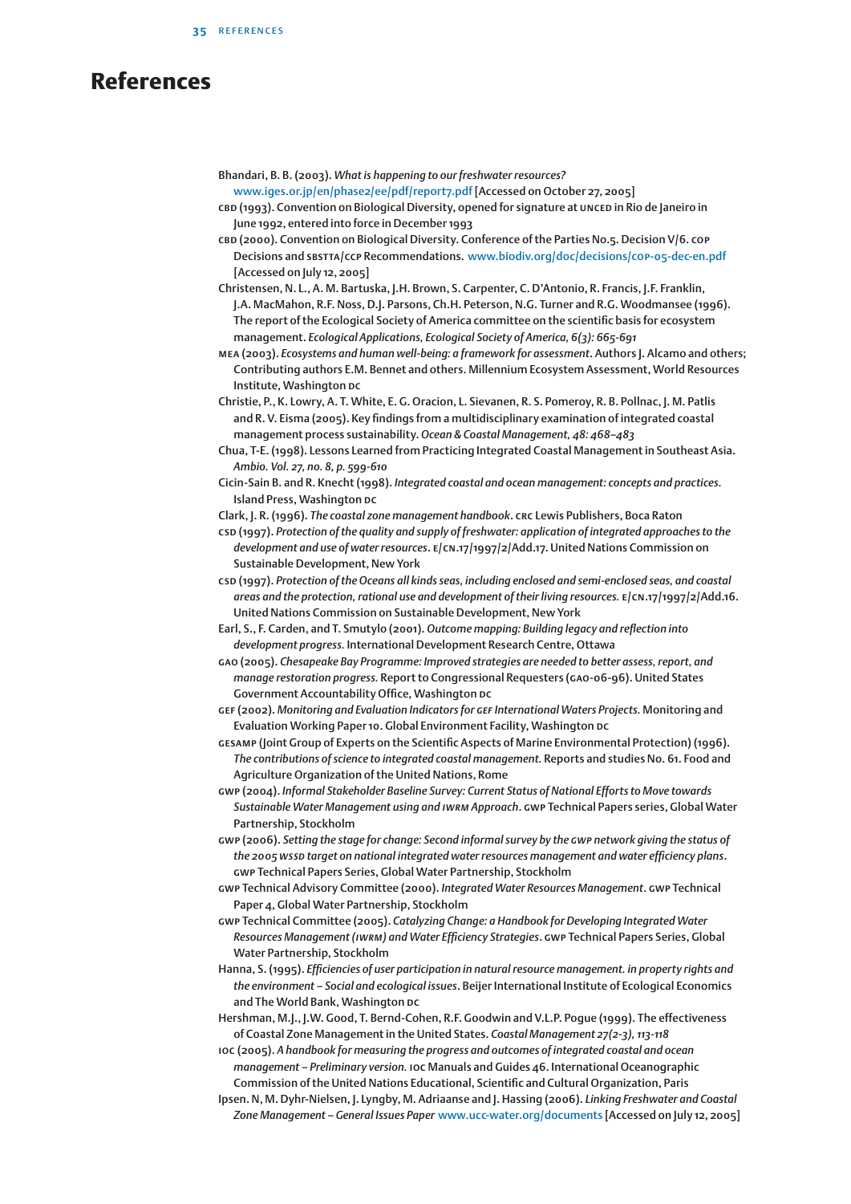### References

Bhandari, B. B. (2003). *What is happening to our freshwater resources?*

- www.iges.or.jp/en/phase2/ee/pdf/report7.pdf [Accessed on October 27, 2005] cBD (1993). Convention on Biological Diversity, opened for signature at unced in Rio de Janeiro in June 1992, entered into force in December 1993
- cbb (2000). Convention on Biological Diversity. Conference of the Parties No.5. Decision V/6. cop Decisions and sBSTTA/ccP Recommendations. www.biodiv.org/doc/decisions/cop-05-dec-en.pdf [Accessed on July 12, 2005]
- Christensen, N. L., A. M. Bartuska, J.H. Brown, S. Carpenter, C. D'Antonio, R. Francis, J.F. Franklin, J.A. MacMahon, R.F. Noss, D.J. Parsons, Ch.H. Peterson, N.G. Turner and R.G. Woodmansee (1996). The report of the Ecological Society of America committee on the scientific basis for ecosystem management. *Ecological Applications, Ecological Society of America, 6(3): 665-691*
- mea (2003). *Ecosystems and human well-being: a framework for assessment*. Authors J. Alcamo and others; Contributing authors E.M. Bennet and others. Millennium Ecosystem Assessment, World Resources Institute, Washington pc
- Christie, P., K. Lowry, A. T. White, E. G. Oracion, L. Sievanen, R. S. Pomeroy, R. B. Pollnac, J. M. Patlis and R. V. Eisma (2005). Key findings from a multidisciplinary examination of integrated coastal management process sustainability. *Ocean & Coastal Management, 48: 468–483*
- Chua, T-E. (1998). Lessons Learned from Practicing Integrated Coastal Management in Southeast Asia. *Ambio. Vol. 27, no. 8, p. 599-610*
- Cicin-Sain B. and R. Knecht (1998). *Integrated coastal and ocean management: concepts and practices.* Island Press, Washington DC
- Clark, J. R. (1996). *The coastal zone management handbook*. crc Lewis Publishers, Boca Raton
- csd (1997). *Protection of the quality and supply of freshwater: application of integrated approaches to the development and use of water resources*.  $E/cm.17/1997/2/Add.17$ . United Nations Commission on Sustainable Development, New York
- csd (1997). *Protection of the Oceans all kinds seas, including enclosed and semi-enclosed seas, and coastal areas and the protection, rational use and development of their living resources.*  $E$ (cn.17/1997/2/Add.16. United Nations Commission on Sustainable Development, New York
- Earl, S., F. Carden, and T. Smutylo (2001). *Outcome mapping: Building legacy and reflection into development progress.* International Development Research Centre, Ottawa
- gao (2005). *Chesapeake Bay Programme: Improved strategies are needed to better assess, report, and manage restoration progress.* Report to Congressional Requesters (gao-06-96). United States Government Accountability Office, Washington DC
- gef (2002). *Monitoring and Evaluation Indicators for gef International Waters Projects.* Monitoring and Evaluation Working Paper 10. Global Environment Facility, Washington dc
- gesamp (Joint Group of Experts on the Scientific Aspects of Marine Environmental Protection) (1996). *The contributions of science to integrated coastal management.* Reports and studies No. 61. Food and Agriculture Organization of the United Nations, Rome
- gwp (2004). *Informal Stakeholder Baseline Survey: Current Status of National Efforts to Move towards Sustainable Water Management using and iwrm Approach*. gwp Technical Papers series, Global Water Partnership, Stockholm
- gwp (2006). *Setting the stage for change: Second informal survey by the gwp network giving the status of the 2005 wssd target on national integrated water resources management and water efficiency plans*. gwp Technical Papers Series, Global Water Partnership, Stockholm
- gwp Technical Advisory Committee (2000). *Integrated Water Resources Management*. gwp Technical Paper 4, Global Water Partnership, Stockholm
- gwp Technical Committee (2005). *Catalyzing Change: a Handbook for Developing Integrated Water Resources Management (iwrm) and Water Efficiency Strategies*. gwp Technical Papers Series, Global Water Partnership, Stockholm
- Hanna, S. (1995). *Efficiencies of user participation in natural resource management. in property rights and the environment – Social and ecological issues*. Beijer International Institute of Ecological Economics and The World Bank, Washington DC
- Hershman, M.J., J.W. Good, T. Bernd-Cohen, R.F. Goodwin and V.L.P. Pogue (1999). The effectiveness of Coastal Zone Management in the United States. *Coastal Management 27(2-3), 113-118*
- ioc (2005). *A handbook for measuring the progress and outcomes of integrated coastal and ocean management – Preliminary version.* ioc Manuals and Guides 46. International Oceanographic Commission of the United Nations Educational, Scientific and Cultural Organization, Paris
- Ipsen. N, M. Dyhr-Nielsen, J. Lyngby, M. Adriaanse and J. Hassing (2006). *Linking Freshwater and Coastal Zone Management – General Issues Paper* www.ucc-water.org/documents [Accessed on July 12, 2005]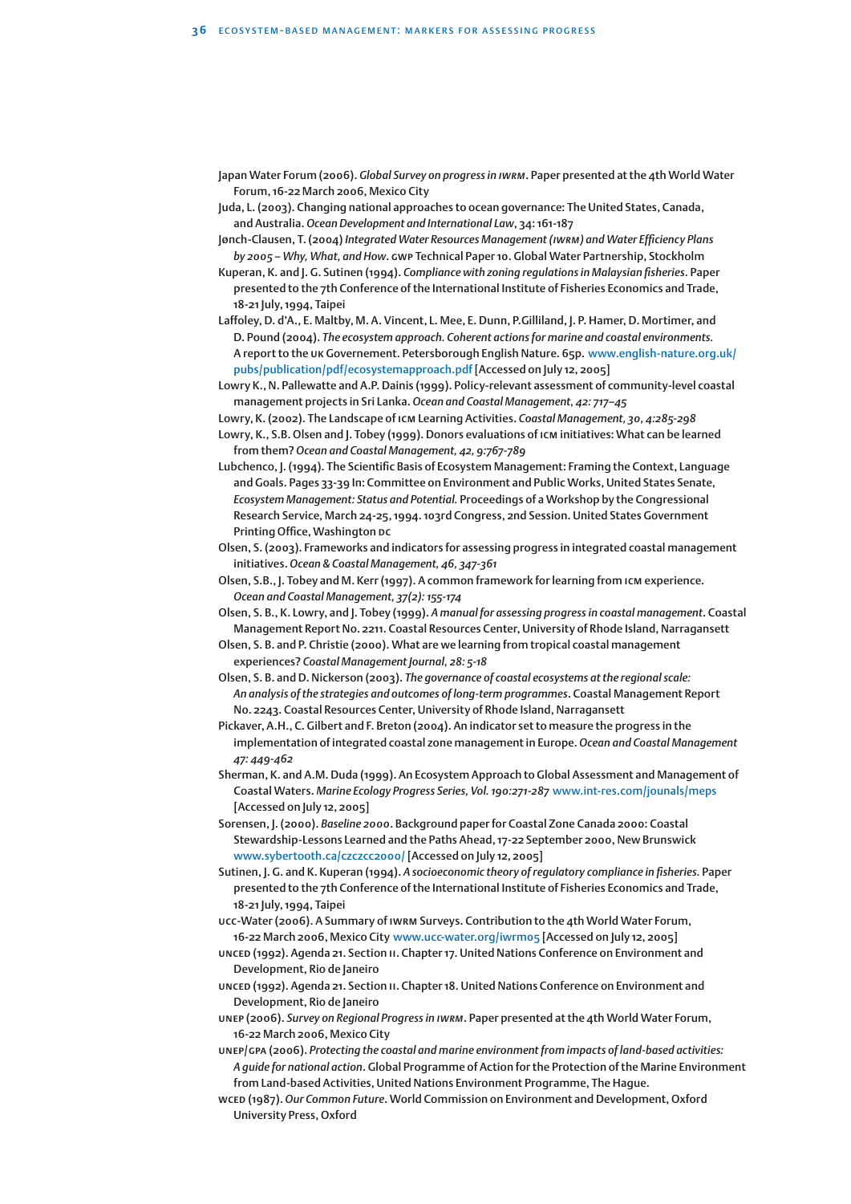- Japan Water Forum (2006). *Global Survey on progress in iwrm*. Paper presented at the 4th World Water Forum, 16-22 March 2006, Mexico City
- Juda, L. (2003). Changing national approaches to ocean governance: The United States, Canada, and Australia. *Ocean Development and International Law*, 34: 161-187
- Jønch-Clausen, T. (2004) *Integrated Water Resources Management (iwrm) and Water Efficiency Plans by 2005 – Why, What, and How*. gwp Technical Paper 10. Global Water Partnership, Stockholm
- Kuperan, K. and J. G. Sutinen (1994). *Compliance with zoning regulations in Malaysian fisheries*. Paper presented to the 7th Conference of the International Institute of Fisheries Economics and Trade, 18-21 July, 1994, Taipei
- Laffoley, D. d'A., E. Maltby, M. A. Vincent, L. Mee, E. Dunn, P.Gilliland, J. P. Hamer, D. Mortimer, and D. Pound (2004). *The ecosystem approach. Coherent actions for marine and coastal environments.* A report to the uk Governement. Petersborough English Nature. 65p. www.english-nature.org.uk/ pubs/publication/pdf/ecosystemapproach.pdf [Accessed on July 12, 2005]
- Lowry K., N. Pallewatte and A.P. Dainis (1999). Policy-relevant assessment of community-level coastal management projects in Sri Lanka. *Ocean and Coastal Management, 42: 717–45*
- Lowry, K. (2002). The Landscape of icm Learning Activities. *Coastal Management, 30, 4:285-298* Lowry, K., S.B. Olsen and J. Tobey (1999). Donors evaluations of icm initiatives: What can be learned from them? *Ocean and Coastal Management, 42, 9:767-789*
- Lubchenco, J. (1994). The Scientific Basis of Ecosystem Management: Framing the Context, Language and Goals. Pages 33-39 In: Committee on Environment and Public Works, United States Senate, *Ecosystem Management: Status and Potential.* Proceedings of a Workshop by the Congressional Research Service, March 24-25, 1994. 103rd Congress, 2nd Session. United States Government Printing Office, Washington DC
- Olsen, S. (2003). Frameworks and indicators for assessing progress in integrated coastal management initiatives. *Ocean & Coastal Management, 46, 347-361*
- Olsen, S.B., J. Tobey and M. Kerr (1997). A common framework for learning from icm experience. *Ocean and Coastal Management, 37(2): 155-174*
- Olsen, S. B., K. Lowry, and J. Tobey (1999). *A manual for assessing progress in coastal management*. Coastal Management Report No. 2211. Coastal Resources Center, University of Rhode Island, Narragansett
- Olsen, S. B. and P. Christie (2000). What are we learning from tropical coastal management experiences? *Coastal Management Journal, 28: 5-18*
- Olsen, S. B. and D. Nickerson (2003). *The governance of coastal ecosystems at the regional scale: An analysis of the strategies and outcomes of long-term programmes*. Coastal Management Report No. 2243. Coastal Resources Center, University of Rhode Island, Narragansett
- Pickaver, A.H., C. Gilbert and F. Breton (2004). An indicator set to measure the progress in the implementation of integrated coastal zone management in Europe. *Ocean and Coastal Management 47: 449-462*
- Sherman, K. and A.M. Duda (1999). An Ecosystem Approach to Global Assessment and Management of Coastal Waters. *Marine Ecology Progress Series, Vol. 190:271-287* www.int-res.com/jounals/meps [Accessed on July 12, 2005]
- Sorensen, J. (2000). *Baseline 2000*. Background paper for Coastal Zone Canada 2000: Coastal Stewardship-Lessons Learned and the Paths Ahead, 17-22 September 2000, New Brunswick www.sybertooth.ca/czczcc2000/ [Accessed on July 12, 2005]
- Sutinen, J. G. and K. Kuperan (1994). *A socioeconomic theory of regulatory compliance in fisheries.* Paper presented to the 7th Conference of the International Institute of Fisheries Economics and Trade, 18-21 July, 1994, Taipei
- ucc-Water (2006). A Summary of iwrm Surveys. Contribution to the 4th World Water Forum, 16-22 March 2006, Mexico City www.ucc-water.org/iwrm05 [Accessed on July 12, 2005]
- unced (1992). Agenda 21. Section ii. Chapter 17. United Nations Conference on Environment and Development, Rio de Janeiro
- unced (1992). Agenda 21. Section ii. Chapter 18. United Nations Conference on Environment and Development, Rio de Janeiro
- unep (2006). *Survey on Regional Progress in iwrm*. Paper presented at the 4th World Water Forum, 16-22 March 2006, Mexico City
- unep/gpa (2006). *Protecting the coastal and marine environment from impacts of land-based activities: A guide for national action*. Global Programme of Action for the Protection of the Marine Environment from Land-based Activities, United Nations Environment Programme, The Hague.
- wced (1987). *Our Common Future*. World Commission on Environment and Development, Oxford University Press, Oxford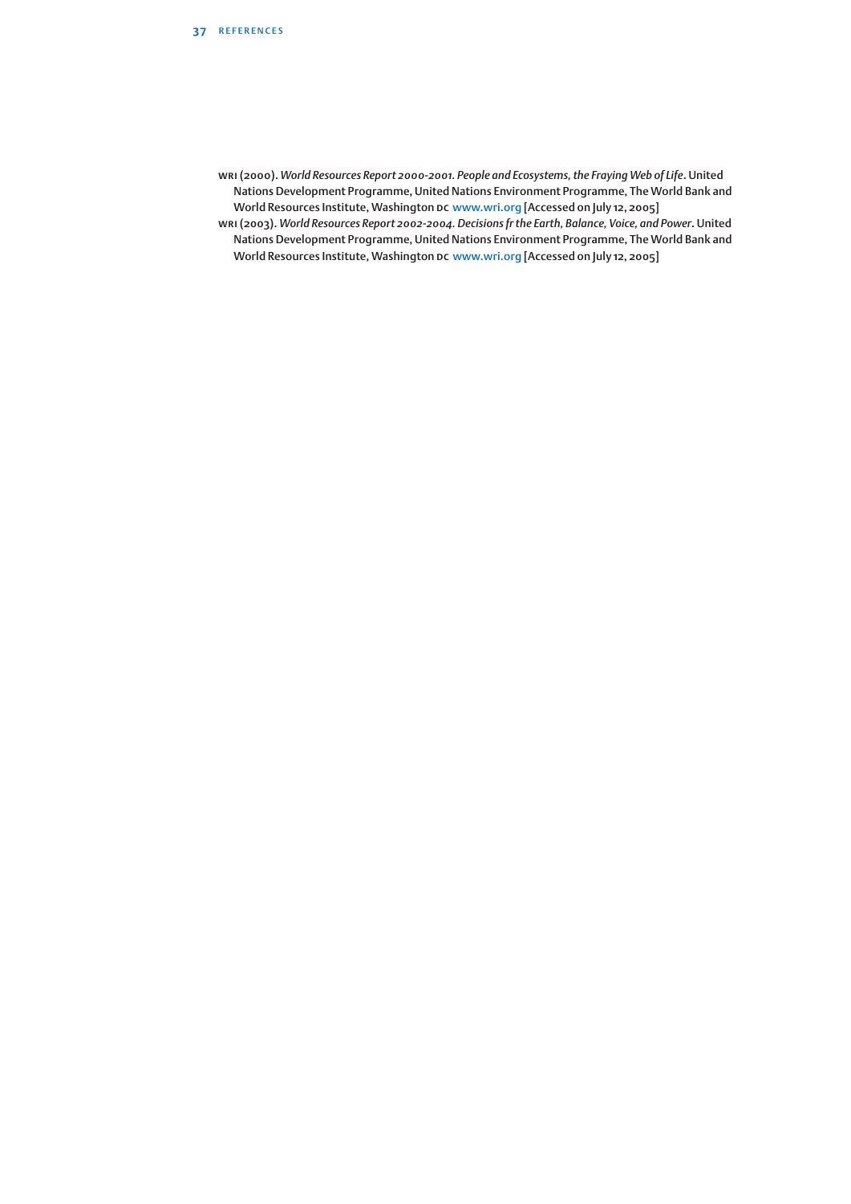- wri (2000). *World Resources Report 2000-2001. People and Ecosystems, the Fraying Web of Life*. United Nations Development Programme, United Nations Environment Programme, The World Bank and World Resources Institute, Washington DC www.wri.org [Accessed on July 12, 2005]
- wri (2003). *World Resources Report 2002-2004. Decisions fr the Earth, Balance, Voice, and Power*. United Nations Development Programme, United Nations Environment Programme, The World Bank and World Resources Institute, Washington DC www.wri.org [Accessed on July 12, 2005]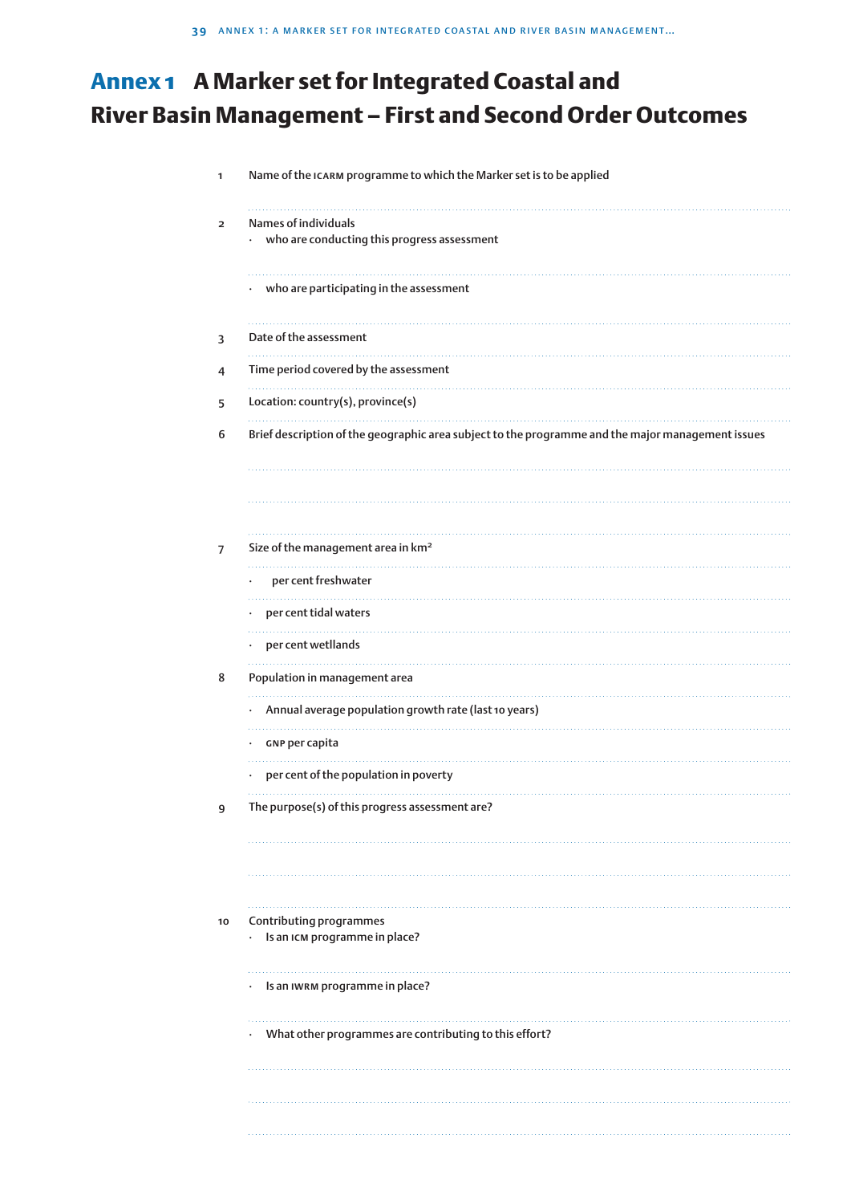# Annex 1 A Marker set for Integrated Coastal and River Basin Management – First and Second Order Outcomes

| 1                       | Name of the ICARM programme to which the Marker set is to be applied                              |
|-------------------------|---------------------------------------------------------------------------------------------------|
| $\overline{\mathbf{2}}$ | Names of individuals<br>who are conducting this progress assessment                               |
|                         | who are participating in the assessment                                                           |
| 3                       | Date of the assessment                                                                            |
| 4                       | Time period covered by the assessment                                                             |
| 5                       | Location: country(s), province(s)                                                                 |
| 6                       | Brief description of the geographic area subject to the programme and the major management issues |
|                         |                                                                                                   |
|                         |                                                                                                   |
| 7                       | Size of the management area in km <sup>2</sup>                                                    |
|                         | per cent freshwater                                                                               |
|                         | per cent tidal waters                                                                             |
|                         | per cent wetllands                                                                                |
| 8                       | Population in management area                                                                     |
|                         | Annual average population growth rate (last 10 years)                                             |
|                         | GNP per capita<br>per cent of the population in poverty                                           |
|                         | The purpose(s) of this progress assessment are?                                                   |
|                         |                                                                                                   |
|                         |                                                                                                   |
| 10                      | Contributing programmes                                                                           |
|                         | Is an ICM programme in place?<br>$\bullet$                                                        |
|                         | Is an IWRM programme in place?                                                                    |
|                         | What other programmes are contributing to this effort?                                            |
|                         |                                                                                                   |
|                         |                                                                                                   |
|                         |                                                                                                   |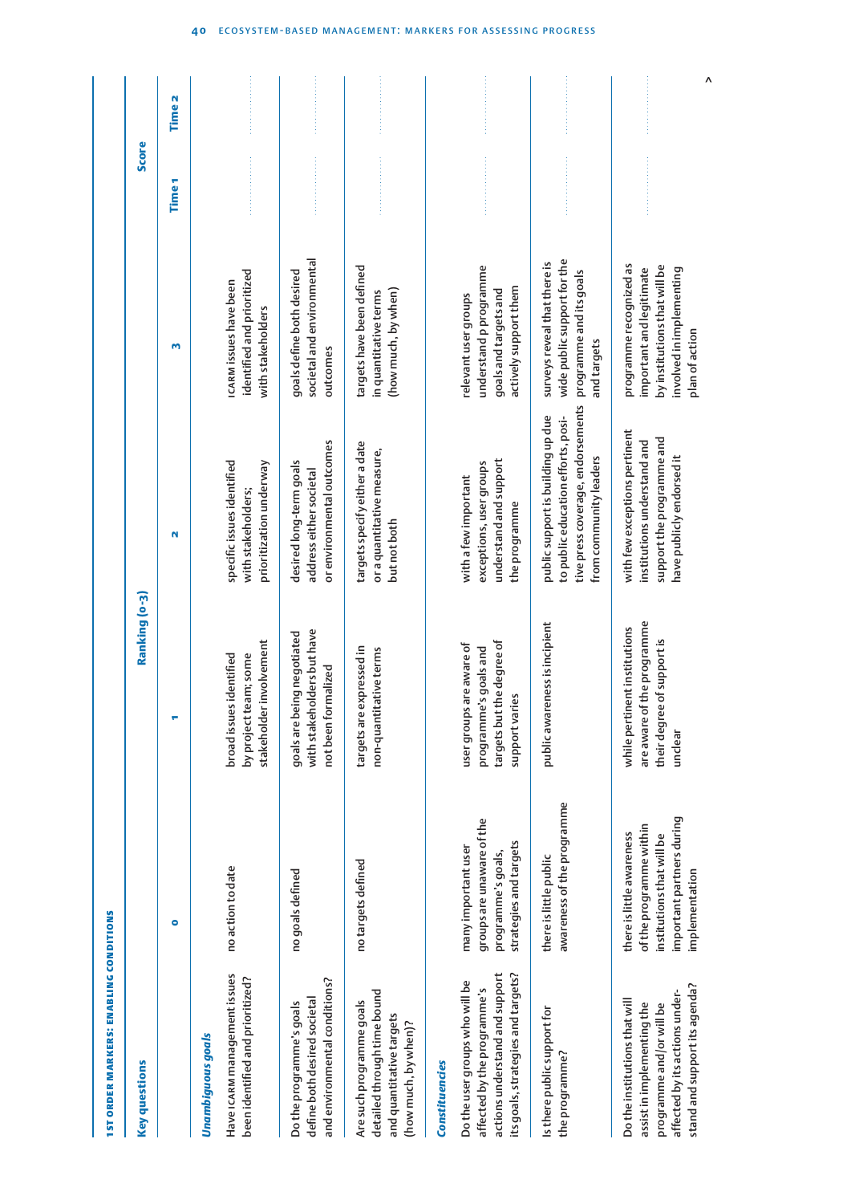| <b>1ST ORDER MARKERS: ENABLING CONDITIONS</b>                                                                                                                  |                                                                                                                                  |                                                                                                     |                                                                                                                                        |                                                                                                                                   |                   |                   |
|----------------------------------------------------------------------------------------------------------------------------------------------------------------|----------------------------------------------------------------------------------------------------------------------------------|-----------------------------------------------------------------------------------------------------|----------------------------------------------------------------------------------------------------------------------------------------|-----------------------------------------------------------------------------------------------------------------------------------|-------------------|-------------------|
| <b>Key questions</b>                                                                                                                                           |                                                                                                                                  | Ranking (o-3)                                                                                       |                                                                                                                                        |                                                                                                                                   | <b>Score</b>      |                   |
|                                                                                                                                                                | ۰                                                                                                                                |                                                                                                     | N                                                                                                                                      | m                                                                                                                                 | Time <sub>1</sub> | Time <sub>2</sub> |
| Have ICARM management issues<br>been identified and prioritized?<br>Unambiguous goals                                                                          | no action to date                                                                                                                | stakeholder involvement<br>broad issues identified<br>by project team; some                         | specific issues identified<br>prioritization underway<br>with stakeholders;                                                            | identified and prioritized<br><b>ICARM</b> issues have been<br>with stakeholders                                                  |                   |                   |
| and environmental conditions?<br>define both desired societal<br>Do the programme's goals                                                                      | no goals defined                                                                                                                 | with stakeholders but have<br>goals are being negotiated<br>not been formalized                     | or environmental outcomes<br>desired long-term goals<br>address either societal                                                        | societal and environmental<br>goals define both desired<br>outcomes                                                               |                   |                   |
| detailed through time bound<br>Are such programme goals<br>and quantitative targets<br>(how much, by when)?                                                    | no targets defined                                                                                                               | targets are expressed in<br>non-quantitative terms                                                  | targets specify either a date<br>or a quantitative measure,<br>but not both                                                            | targets have been defined<br>(how much, by when)<br>in quantitative terms                                                         |                   |                   |
| actions understand and support<br>its goals, strategies and targets?<br>Do the user groups who will be<br>affected by the programme's<br><b>Constituencies</b> | groups are unaware of the<br>strategies and targets<br>many important user<br>programme's goals,                                 | targets but the degree of<br>user groups are aware of<br>programme's goals and<br>support varies    | understand and support<br>exceptions, user groups<br>with a few important<br>the programme                                             | understand p programme<br>actively support them<br>goals and targets and<br>relevant user groups                                  |                   |                   |
| Is there public support for<br>the programme?                                                                                                                  | awareness of the programme<br>there is little public                                                                             | public awareness is incipient                                                                       | tive press coverage, endorsements<br>public support is building up due<br>to public education efforts, posi-<br>from community leaders | wide public support for the<br>surveys reveal that there is<br>programme and its goals<br>and targets                             |                   |                   |
| stand and support its agenda?<br>affected by its actions under-<br>Do the institutions that will<br>assist in implementing the<br>programme and/or will be     | important partners during<br>of the programme within<br>there is little awareness<br>institutions that will be<br>implementation | are aware of the programme<br>while pertinent institutions<br>their degree of support is<br>unclear | with few exceptions pertinent<br>support the programme and<br>institutions understand and<br>have publicly endorsed it                 | programme recognized as<br>by institutions that will be<br>important and legitimate<br>involved in implementing<br>plan of action |                   | Λ                 |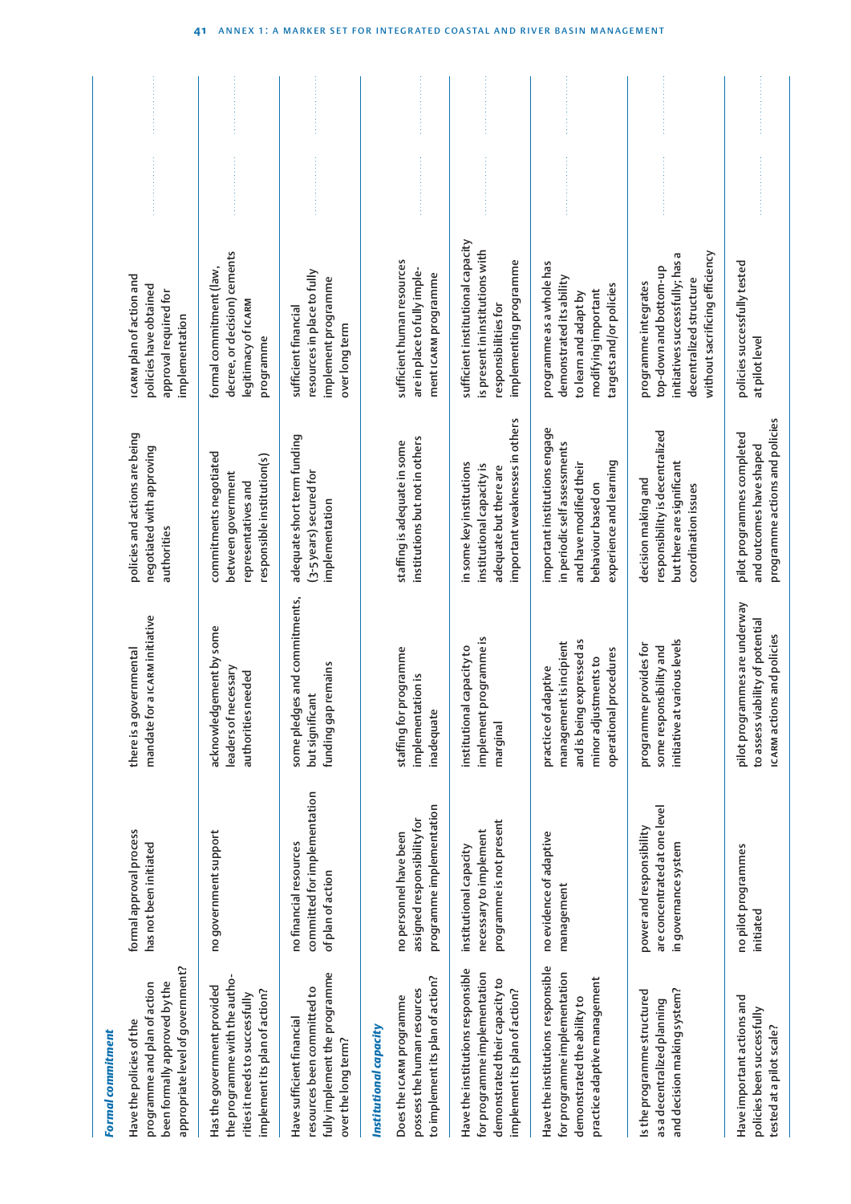| <b>Formal commitment</b>                                                                                                             |                                                                                   |                                                                                                                                |                                                                                                                                           |                                                                                                                                                |  |
|--------------------------------------------------------------------------------------------------------------------------------------|-----------------------------------------------------------------------------------|--------------------------------------------------------------------------------------------------------------------------------|-------------------------------------------------------------------------------------------------------------------------------------------|------------------------------------------------------------------------------------------------------------------------------------------------|--|
| appropriate level of government?<br>been formally approved by the<br>programme and plan of action<br>Have the policies of the        | formal approval process<br>has not been initiated                                 | mandate for a ICARM initiative<br>there is a governmental                                                                      | policies and actions are being<br>negotiated with approving<br>authorities                                                                | ICARM plan of action and<br>policies have obtained<br>approval required for<br>implementation                                                  |  |
| the programme with the autho-<br>Has the government provided<br>implement its plan of action?<br>rities it needs to successfully     | no government support                                                             | acknowledgement by some<br>leaders of necessary<br>authorities needed                                                          | commitments negotiated<br>responsible institution(s)<br>between government<br>representatives and                                         | decree, or decision) cements<br>formal commitment (law,<br>legitimacy of ICARM<br>programme                                                    |  |
| fully implement the programme<br>resources been committed to<br>Have sufficient financial<br>over the long term?                     | committed for implementation<br>no financial resources<br>of plan of action       | some pledges and commitments,<br>funding gap remains<br>but significant                                                        | adequate short term funding<br>(3-5 years) secured for<br>implementation                                                                  | resources in place to fully<br>implement programme<br>sufficient financial<br>over long term                                                   |  |
| to implement its plan of action?<br>possess the human resources<br>Does the ICARM programme<br>Institutional capacity                | programme implementation<br>assigned responsibility for<br>no personnel have been | staffing for programme<br>implementation is<br>به<br>inadequat                                                                 | institutions but not in others<br>staffing is adequate in some                                                                            | sufficient human resources<br>are in place to fully imple-<br>ment ICARM programme                                                             |  |
| Have the institutions responsible<br>for programme implementation<br>demonstrated their capacity to<br>implement its plan of action? | programme is not present<br>necessary to implement<br>institutional capacity      | implement programme is<br>institutional capacity to<br>marginal                                                                | important weaknesses in others<br>in some key institutions<br>institutional capacity is<br>adequate but there are                         | sufficient institutional capacity<br>is present in institutions with<br>implementing programme<br>responsibilities for                         |  |
| Have the institutions responsible<br>for programme implementation<br>practice adaptive management<br>demonstrated the ability to     | no evidence of adaptive<br>management                                             | and is being expressed as<br>management is incipient<br>operational procedures<br>minor adjustments to<br>practice of adaptive | important institutions engage<br>in periodic self assessments<br>experience and learning<br>and have modified their<br>behaviour based on | programme as a whole has<br>demonstrated its ability<br>targets and/or policies<br>modifying important<br>to learn and adapt by                |  |
| and decision making system?<br>Is the programme structured<br>as a decentralized planning                                            | are concentrated at one level<br>power and responsibility<br>in governance system | initiative at various levels<br>programme provides for<br>some responsibility and                                              | responsibility is decentralized<br>but there are significant<br>decision making and<br>coordination issues                                | without sacrificing efficiency<br>initiatives successfully; has a<br>top-down and bottom-up<br>decentralized structure<br>programme integrates |  |
| Have important actions and<br>policies been successfully<br>tested at a pilot scale?                                                 | no pilot programmes<br>initiated                                                  | pilot programmes are underway<br>to assess viability of potential<br>ICARM actions and policies                                | programme actions and policies<br>pilot programmes completed<br>and outcomes have shaped                                                  | policies successfully tested<br>at pilot level                                                                                                 |  |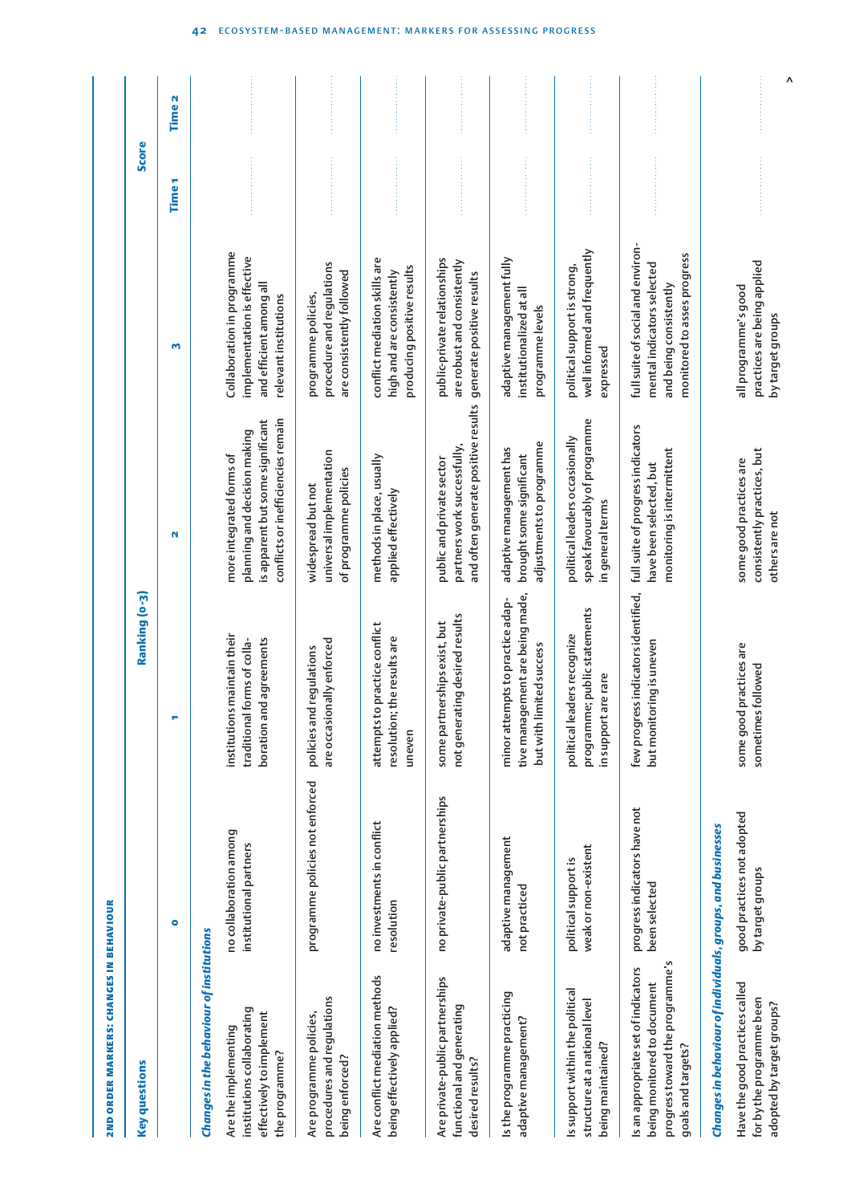| 2ND ORDER MARKERS: CHANGES IN BEHAVIOUR                                                                                     |                                                  |                                                                                                 |                                                                                                                                    |                                                                                                                          |                   |                   |
|-----------------------------------------------------------------------------------------------------------------------------|--------------------------------------------------|-------------------------------------------------------------------------------------------------|------------------------------------------------------------------------------------------------------------------------------------|--------------------------------------------------------------------------------------------------------------------------|-------------------|-------------------|
| <b>Key questions</b>                                                                                                        |                                                  | Ranking (o-3)                                                                                   |                                                                                                                                    |                                                                                                                          | <b>Score</b>      |                   |
|                                                                                                                             | ۰                                                |                                                                                                 | N                                                                                                                                  | m                                                                                                                        | Time <sub>1</sub> | Time <sub>2</sub> |
| Changes in the behaviour of institutions                                                                                    |                                                  |                                                                                                 |                                                                                                                                    |                                                                                                                          |                   |                   |
| institutions collaborating<br>effectively to implement<br>Are the implementing<br>the programme?                            | no collaboration among<br>institutional partners | institutions maintain their<br>boration and agreements<br>I forms of colla-<br>traditional      | conflicts or inefficiencies remain<br>is apparent but some significant<br>planning and decision making<br>more integrated forms of | Collaboration in programme<br>implementation is effective<br>and efficient among all<br>relevant institutions            |                   |                   |
| procedures and regulations<br>Are programme policies,<br>being enforced?                                                    | programme policies not enforced                  | are occasionally enforced<br><b>id</b> regulations<br>policies an                               | universal implementation<br>of programme policies<br>widespread but not                                                            | procedure and regulations<br>are consistently followed<br>programme policies,                                            |                   |                   |
| Are conflict mediation methods<br>being effectively applied?                                                                | no investments in conflict<br>resolution         | attempts to practice conflict<br>resolution; the results are<br>uneven                          | methods in place, usually<br>applied effectively                                                                                   | conflict mediation skills are<br>producing positive results<br>high and are consistently                                 |                   |                   |
| Are private-public partnerships<br>functional and generating<br>desired results?                                            | no private-public partnerships                   | not generating desired results<br>some partnerships exist, but                                  | and often generate positive results<br>partners work successfully,<br>public and private sector                                    | public-private relationships<br>are robust and consistently<br>generate positive results                                 |                   |                   |
| Is the programme practicing<br>adaptive management?                                                                         | adaptive management<br>not practiced             | tive management are being made,<br>minor attempts to practice adap-<br>but with limited success | adjustments to programme<br>adaptive management has<br>brought some significant                                                    | adaptive management fully<br>institutionalized at all<br>programme levels                                                |                   |                   |
| Is support within the political<br>structure at a national level<br>being maintained?                                       | weak or non-existent<br>political support is     | programme; public statements<br>political leaders recognize<br>are rare<br>in support           | speak favourably of programme<br>political leaders occasionally<br>in general terms                                                | well informed and frequently<br>political support is strong,<br>expressed                                                |                   |                   |
| progress toward the programme's<br>Is an appropriate set of indicators<br>being monitored to document<br>goals and targets? | progress indicators have not<br>been selected    | few progress indicators identified,<br>but monitoring is uneven                                 | full suite of progress indicators<br>monitoring is intermittent<br>have been selected, but                                         | full suite of social and environ-<br>monitored to asses progress<br>mental indicators selected<br>and being consistently |                   |                   |
| Changes in behaviour of individuals, groups, and businesses                                                                 |                                                  |                                                                                                 |                                                                                                                                    |                                                                                                                          |                   |                   |
| Have the good practices called<br>for by the programme been<br>adopted by target groups?                                    | good practices not adopted<br>by target groups   | some good practices are<br>sometimes followed                                                   | consistently practices, but<br>some good practices are<br>others are not                                                           | practices are being applied<br>all programme's good<br>by target groups                                                  |                   |                   |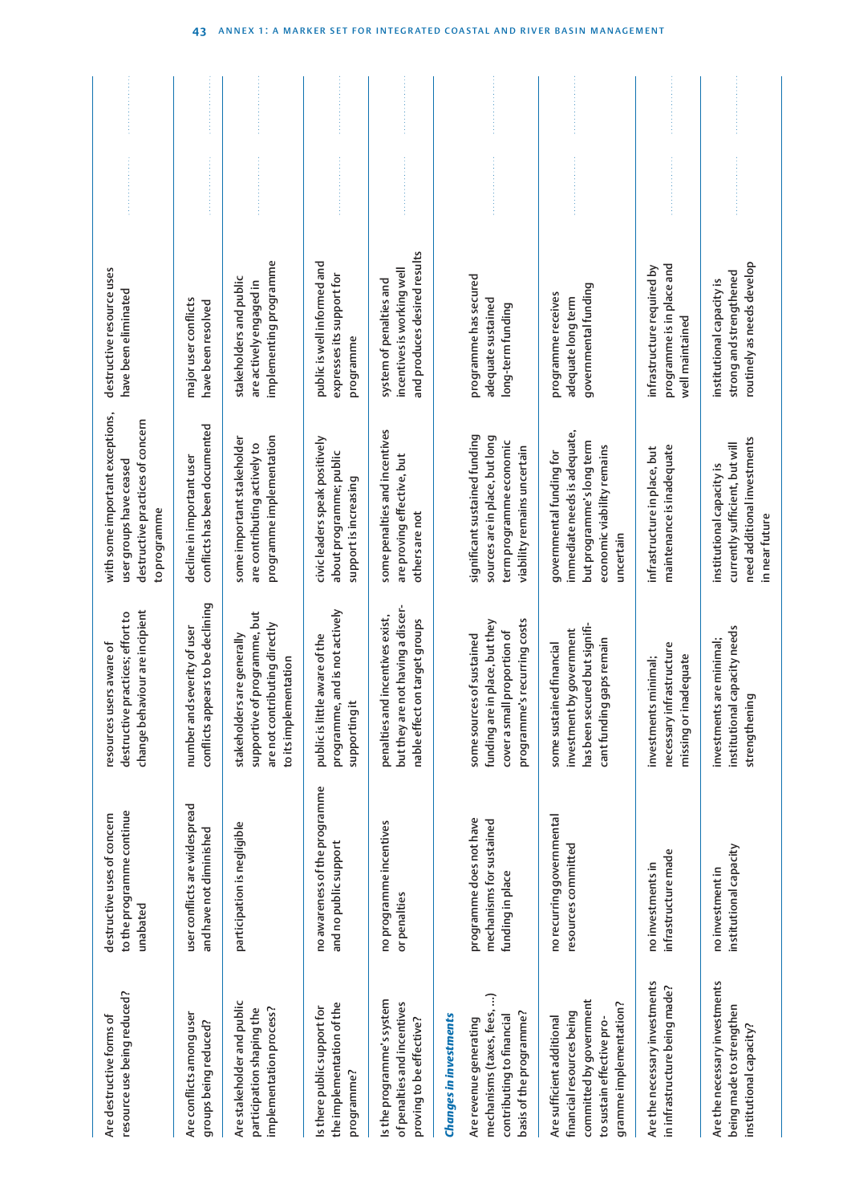| resource use being reduced?<br>Are destructive forms of                                                                                  | to the programme continue<br>destructive uses of concern<br>unabated    | change behaviour are incipient<br>destructive practices; effort to<br>resources users aware of                            | with some important exceptions,<br>destructive practices of concern<br>user groups have ceased<br>to programme                   | destructive resource uses<br>have been eliminated                                     |  |
|------------------------------------------------------------------------------------------------------------------------------------------|-------------------------------------------------------------------------|---------------------------------------------------------------------------------------------------------------------------|----------------------------------------------------------------------------------------------------------------------------------|---------------------------------------------------------------------------------------|--|
| Are conflicts among user<br>groups being reduced?                                                                                        | user conflicts are widespread<br>and have not diminished                | conflicts appears to be declining<br>number and severity of user                                                          | conflicts has been documented<br>decline in important user                                                                       | major user conflicts<br>have been resolved                                            |  |
| Are stakeholder and public<br>participation shaping the<br>implementation process?                                                       | participation is negligible                                             | supportive of programme, but<br>are not contributing directly<br>stakeholders are generally<br>to its implementation      | programme implementation<br>some important stakeholder<br>are contributing actively to                                           | implementing programme<br>stakeholders and public<br>are actively engaged in          |  |
| the implementation of the<br>Is there public support for<br>programme?                                                                   | no awareness of the programme<br>and no public support                  | programme, and is not actively<br>public is little aware of the<br>supporting it                                          | civic leaders speak positively<br>about programme; public<br>support is increasing                                               | public is well informed and<br>expresses its support for<br>programme                 |  |
| Is the programme's system<br>of penalties and incentives<br>proving to be effective?                                                     | no programme incentives<br>or penalties                                 | but they are not having a discer-<br>penalties and incentives exist,<br>nable effect on target groups                     | some penalties and incentives<br>are proving effective, but<br>others are not                                                    | and produces desired results<br>incentives is working well<br>system of penalties and |  |
| <b>Changes in investments</b>                                                                                                            |                                                                         |                                                                                                                           |                                                                                                                                  |                                                                                       |  |
| $\widehat{\cdot}$<br>mechanisms (taxes, fees,<br>basis of the programme?<br>contributing to financial<br>Are revenue generating          | programme does not have<br>mechanisms for sustained<br>funding in place | programme's recurring costs<br>funding are in place, but they<br>cover a small proportion of<br>some sources of sustained | significant sustained funding<br>sources are in place, but long<br>term programme economic<br>viability remains uncertain        | programme has secured<br>adequate sustained<br>long-term funding                      |  |
| committed by government<br>gramme implementation?<br>financial resources being<br>Are sufficient additional<br>to sustain effective pro- | no recurring governmental<br>resources committed                        | has been secured but signifi-<br>investment by government<br>ng gaps remain<br>some sustained financial<br>cant fundir    | immediate needs is adequate,<br>but programme's long term<br>economic viability remains<br>governmental funding for<br>uncertain | governmental funding<br>programme receives<br>adequate long term                      |  |
| Are the necessary investments<br>in infrastructure being made?                                                                           | infrastructure made<br>no investments in                                | infrastructure<br>inadequate<br>investments minimal;<br>necessary<br>missing or                                           | maintenance is inadequate<br>infrastructure in place, but                                                                        | programme is in place and<br>infrastructure required by<br>well maintained            |  |
| Are the necessary investments<br>being made to strengthen<br>institutional capacity?                                                     | institutional capacity<br>no investment in                              | institutional capacity needs<br>investments are minimal;<br>strengthening                                                 | need additional investments<br>currently sufficient, but will<br>institutional capacity is<br>in near future                     | routinely as needs develop<br>strong and strengthened<br>institutional capacity is    |  |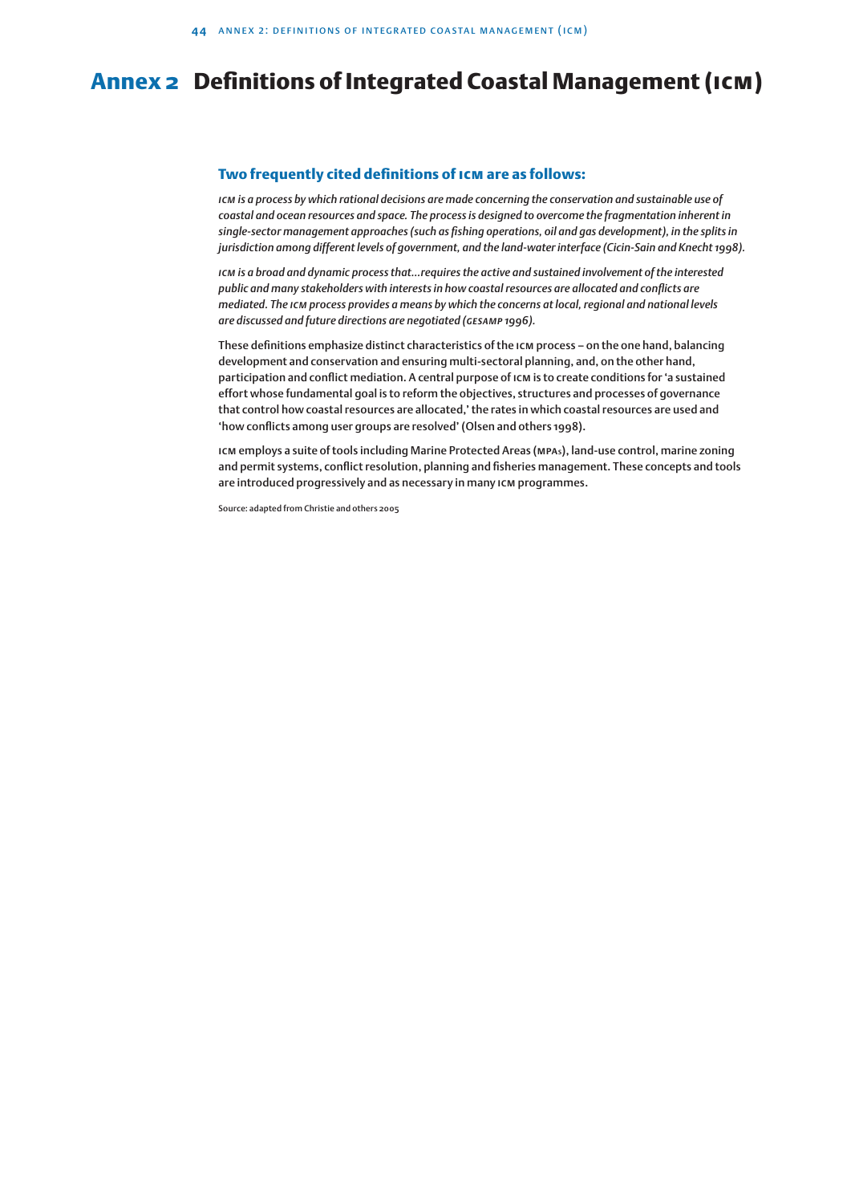### Annex 2 Definitions of Integrated Coastal Management (icm)

#### Two frequently cited definitions of icm are as follows:

*icm is a process by which rational decisions are made concerning the conservation and sustainable use of coastal and ocean resources and space. The process is designed to overcome the fragmentation inherent in single-sector management approaches (such as fishing operations, oil and gas development), in the splits in jurisdiction among different levels of government, and the land-water interface (Cicin-Sain and Knecht 1998).*

*icm is a broad and dynamic process that…requires the active and sustained involvement of the interested public and many stakeholders with interests in how coastal resources are allocated and conflicts are mediated. The icm process provides a means by which the concerns at local, regional and national levels are discussed and future directions are negotiated (gesamp 1996).*

These definitions emphasize distinct characteristics of the icm process – on the one hand, balancing development and conservation and ensuring multi-sectoral planning, and, on the other hand, participation and conflict mediation. A central purpose of icm is to create conditions for 'a sustained effort whose fundamental goal is to reform the objectives, structures and processes of governance that control how coastal resources are allocated,' the rates in which coastal resources are used and 'how conflicts among user groups are resolved' (Olsen and others 1998).

icm employs a suite of tools including Marine Protected Areas (mpas), land-use control, marine zoning and permit systems, conflict resolution, planning and fisheries management. These concepts and tools are introduced progressively and as necessary in many icm programmes.

Source: adapted from Christie and others 2005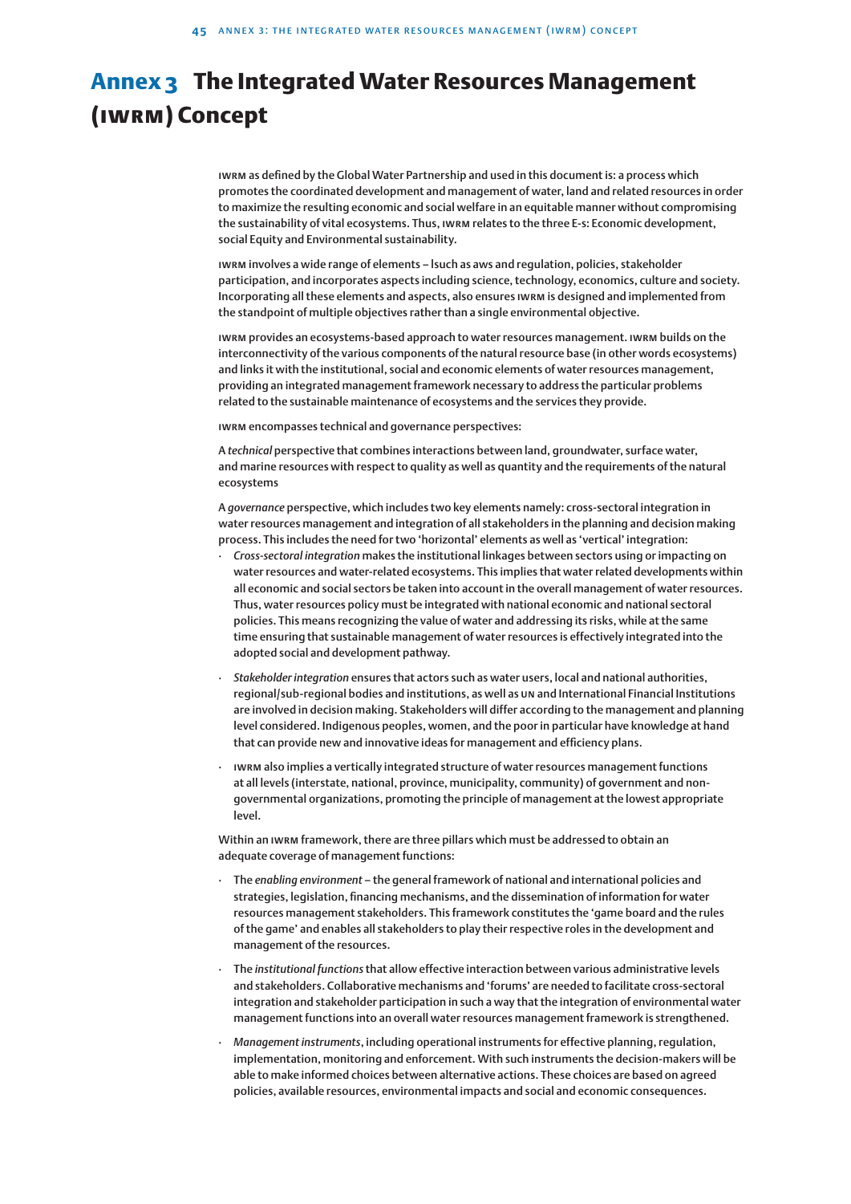# Annex 3 The Integrated Water Resources Management (iwrm) Concept

iwrm as defined by the Global Water Partnership and used in this document is: a process which promotes the coordinated development and management of water, land and related resources in order to maximize the resulting economic and social welfare in an equitable manner without compromising the sustainability of vital ecosystems. Thus, iwrm relates to the three E-s: Economic development, social Equity and Environmental sustainability.

iwrm involves a wide range of elements – lsuch as aws and regulation, policies, stakeholder participation, and incorporates aspects including science, technology, economics, culture and society. Incorporating all these elements and aspects, also ensures iwrm is designed and implemented from the standpoint of multiple objectives rather than a single environmental objective.

iwrm provides an ecosystems-based approach to water resources management. iwrm builds on the interconnectivity of the various components of the natural resource base (in other words ecosystems) and links it with the institutional, social and economic elements of water resources management, providing an integrated management framework necessary to address the particular problems related to the sustainable maintenance of ecosystems and the services they provide.

iwrm encompasses technical and governance perspectives:

A *technical* perspective that combines interactions between land, groundwater, surface water, and marine resources with respect to quality as well as quantity and the requirements of the natural ecosystems

A *governance* perspective, which includes two key elements namely: cross-sectoral integration in water resources management and integration of all stakeholders in the planning and decision making process. This includes the need for two 'horizontal' elements as well as 'vertical' integration:

- · *Cross-sectoral integration* makes the institutional linkages between sectors using or impacting on water resources and water-related ecosystems. This implies that water related developments within all economic and social sectors be taken into account in the overall management of water resources. Thus, water resources policy must be integrated with national economic and national sectoral policies. This means recognizing the value of water and addressing its risks, while at the same time ensuring that sustainable management of water resources is effectively integrated into the adopted social and development pathway.
- · *Stakeholder integration* ensures that actors such as water users, local and national authorities, regional/sub-regional bodies and institutions, as well as un and International Financial Institutions are involved in decision making. Stakeholders will differ according to the management and planning level considered. Indigenous peoples, women, and the poor in particular have knowledge at hand that can provide new and innovative ideas for management and efficiency plans.
- · iwrm also implies a vertically integrated structure of water resources management functions at all levels (interstate, national, province, municipality, community) of government and nongovernmental organizations, promoting the principle of management at the lowest appropriate level.

Within an iwrm framework, there are three pillars which must be addressed to obtain an adequate coverage of management functions:

- · The *enabling environment* the general framework of national and international policies and strategies, legislation, financing mechanisms, and the dissemination of information for water resources management stakeholders. This framework constitutes the 'game board and the rules of the game' and enables all stakeholders to play their respective roles in the development and management of the resources.
- · The *institutional functions* that allow effective interaction between various administrative levels and stakeholders. Collaborative mechanisms and 'forums' are needed to facilitate cross-sectoral integration and stakeholder participation in such a way that the integration of environmental water management functions into an overall water resources management framework is strengthened.
- · *Management instruments*, including operational instruments for effective planning, regulation, implementation, monitoring and enforcement. With such instruments the decision-makers will be able to make informed choices between alternative actions. These choices are based on agreed policies, available resources, environmental impacts and social and economic consequences.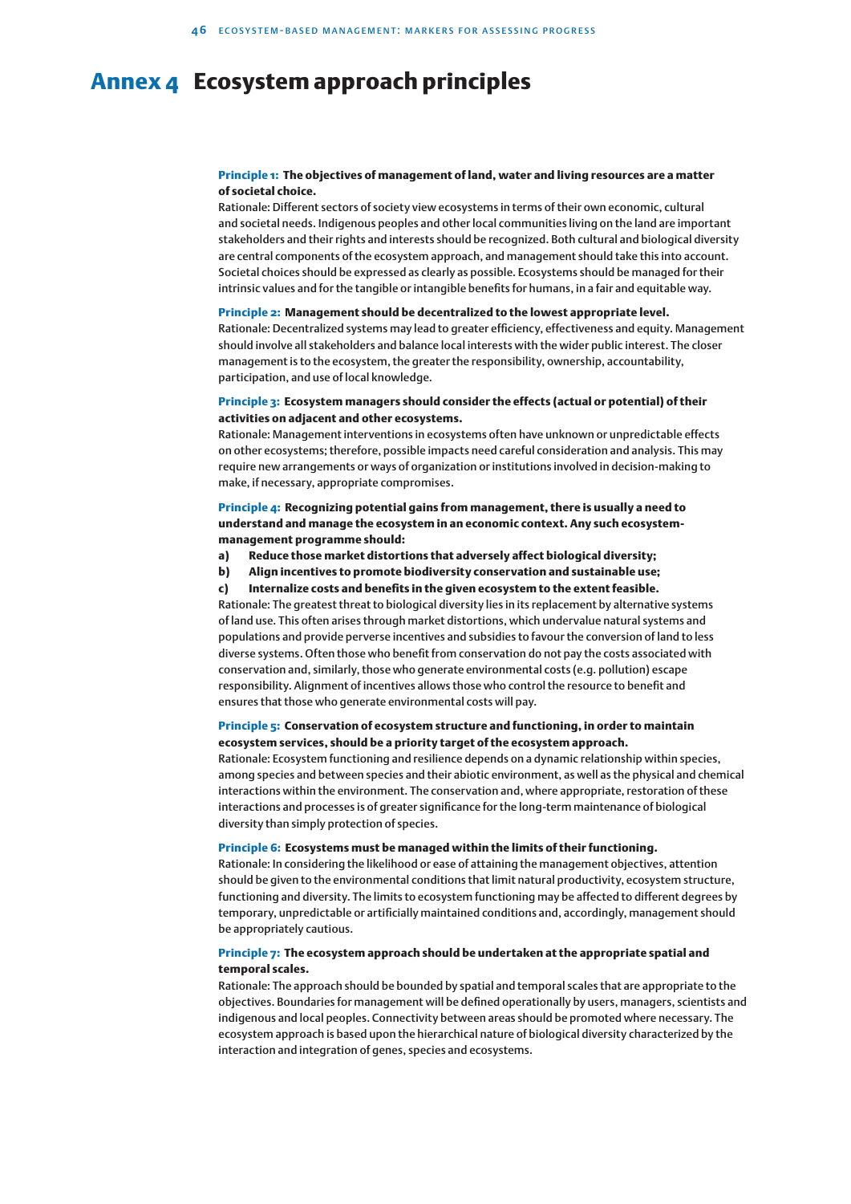### Annex 4 Ecosystem approach principles

#### Principle 1: The objectives of management of land, water and living resources are a matter of societal choice.

Rationale: Different sectors of society view ecosystems in terms of their own economic, cultural and societal needs. Indigenous peoples and other local communities living on the land are important stakeholders and their rights and interests should be recognized. Both cultural and biological diversity are central components of the ecosystem approach, and management should take this into account. Societal choices should be expressed as clearly as possible. Ecosystems should be managed for their intrinsic values and for the tangible or intangible benefits for humans, in a fair and equitable way.

#### Principle 2: Management should be decentralized to the lowest appropriate level.

Rationale: Decentralized systems may lead to greater efficiency, effectiveness and equity. Management should involve all stakeholders and balance local interests with the wider public interest. The closer management is to the ecosystem, the greater the responsibility, ownership, accountability, participation, and use of local knowledge.

#### Principle 3: Ecosystem managers should consider the effects (actual or potential) of their activities on adjacent and other ecosystems.

Rationale: Management interventions in ecosystems often have unknown or unpredictable effects on other ecosystems; therefore, possible impacts need careful consideration and analysis. This may require new arrangements or ways of organization or institutions involved in decision-making to make, if necessary, appropriate compromises.

#### Principle 4: Recognizing potential gains from management, there is usually a need to understand and manage the ecosystem in an economic context. Any such ecosystemmanagement programme should:

- a) Reduce those market distortions that adversely affect biological diversity;
- b) Align incentives to promote biodiversity conservation and sustainable use;
- c) Internalize costs and benefits in the given ecosystem to the extent feasible.

Rationale: The greatest threat to biological diversity lies in its replacement by alternative systems of land use. This often arises through market distortions, which undervalue natural systems and populations and provide perverse incentives and subsidies to favour the conversion of land to less diverse systems. Often those who benefit from conservation do not pay the costs associated with conservation and, similarly, those who generate environmental costs (e.g. pollution) escape responsibility. Alignment of incentives allows those who control the resource to benefit and ensures that those who generate environmental costs will pay.

#### Principle 5: Conservation of ecosystem structure and functioning, in order to maintain ecosystem services, should be a priority target of the ecosystem approach.

Rationale: Ecosystem functioning and resilience depends on a dynamic relationship within species, among species and between species and their abiotic environment, as well as the physical and chemical interactions within the environment. The conservation and, where appropriate, restoration of these interactions and processes is of greater significance for the long-term maintenance of biological diversity than simply protection of species.

#### Principle 6: Ecosystems must be managed within the limits of their functioning.

Rationale: In considering the likelihood or ease of attaining the management objectives, attention should be given to the environmental conditions that limit natural productivity, ecosystem structure, functioning and diversity. The limits to ecosystem functioning may be affected to different degrees by temporary, unpredictable or artificially maintained conditions and, accordingly, management should be appropriately cautious.

#### Principle 7: The ecosystem approach should be undertaken at the appropriate spatial and temporal scales.

Rationale: The approach should be bounded by spatial and temporal scales that are appropriate to the objectives. Boundaries for management will be defined operationally by users, managers, scientists and indigenous and local peoples. Connectivity between areas should be promoted where necessary. The ecosystem approach is based upon the hierarchical nature of biological diversity characterized by the interaction and integration of genes, species and ecosystems.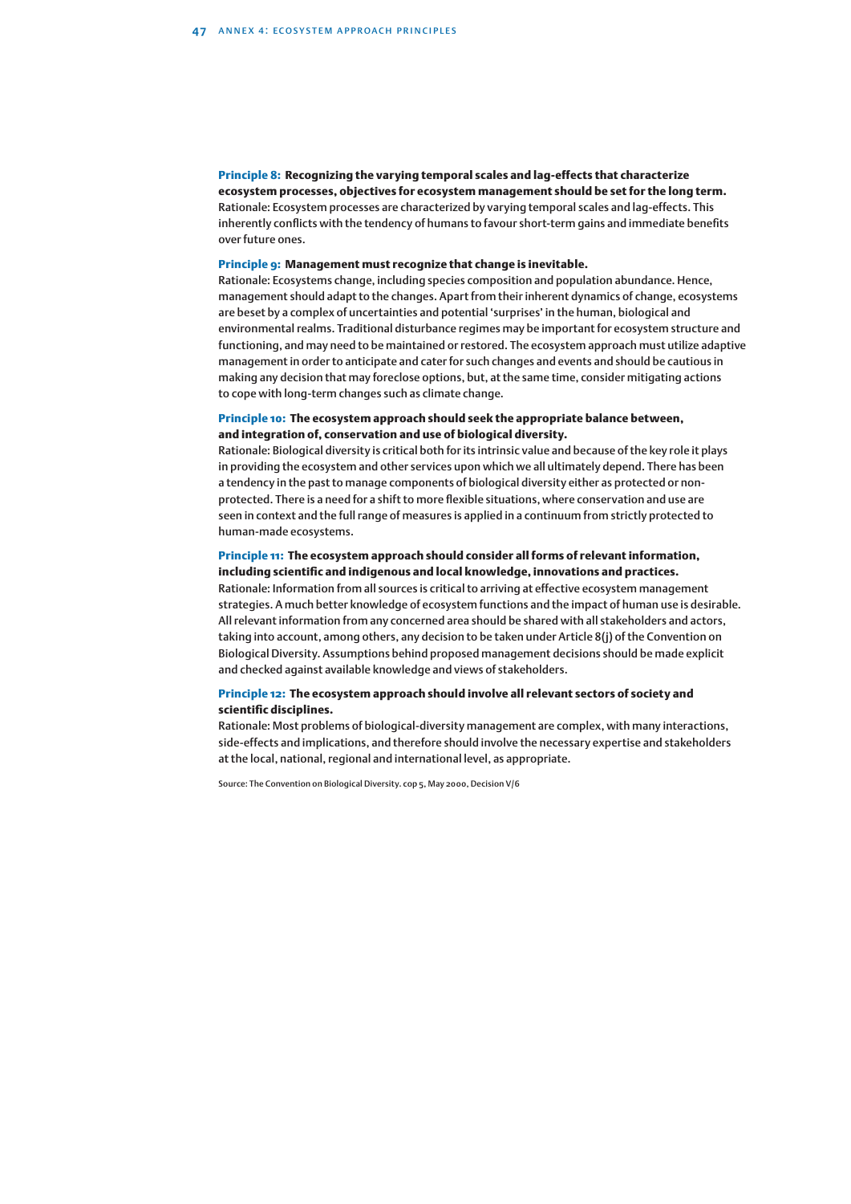Principle 8: Recognizing the varying temporal scales and lag-effects that characterize ecosystem processes, objectives for ecosystem management should be set for the long term. Rationale: Ecosystem processes are characterized by varying temporal scales and lag-effects. This inherently conflicts with the tendency of humans to favour short-term gains and immediate benefits over future ones.

#### Principle 9: Management must recognize that change is inevitable.

Rationale: Ecosystems change, including species composition and population abundance. Hence, management should adapt to the changes. Apart from their inherent dynamics of change, ecosystems are beset by a complex of uncertainties and potential 'surprises' in the human, biological and environmental realms. Traditional disturbance regimes may be important for ecosystem structure and functioning, and may need to be maintained or restored. The ecosystem approach must utilize adaptive management in order to anticipate and cater for such changes and events and should be cautious in making any decision that may foreclose options, but, at the same time, consider mitigating actions to cope with long-term changes such as climate change.

#### Principle 10: The ecosystem approach should seek the appropriate balance between, and integration of, conservation and use of biological diversity.

Rationale: Biological diversity is critical both for its intrinsic value and because of the key role it plays in providing the ecosystem and other services upon which we all ultimately depend. There has been a tendency in the past to manage components of biological diversity either as protected or nonprotected. There is a need for a shift to more flexible situations, where conservation and use are seen in context and the full range of measures is applied in a continuum from strictly protected to human-made ecosystems.

#### Principle 11: The ecosystem approach should consider all forms of relevant information, including scientific and indigenous and local knowledge, innovations and practices.

Rationale: Information from all sources is critical to arriving at effective ecosystem management strategies. A much better knowledge of ecosystem functions and the impact of human use is desirable. All relevant information from any concerned area should be shared with all stakeholders and actors, taking into account, among others, any decision to be taken under Article 8(j) of the Convention on Biological Diversity. Assumptions behind proposed management decisions should be made explicit and checked against available knowledge and views of stakeholders.

#### Principle 12: The ecosystem approach should involve all relevant sectors of society and scientific disciplines.

Rationale: Most problems of biological-diversity management are complex, with many interactions, side-effects and implications, and therefore should involve the necessary expertise and stakeholders at the local, national, regional and international level, as appropriate.

Source: The Convention on Biological Diversity. cop 5, May 2000, Decision V/6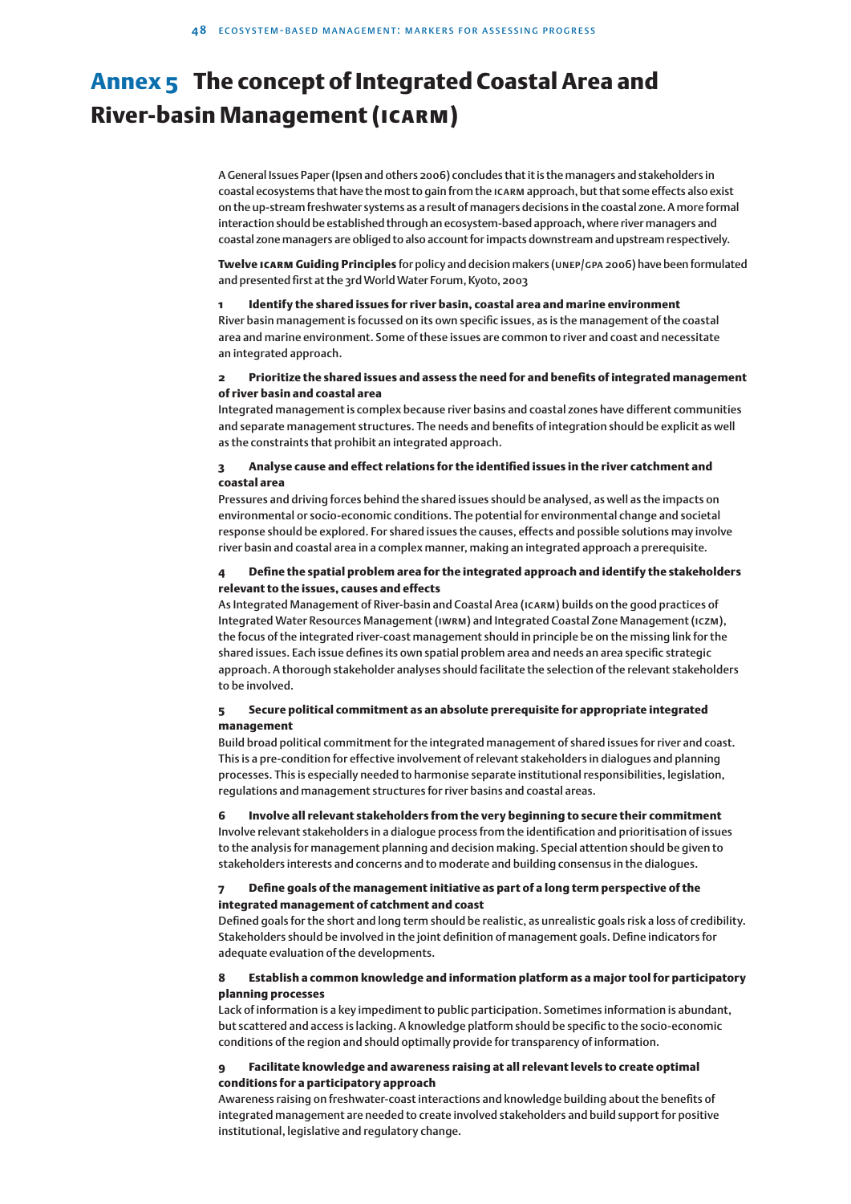## Annex 5 The concept of Integrated Coastal Area and River-basin Management (icarm)

A General Issues Paper (Ipsen and others 2006) concludes that it is the managers and stakeholders in coastal ecosystems that have the most to gain from the icarm approach, but that some effects also exist on the up-stream freshwater systems as a result of managers decisions in the coastal zone. A more formal interaction should be established through an ecosystem-based approach, where river managers and coastal zone managers are obliged to also account for impacts downstream and upstream respectively.

Twelve ICARM Guiding Principles for policy and decision makers (UNEP/GPA 2006) have been formulated and presented first at the 3rd World Water Forum, Kyoto, 2003

#### Identify the shared issues for river basin, coastal area and marine environment

River basin management is focussed on its own specific issues, as is the management of the coastal area and marine environment. Some of these issues are common to river and coast and necessitate an integrated approach.

#### 2 Prioritize the shared issues and assess the need for and benefits of integrated management of river basin and coastal area

Integrated management is complex because river basins and coastal zones have different communities and separate management structures. The needs and benefits of integration should be explicit as well as the constraints that prohibit an integrated approach.

#### 3 Analyse cause and effect relations for the identified issues in the river catchment and coastal area

Pressures and driving forces behind the shared issues should be analysed, as well as the impacts on environmental or socio-economic conditions. The potential for environmental change and societal response should be explored. For shared issues the causes, effects and possible solutions may involve river basin and coastal area in a complex manner, making an integrated approach a prerequisite.

#### 4 Define the spatial problem area for the integrated approach and identify the stakeholders relevant to the issues, causes and effects

As Integrated Management of River-basin and Coastal Area (icarm) builds on the good practices of Integrated Water Resources Management (iwrm) and Integrated Coastal Zone Management (iczm), the focus of the integrated river-coast management should in principle be on the missing link for the shared issues. Each issue defines its own spatial problem area and needs an area specific strategic approach. A thorough stakeholder analyses should facilitate the selection of the relevant stakeholders to be involved.

#### 5 Secure political commitment as an absolute prerequisite for appropriate integrated management

Build broad political commitment for the integrated management of shared issues for river and coast. This is a pre-condition for effective involvement of relevant stakeholders in dialogues and planning processes. This is especially needed to harmonise separate institutional responsibilities, legislation, regulations and management structures for river basins and coastal areas.

#### 6 Involve all relevant stakeholders from the very beginning to secure their commitment

Involve relevant stakeholders in a dialogue process from the identification and prioritisation of issues to the analysis for management planning and decision making. Special attention should be given to stakeholders interests and concerns and to moderate and building consensus in the dialogues.

#### 7 Define goals of the management initiative as part of a long term perspective of the integrated management of catchment and coast

Defined goals for the short and long term should be realistic, as unrealistic goals risk a loss of credibility. Stakeholders should be involved in the joint definition of management goals. Define indicators for adequate evaluation of the developments.

#### 8 Establish a common knowledge and information platform as a major tool for participatory planning processes

Lack of information is a key impediment to public participation. Sometimes information is abundant, but scattered and access is lacking. A knowledge platform should be specific to the socio-economic conditions of the region and should optimally provide for transparency of information.

#### 9 Facilitate knowledge and awareness raising at all relevant levels to create optimal conditions for a participatory approach

Awareness raising on freshwater-coast interactions and knowledge building about the benefits of integrated management are needed to create involved stakeholders and build support for positive institutional, legislative and regulatory change.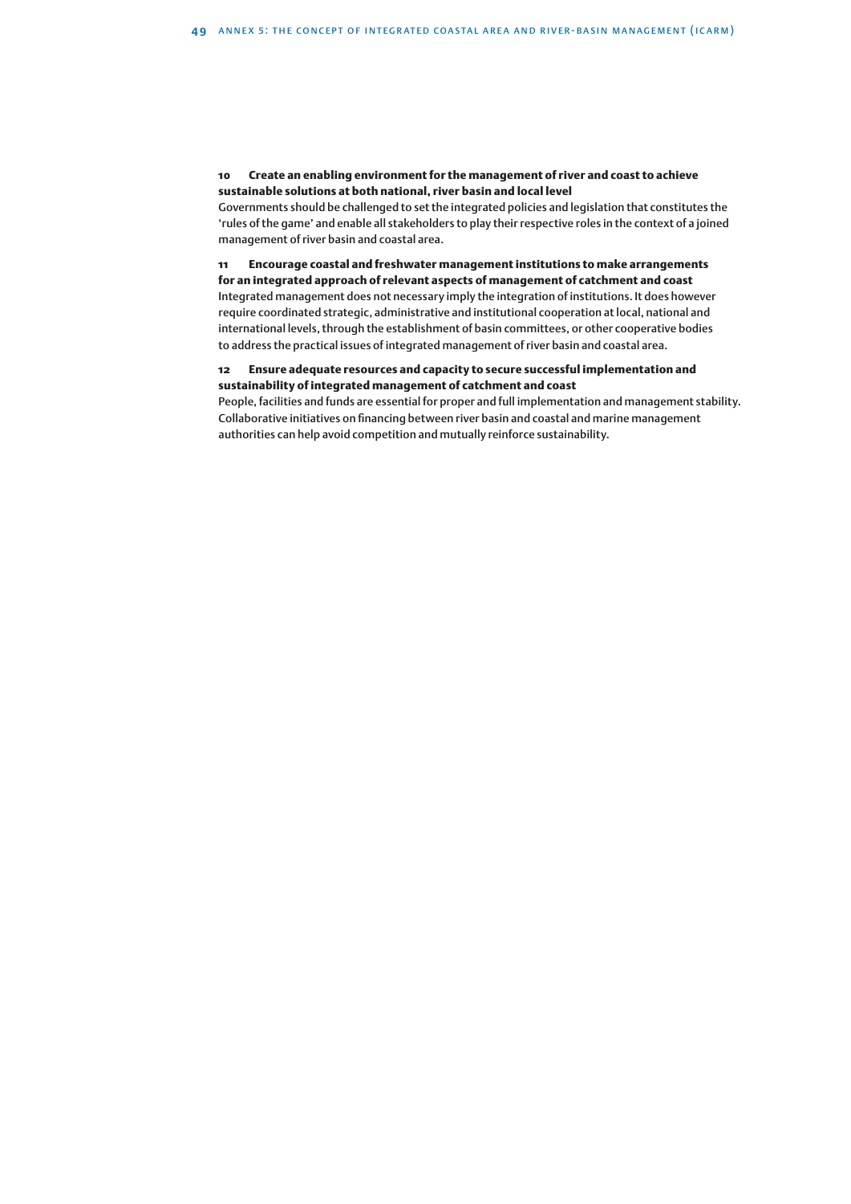#### 10 Create an enabling environment for the management of river and coast to achieve sustainable solutions at both national, river basin and local level

Governments should be challenged to set the integrated policies and legislation that constitutes the 'rules of the game' and enable all stakeholders to play their respective roles in the context of a joined management of river basin and coastal area.

### 11 Encourage coastal and freshwater management institutions to make arrangements

for an integrated approach of relevant aspects of management of catchment and coast Integrated management does not necessary imply the integration of institutions. It does however require coordinated strategic, administrative and institutional cooperation at local, national and international levels, through the establishment of basin committees, or other cooperative bodies to address the practical issues of integrated management of river basin and coastal area.

#### 12 Ensure adequate resources and capacity to secure successful implementation and sustainability of integrated management of catchment and coast

People, facilities and funds are essential for proper and full implementation and management stability. Collaborative initiatives on financing between river basin and coastal and marine management authorities can help avoid competition and mutually reinforce sustainability.